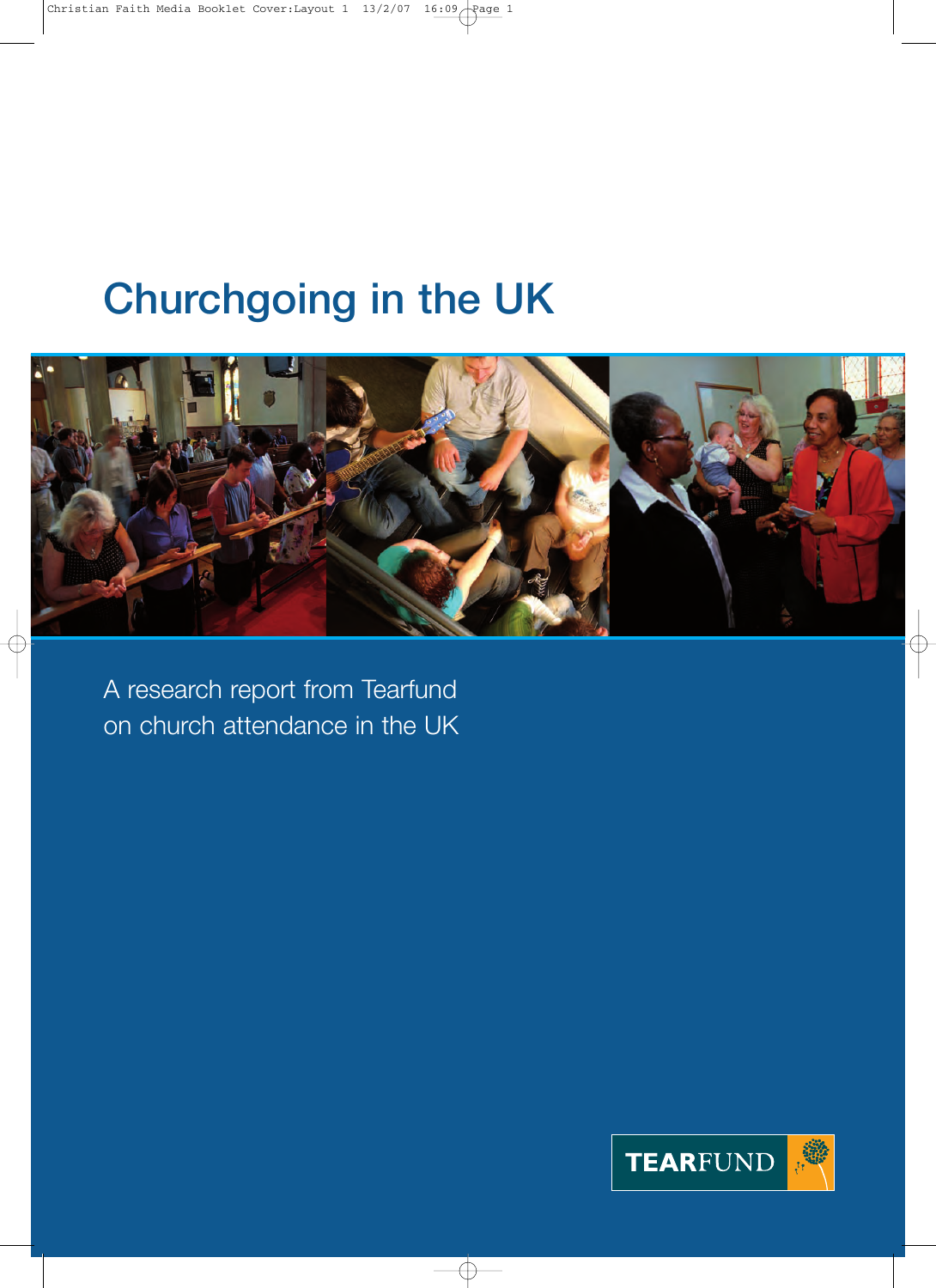# Churchgoing in the UK



A research report from Tearfund on church attendance in the UK

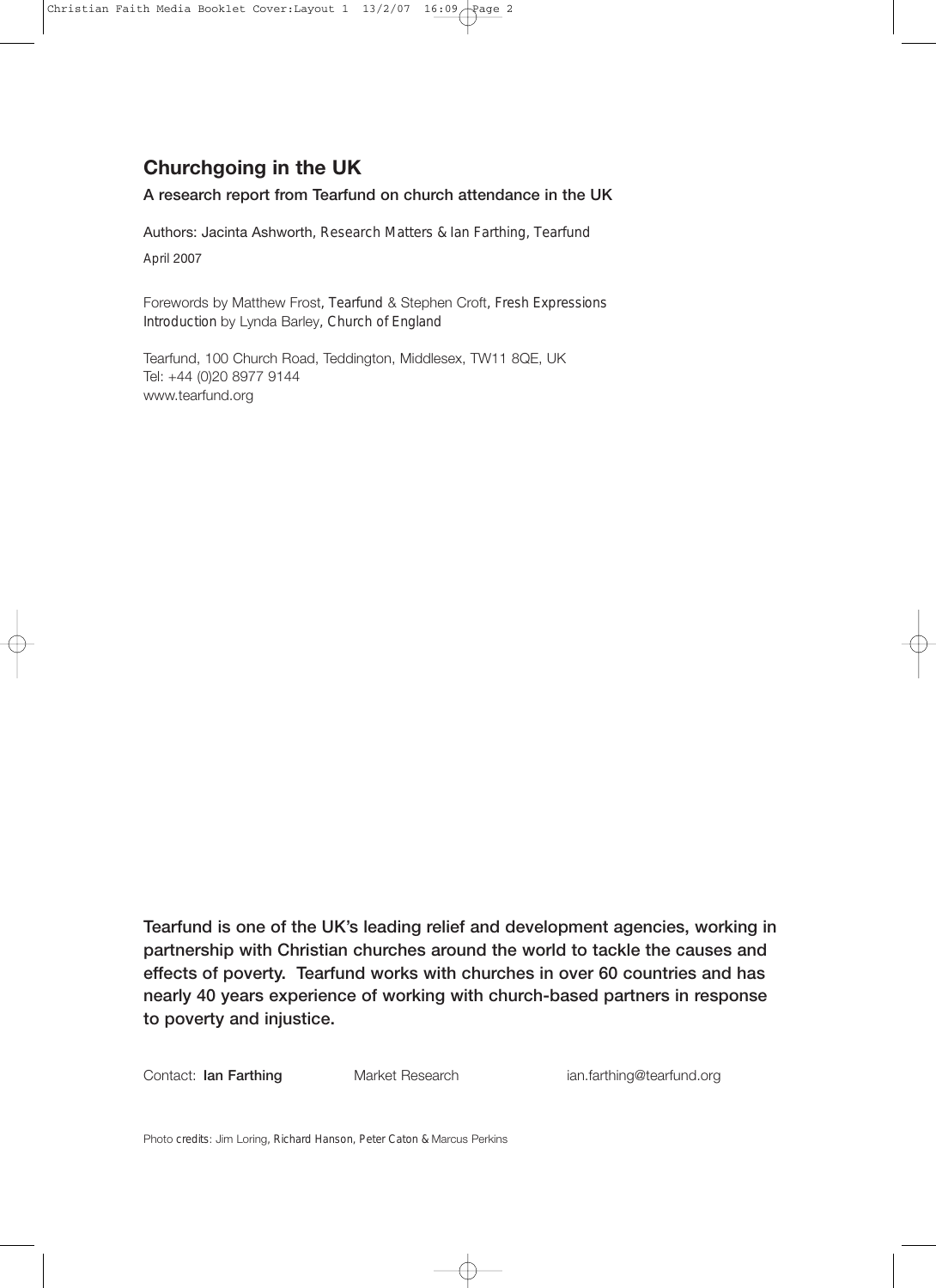### **Churchgoing in the UK**

### A research report from Tearfund on church attendance in the UK

Authors: Jacinta Ashworth, Research Matters & Ian Farthing, Tearfund April 2007

Forewords by Matthew Frost, Tearfund & Stephen Croft, Fresh Expressions Introduction by Lynda Barley, Church of England

Tearfund, 100 Church Road, Teddington, Middlesex, TW11 8QE, UK Tel: +44 (0)20 8977 9144 www.tearfund.org

Tearfund is one of the UK's leading relief and development agencies, working in partnership with Christian churches around the world to tackle the causes and effects of poverty. Tearfund works with churches in over 60 countries and has nearly 40 years experience of working with church-based partners in response to poverty and injustice.

Contact: Ian Farthing **Market Research ian.farthing@tearfund.org** 

Photo credits: Jim Loring, Richard Hanson, Peter Caton & Marcus Perkins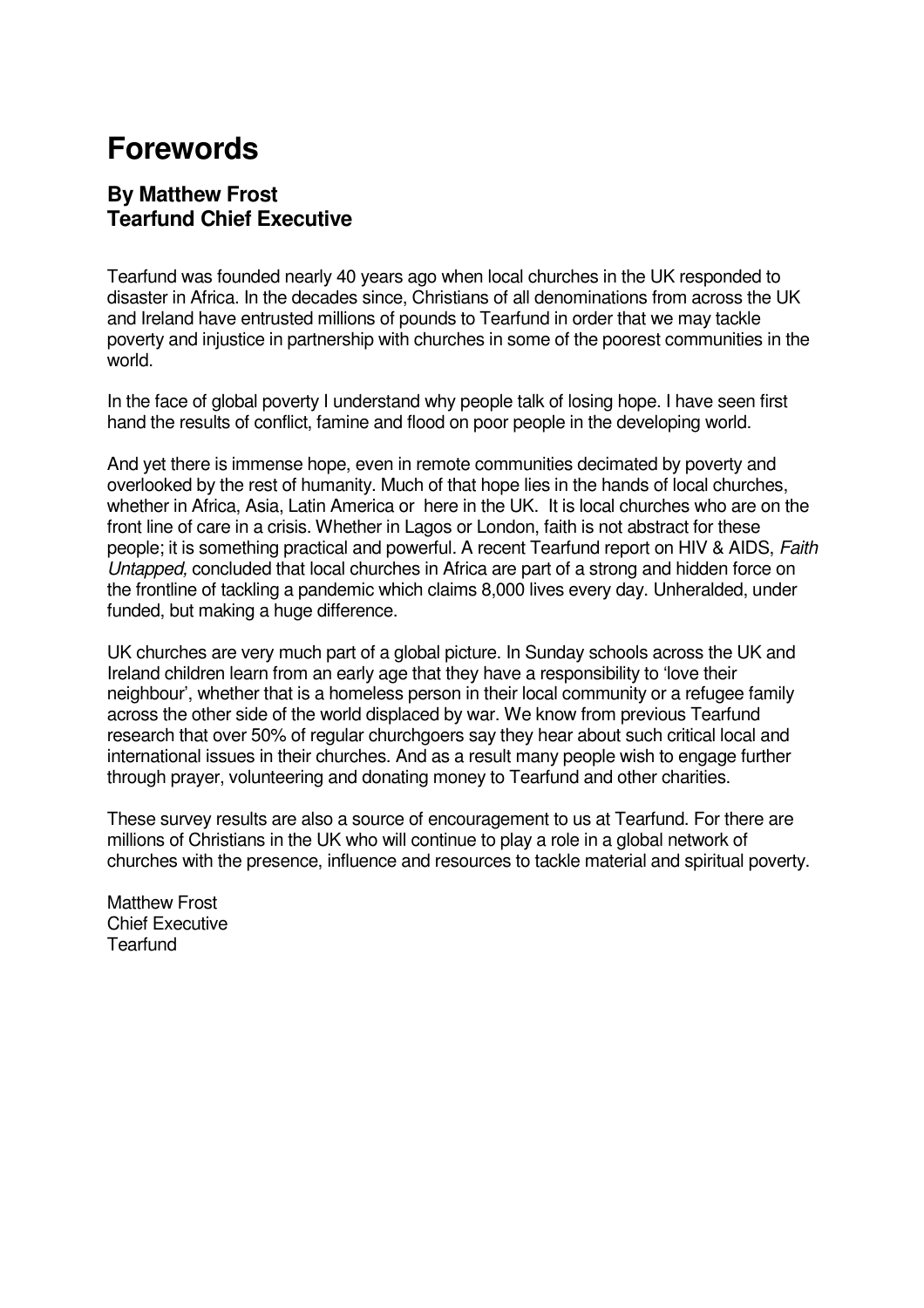# **Forewords**

### **By Matthew Frost Tearfund Chief Executive**

Tearfund was founded nearly 40 years ago when local churches in the UK responded to disaster in Africa. In the decades since, Christians of all denominations from across the UK and Ireland have entrusted millions of pounds to Tearfund in order that we may tackle poverty and injustice in partnership with churches in some of the poorest communities in the world.

In the face of global poverty I understand why people talk of losing hope. I have seen first hand the results of conflict, famine and flood on poor people in the developing world.

And yet there is immense hope, even in remote communities decimated by poverty and overlooked by the rest of humanity. Much of that hope lies in the hands of local churches, whether in Africa, Asia, Latin America or here in the UK. It is local churches who are on the front line of care in a crisis. Whether in Lagos or London, faith is not abstract for these people; it is something practical and powerful. A recent Tearfund report on HIV & AIDS, Faith Untapped, concluded that local churches in Africa are part of a strong and hidden force on the frontline of tackling a pandemic which claims 8,000 lives every day. Unheralded, under funded, but making a huge difference.

UK churches are very much part of a global picture. In Sunday schools across the UK and Ireland children learn from an early age that they have a responsibility to 'love their neighbour', whether that is a homeless person in their local community or a refugee family across the other side of the world displaced by war. We know from previous Tearfund research that over 50% of regular churchgoers say they hear about such critical local and international issues in their churches. And as a result many people wish to engage further through prayer, volunteering and donating money to Tearfund and other charities.

These survey results are also a source of encouragement to us at Tearfund. For there are millions of Christians in the UK who will continue to play a role in a global network of churches with the presence, influence and resources to tackle material and spiritual poverty.

Matthew Frost Chief Executive **Tearfund**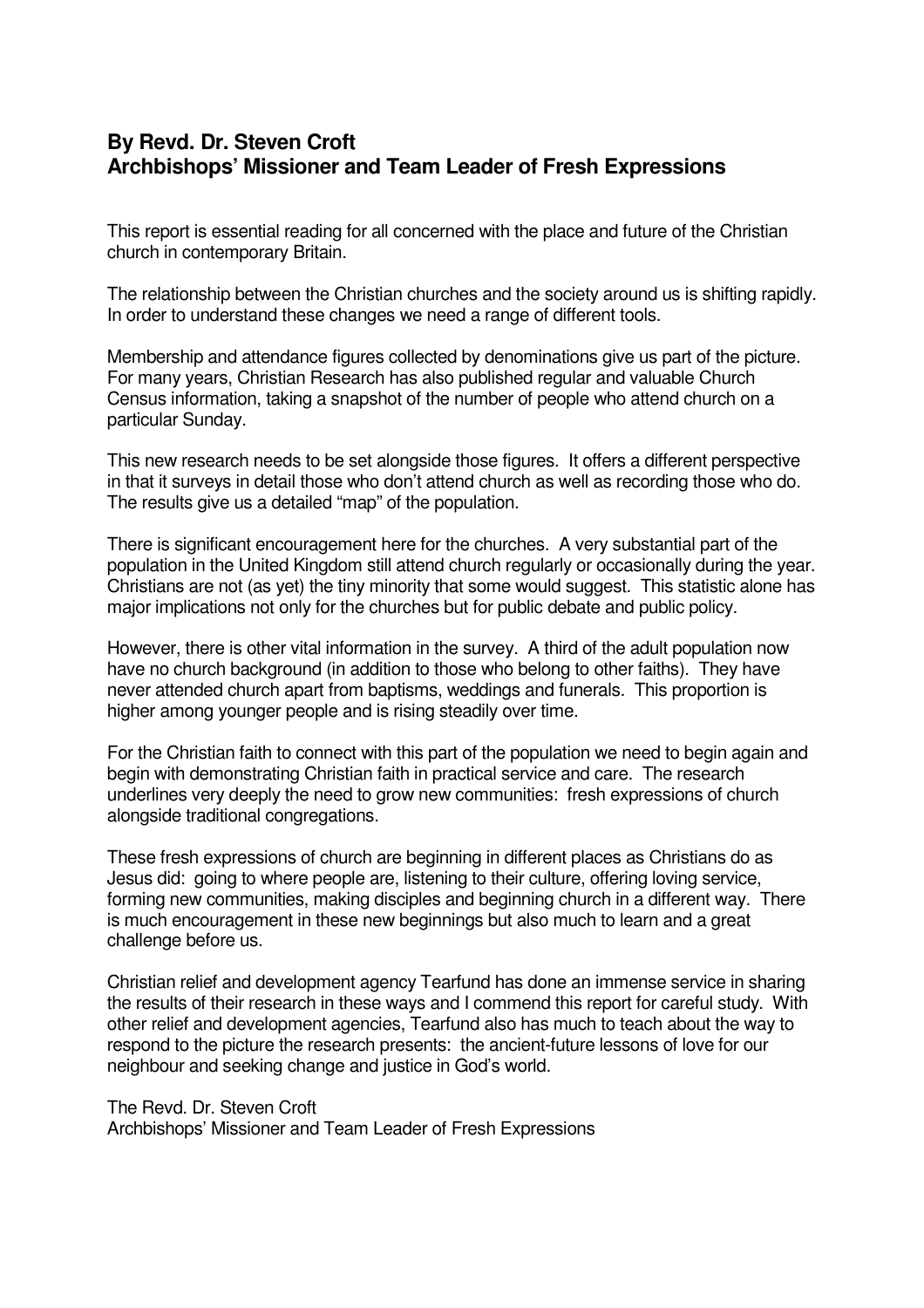### **By Revd. Dr. Steven Croft Archbishops' Missioner and Team Leader of Fresh Expressions**

This report is essential reading for all concerned with the place and future of the Christian church in contemporary Britain.

The relationship between the Christian churches and the society around us is shifting rapidly. In order to understand these changes we need a range of different tools.

Membership and attendance figures collected by denominations give us part of the picture. For many years, Christian Research has also published regular and valuable Church Census information, taking a snapshot of the number of people who attend church on a particular Sunday.

This new research needs to be set alongside those figures. It offers a different perspective in that it surveys in detail those who don't attend church as well as recording those who do. The results give us a detailed "map" of the population.

There is significant encouragement here for the churches. A very substantial part of the population in the United Kingdom still attend church regularly or occasionally during the year. Christians are not (as yet) the tiny minority that some would suggest. This statistic alone has major implications not only for the churches but for public debate and public policy.

However, there is other vital information in the survey. A third of the adult population now have no church background (in addition to those who belong to other faiths). They have never attended church apart from baptisms, weddings and funerals. This proportion is higher among younger people and is rising steadily over time.

For the Christian faith to connect with this part of the population we need to begin again and begin with demonstrating Christian faith in practical service and care. The research underlines very deeply the need to grow new communities: fresh expressions of church alongside traditional congregations.

These fresh expressions of church are beginning in different places as Christians do as Jesus did: going to where people are, listening to their culture, offering loving service, forming new communities, making disciples and beginning church in a different way. There is much encouragement in these new beginnings but also much to learn and a great challenge before us.

Christian relief and development agency Tearfund has done an immense service in sharing the results of their research in these ways and I commend this report for careful study. With other relief and development agencies, Tearfund also has much to teach about the way to respond to the picture the research presents: the ancient-future lessons of love for our neighbour and seeking change and justice in God's world.

### The Revd. Dr. Steven Croft

Archbishops' Missioner and Team Leader of Fresh Expressions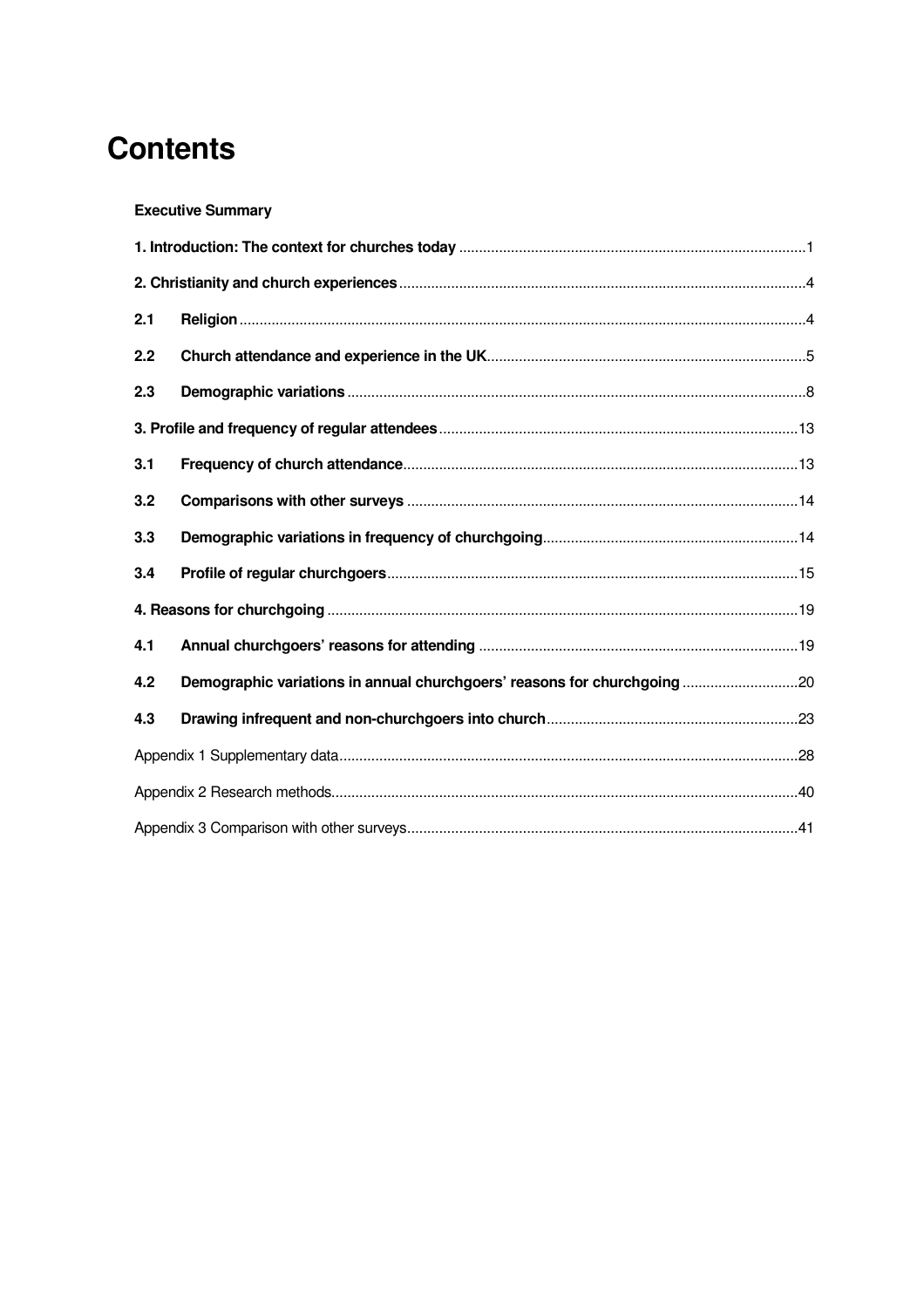# **Contents**

### **Executive Summary**

| 2.1 |                                                                          |  |
|-----|--------------------------------------------------------------------------|--|
| 2.2 |                                                                          |  |
| 2.3 |                                                                          |  |
|     |                                                                          |  |
| 3.1 |                                                                          |  |
| 3.2 |                                                                          |  |
| 3.3 |                                                                          |  |
| 3.4 |                                                                          |  |
|     |                                                                          |  |
| 4.1 |                                                                          |  |
| 4.2 | Demographic variations in annual churchgoers' reasons for churchgoing 20 |  |
| 4.3 |                                                                          |  |
|     |                                                                          |  |
|     |                                                                          |  |
|     |                                                                          |  |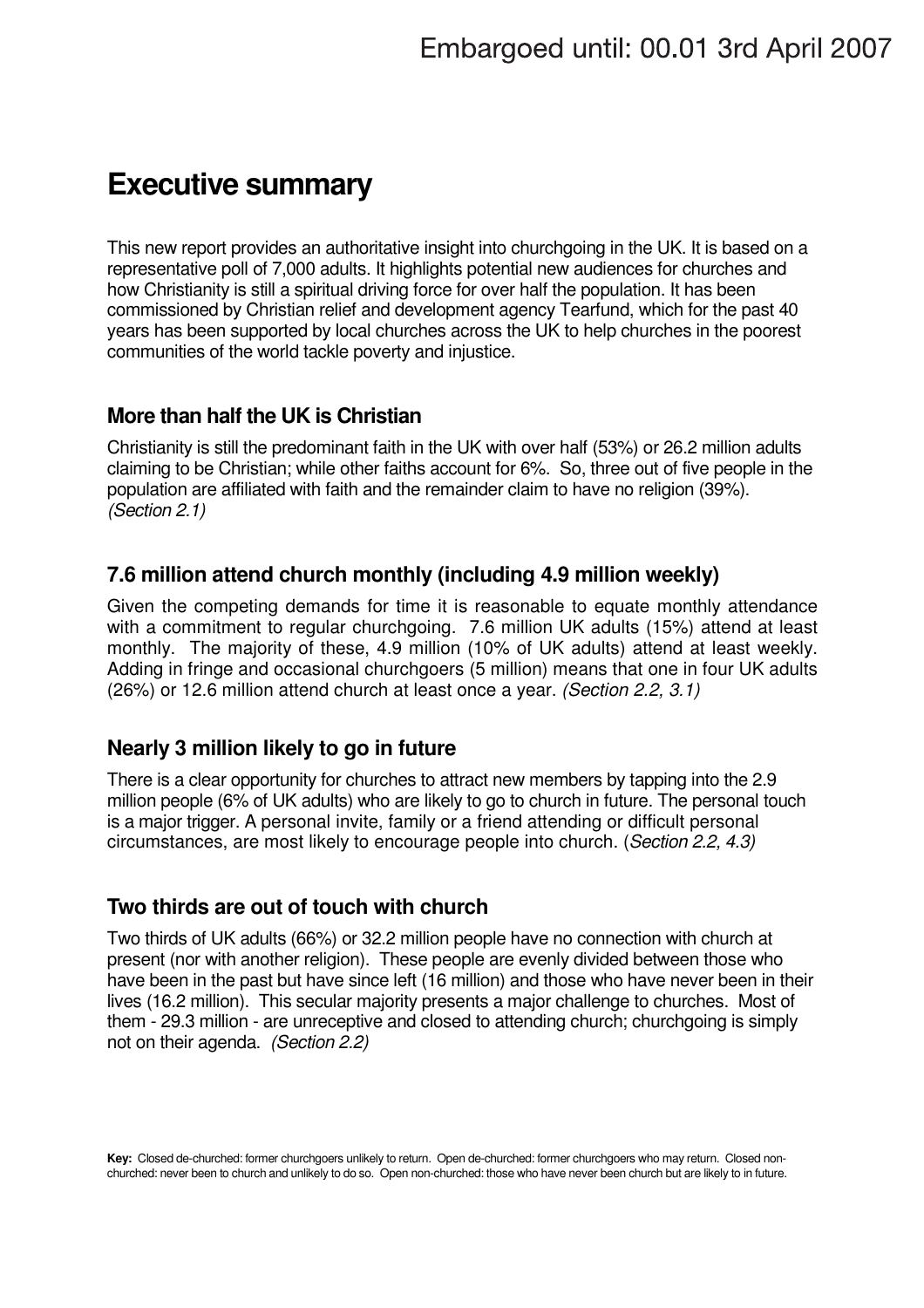# **Executive summary**

This new report provides an authoritative insight into churchgoing in the UK. It is based on a representative poll of 7,000 adults. It highlights potential new audiences for churches and how Christianity is still a spiritual driving force for over half the population. It has been commissioned by Christian relief and development agency Tearfund, which for the past 40 years has been supported by local churches across the UK to help churches in the poorest communities of the world tackle poverty and injustice.

### **More than half the UK is Christian**

Christianity is still the predominant faith in the UK with over half (53%) or 26.2 million adults claiming to be Christian; while other faiths account for 6%. So, three out of five people in the population are affiliated with faith and the remainder claim to have no religion (39%). (Section 2.1)

### **7.6 million attend church monthly (including 4.9 million weekly)**

Given the competing demands for time it is reasonable to equate monthly attendance with a commitment to regular churchgoing. 7.6 million UK adults (15%) attend at least monthly. The majority of these, 4.9 million (10% of UK adults) attend at least weekly. Adding in fringe and occasional churchgoers (5 million) means that one in four UK adults (26%) or 12.6 million attend church at least once a year. (Section 2.2, 3.1)

### **Nearly 3 million likely to go in future**

There is a clear opportunity for churches to attract new members by tapping into the 2.9 million people (6% of UK adults) who are likely to go to church in future. The personal touch is a major trigger. A personal invite, family or a friend attending or difficult personal circumstances, are most likely to encourage people into church. (Section 2.2, 4.3)

### **Two thirds are out of touch with church**

Two thirds of UK adults (66%) or 32.2 million people have no connection with church at present (nor with another religion). These people are evenly divided between those who have been in the past but have since left (16 million) and those who have never been in their lives (16.2 million). This secular majority presents a major challenge to churches. Most of them - 29.3 million - are unreceptive and closed to attending church; churchgoing is simply not on their agenda. (Section 2.2)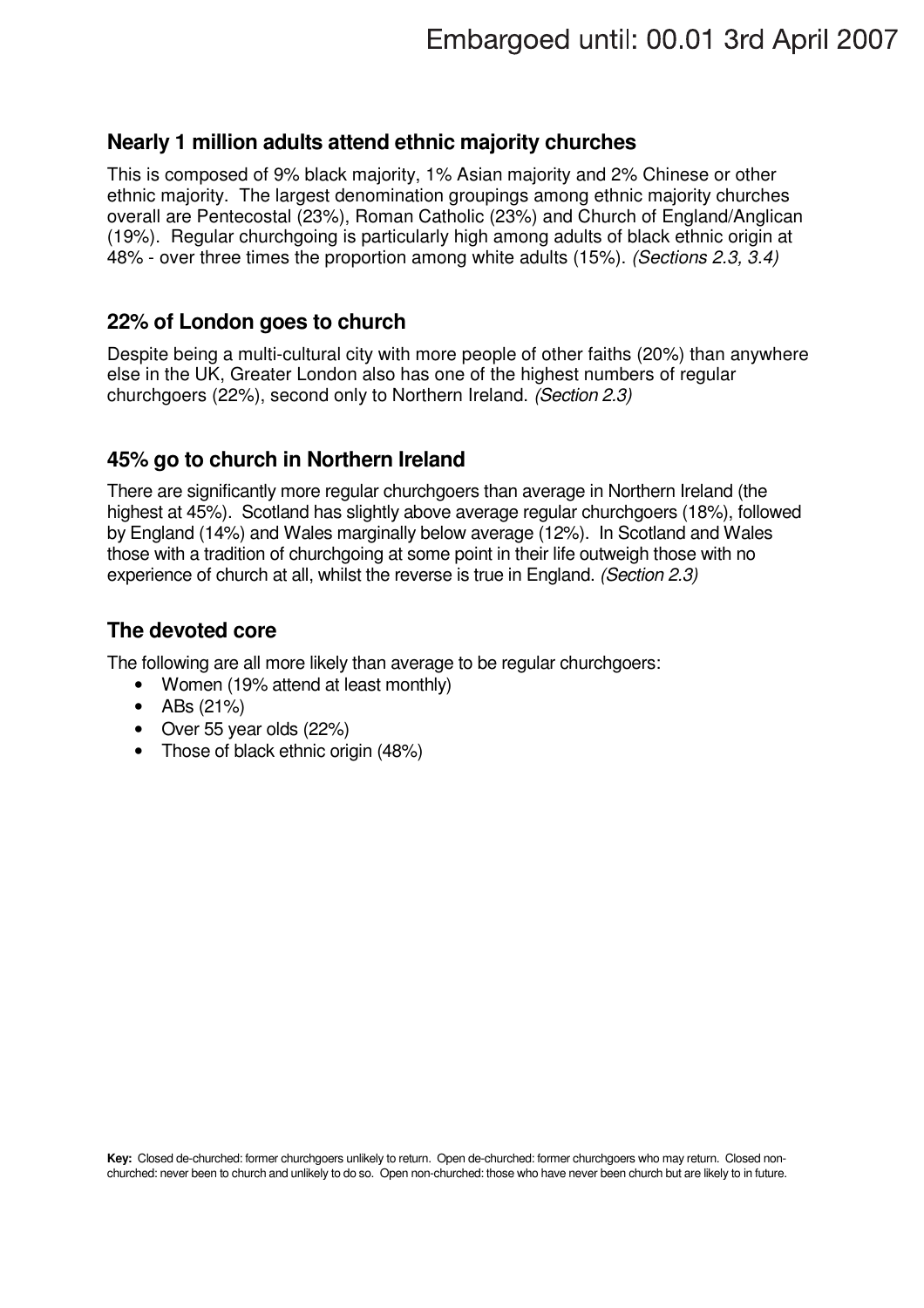### **Nearly 1 million adults attend ethnic majority churches**

This is composed of 9% black majority, 1% Asian majority and 2% Chinese or other ethnic majority. The largest denomination groupings among ethnic majority churches overall are Pentecostal (23%), Roman Catholic (23%) and Church of England/Anglican (19%). Regular churchgoing is particularly high among adults of black ethnic origin at 48% - over three times the proportion among white adults (15%). (Sections 2.3, 3.4)

### **22% of London goes to church**

Despite being a multi-cultural city with more people of other faiths (20%) than anywhere else in the UK, Greater London also has one of the highest numbers of regular churchgoers (22%), second only to Northern Ireland. (Section 2.3)

### **45% go to church in Northern Ireland**

There are significantly more regular churchgoers than average in Northern Ireland (the highest at 45%). Scotland has slightly above average regular churchgoers (18%), followed by England (14%) and Wales marginally below average (12%). In Scotland and Wales those with a tradition of churchgoing at some point in their life outweigh those with no experience of church at all, whilst the reverse is true in England. (Section 2.3)

### **The devoted core**

The following are all more likely than average to be regular churchgoers:

- Women (19% attend at least monthly)
- ABs (21%)
- Over 55 year olds (22%)
- Those of black ethnic origin (48%)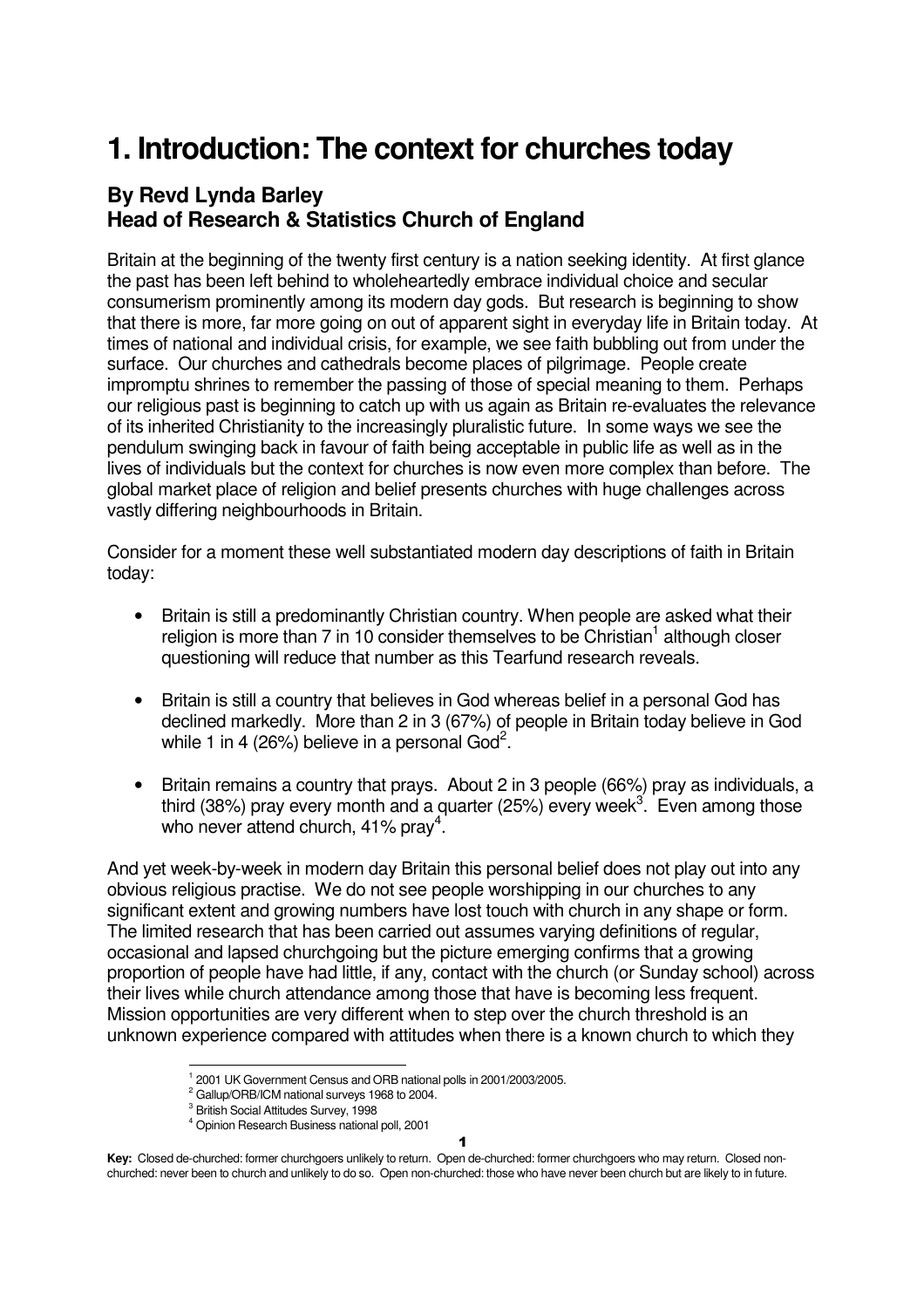# **1. Introduction: The context for churches today**

### **By Revd Lynda Barley Head of Research & Statistics Church of England**

Britain at the beginning of the twenty first century is a nation seeking identity. At first glance the past has been left behind to wholeheartedly embrace individual choice and secular consumerism prominently among its modern day gods. But research is beginning to show that there is more, far more going on out of apparent sight in everyday life in Britain today. At times of national and individual crisis, for example, we see faith bubbling out from under the surface. Our churches and cathedrals become places of pilgrimage. People create impromptu shrines to remember the passing of those of special meaning to them. Perhaps our religious past is beginning to catch up with us again as Britain re-evaluates the relevance of its inherited Christianity to the increasingly pluralistic future. In some ways we see the pendulum swinging back in favour of faith being acceptable in public life as well as in the lives of individuals but the context for churches is now even more complex than before. The global market place of religion and belief presents churches with huge challenges across vastly differing neighbourhoods in Britain.

Consider for a moment these well substantiated modern day descriptions of faith in Britain today:

- Britain is still a predominantly Christian country. When people are asked what their religion is more than 7 in 10 consider themselves to be Christian<sup>1</sup> although closer questioning will reduce that number as this Tearfund research reveals.
- Britain is still a country that believes in God whereas belief in a personal God has declined markedly. More than 2 in 3 (67%) of people in Britain today believe in God while 1 in 4 (26%) believe in a personal God<sup>2</sup>.
- Britain remains a country that prays. About 2 in 3 people (66%) pray as individuals, a third (38%) pray every month and a quarter (25%) every week<sup>3</sup>. Even among those who never attend church, 41% pray<sup>4</sup>.

And yet week-by-week in modern day Britain this personal belief does not play out into any obvious religious practise. We do not see people worshipping in our churches to any significant extent and growing numbers have lost touch with church in any shape or form. The limited research that has been carried out assumes varying definitions of regular, occasional and lapsed churchgoing but the picture emerging confirms that a growing proportion of people have had little, if any, contact with the church (or Sunday school) across their lives while church attendance among those that have is becoming less frequent. Mission opportunities are very different when to step over the church threshold is an unknown experience compared with attitudes when there is a known church to which they

1

j 1 2001 UK Government Census and ORB national polls in 2001/2003/2005.

 $2$  Gallup/ORB/ICM national surveys 1968 to 2004.

<sup>&</sup>lt;sup>3</sup> British Social Attitudes Survey, 1998

<sup>4</sup> Opinion Research Business national poll, 2001

**Key:** Closed de-churched: former churchgoers unlikely to return. Open de-churched: former churchgoers who may return. Closed nonchurched: never been to church and unlikely to do so. Open non-churched: those who have never been church but are likely to in future.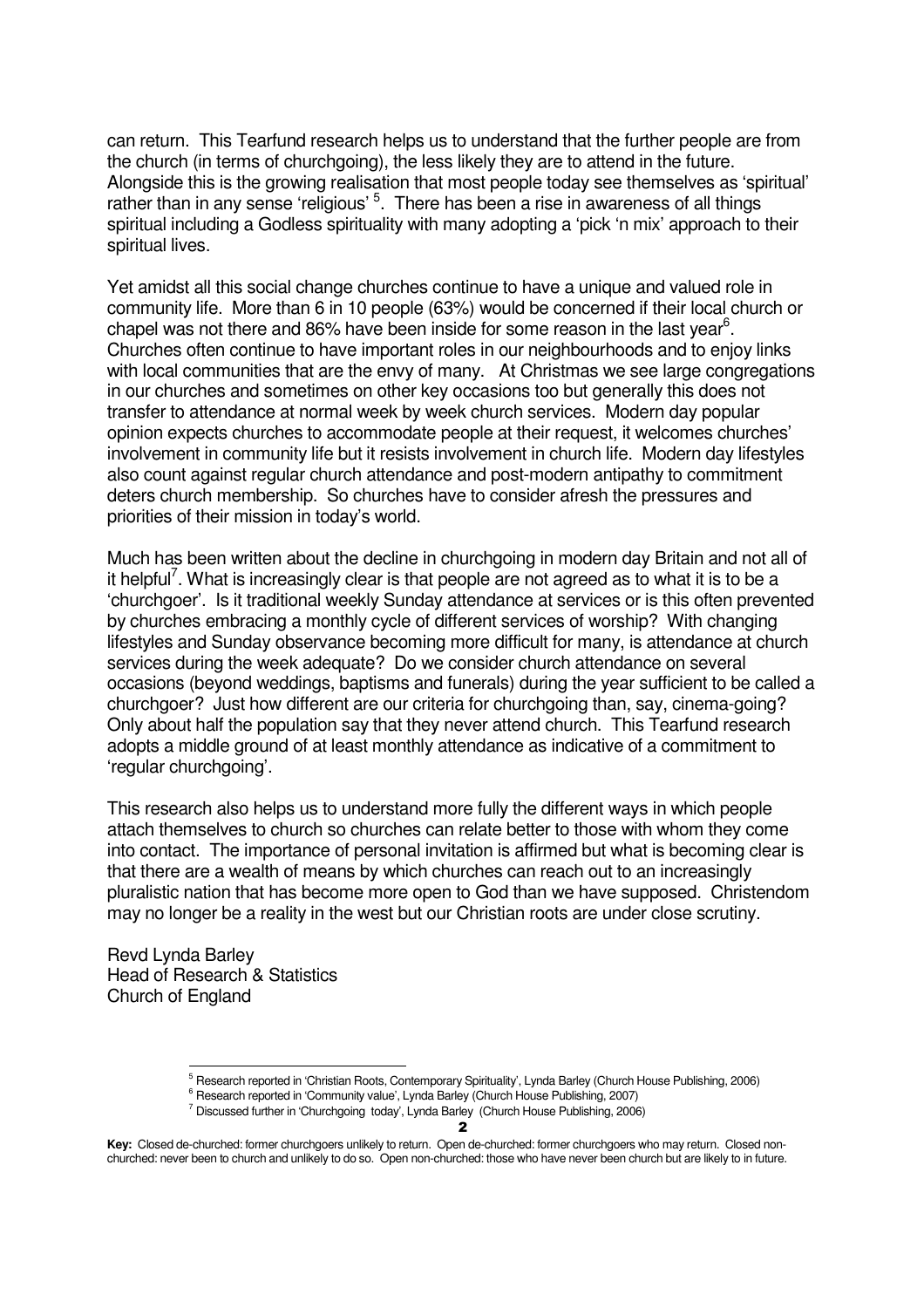can return. This Tearfund research helps us to understand that the further people are from the church (in terms of churchgoing), the less likely they are to attend in the future. Alongside this is the growing realisation that most people today see themselves as 'spiritual' rather than in any sense 'religious' <sup>5</sup>. There has been a rise in awareness of all things spiritual including a Godless spirituality with many adopting a 'pick 'n mix' approach to their spiritual lives.

Yet amidst all this social change churches continue to have a unique and valued role in community life. More than 6 in 10 people (63%) would be concerned if their local church or chapel was not there and 86% have been inside for some reason in the last year<sup>6</sup>. Churches often continue to have important roles in our neighbourhoods and to enjoy links with local communities that are the envy of many. At Christmas we see large congregations in our churches and sometimes on other key occasions too but generally this does not transfer to attendance at normal week by week church services. Modern day popular opinion expects churches to accommodate people at their request, it welcomes churches' involvement in community life but it resists involvement in church life. Modern day lifestyles also count against regular church attendance and post-modern antipathy to commitment deters church membership. So churches have to consider afresh the pressures and priorities of their mission in today's world.

Much has been written about the decline in churchgoing in modern day Britain and not all of it helpful<sup>7</sup>. What is increasingly clear is that people are not agreed as to what it is to be a 'churchgoer'. Is it traditional weekly Sunday attendance at services or is this often prevented by churches embracing a monthly cycle of different services of worship? With changing lifestyles and Sunday observance becoming more difficult for many, is attendance at church services during the week adequate? Do we consider church attendance on several occasions (beyond weddings, baptisms and funerals) during the year sufficient to be called a churchgoer? Just how different are our criteria for churchgoing than, say, cinema-going? Only about half the population say that they never attend church. This Tearfund research adopts a middle ground of at least monthly attendance as indicative of a commitment to 'regular churchgoing'.

This research also helps us to understand more fully the different ways in which people attach themselves to church so churches can relate better to those with whom they come into contact. The importance of personal invitation is affirmed but what is becoming clear is that there are a wealth of means by which churches can reach out to an increasingly pluralistic nation that has become more open to God than we have supposed. Christendom may no longer be a reality in the west but our Christian roots are under close scrutiny.

Revd Lynda Barley Head of Research & Statistics Church of England

l

 $\overline{\mathbf{z}}$ 

<sup>&</sup>lt;sup>5</sup> Research reported in 'Christian Roots, Contemporary Spirituality', Lynda Barley (Church House Publishing, 2006)

<sup>&</sup>lt;sup>6</sup> Research reported in 'Community value', Lynda Barley (Church House Publishing, 2007)

<sup>&</sup>lt;sup>7</sup> Discussed further in 'Churchgoing today', Lynda Barley (Church House Publishing, 2006)

**Key:** Closed de-churched: former churchgoers unlikely to return. Open de-churched: former churchgoers who may return. Closed nonchurched: never been to church and unlikely to do so. Open non-churched: those who have never been church but are likely to in future.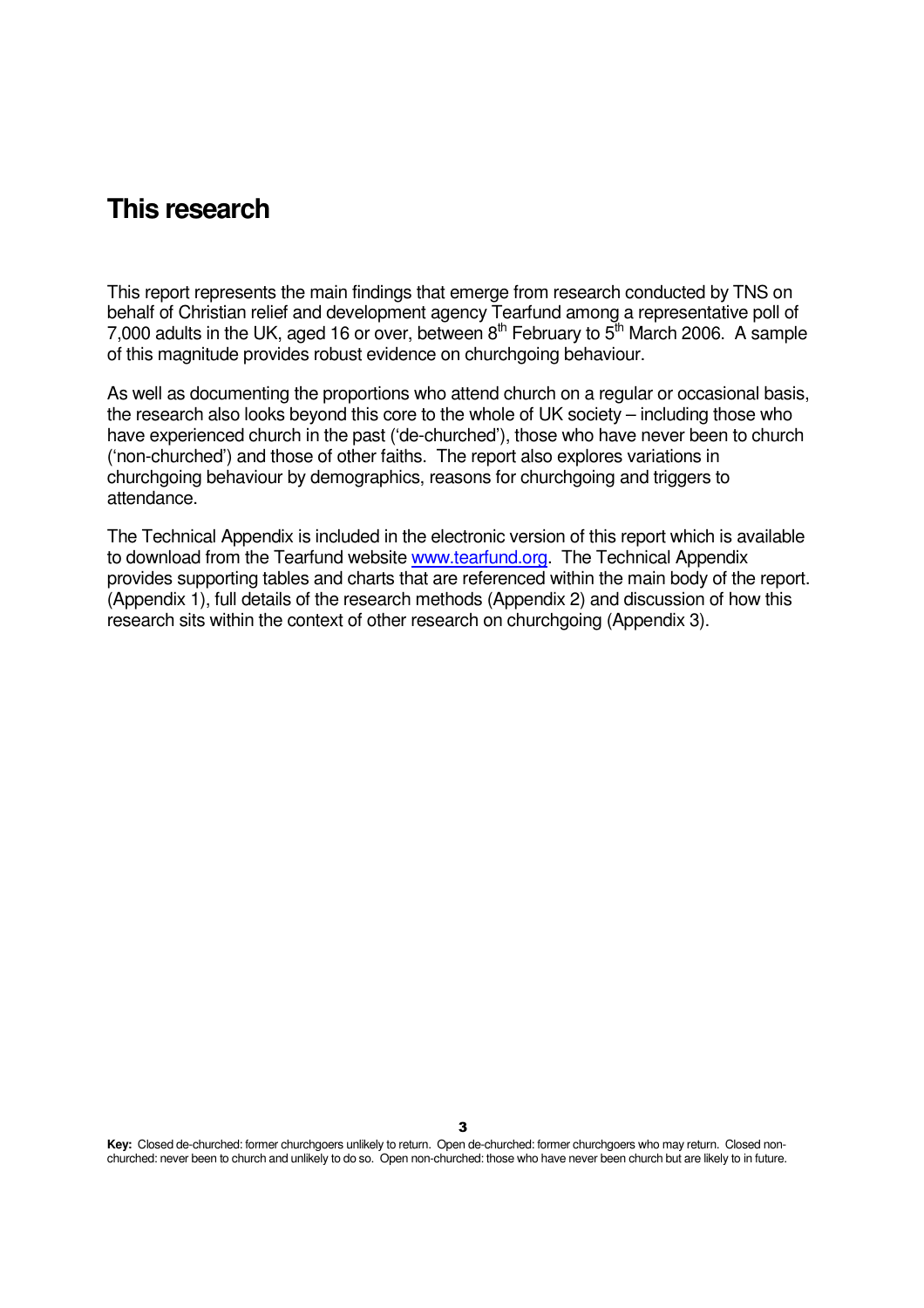### **This research**

This report represents the main findings that emerge from research conducted by TNS on behalf of Christian relief and development agency Tearfund among a representative poll of 7,000 adults in the UK, aged 16 or over, between  $8<sup>th</sup>$  February to  $5<sup>th</sup>$  March 2006. A sample of this magnitude provides robust evidence on churchgoing behaviour.

As well as documenting the proportions who attend church on a regular or occasional basis, the research also looks beyond this core to the whole of UK society – including those who have experienced church in the past ('de-churched'), those who have never been to church ('non-churched') and those of other faiths. The report also explores variations in churchgoing behaviour by demographics, reasons for churchgoing and triggers to attendance.

The Technical Appendix is included in the electronic version of this report which is available to download from the Tearfund website www.tearfund.org. The Technical Appendix provides supporting tables and charts that are referenced within the main body of the report. (Appendix 1), full details of the research methods (Appendix 2) and discussion of how this research sits within the context of other research on churchgoing (Appendix 3).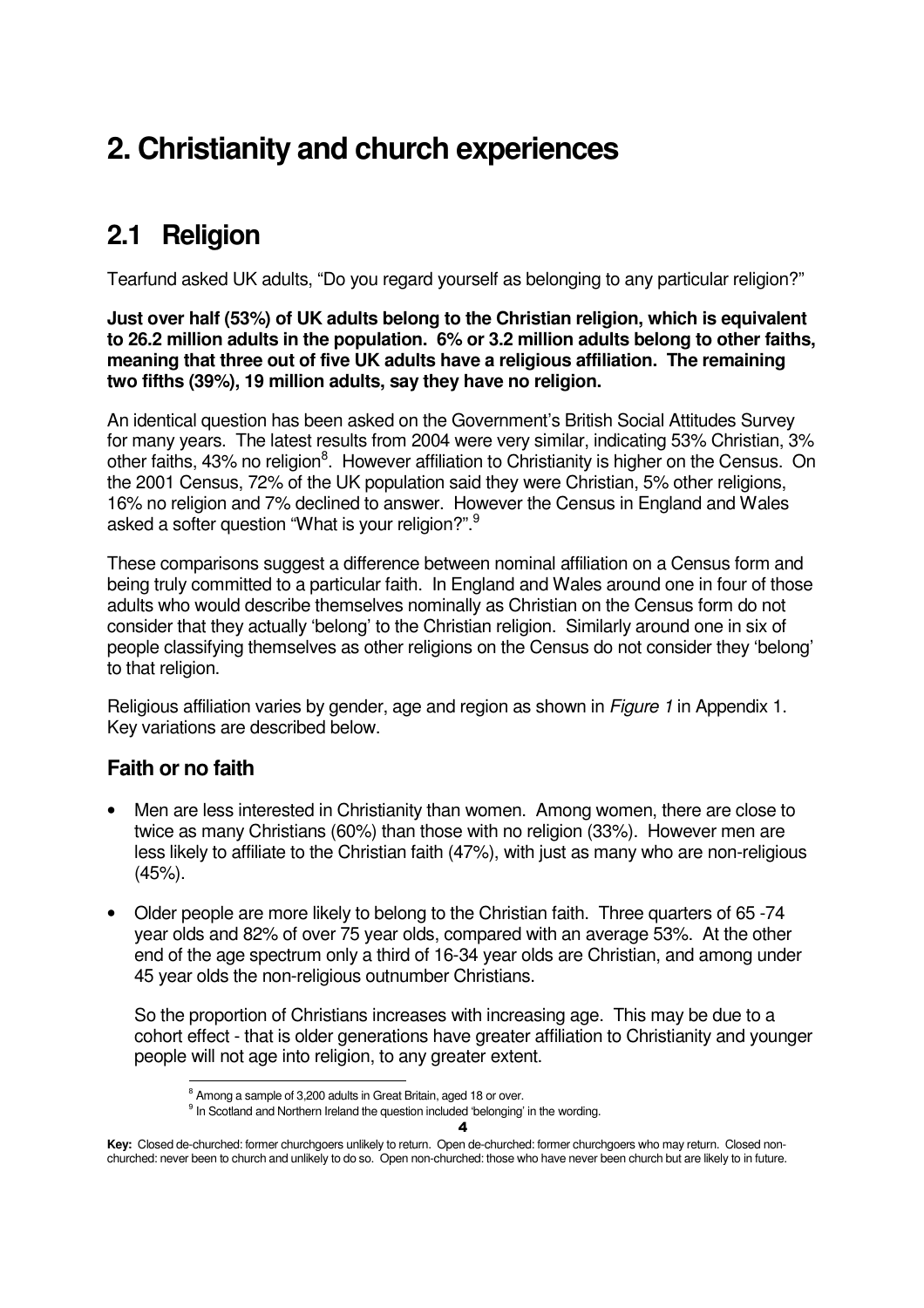# **2. Christianity and church experiences**

## **2.1 Religion**

Tearfund asked UK adults, "Do you regard yourself as belonging to any particular religion?"

**Just over half (53%) of UK adults belong to the Christian religion, which is equivalent to 26.2 million adults in the population. 6% or 3.2 million adults belong to other faiths, meaning that three out of five UK adults have a religious affiliation. The remaining two fifths (39%), 19 million adults, say they have no religion.** 

An identical question has been asked on the Government's British Social Attitudes Survey for many years. The latest results from 2004 were very similar, indicating 53% Christian, 3% other faiths, 43% no religion<sup>8</sup>. However affiliation to Christianity is higher on the Census. On the 2001 Census, 72% of the UK population said they were Christian, 5% other religions, 16% no religion and 7% declined to answer. However the Census in England and Wales asked a softer question "What is your religion?".<sup>9</sup>

These comparisons suggest a difference between nominal affiliation on a Census form and being truly committed to a particular faith. In England and Wales around one in four of those adults who would describe themselves nominally as Christian on the Census form do not consider that they actually 'belong' to the Christian religion. Similarly around one in six of people classifying themselves as other religions on the Census do not consider they 'belong' to that religion.

Religious affiliation varies by gender, age and region as shown in *Figure 1* in Appendix 1. Key variations are described below.

### **Faith or no faith**

- Men are less interested in Christianity than women. Among women, there are close to twice as many Christians (60%) than those with no religion (33%). However men are less likely to affiliate to the Christian faith (47%), with just as many who are non-religious (45%).
- Older people are more likely to belong to the Christian faith. Three quarters of 65 -74 year olds and 82% of over 75 year olds, compared with an average 53%. At the other end of the age spectrum only a third of 16-34 year olds are Christian, and among under 45 year olds the non-religious outnumber Christians.

So the proportion of Christians increases with increasing age. This may be due to a cohort effect - that is older generations have greater affiliation to Christianity and younger people will not age into religion, to any greater extent.

4

<sup>&</sup>lt;sup>8</sup> Among a sample of 3,200 adults in Great Britain, aged 18 or over.

<sup>&</sup>lt;sup>9</sup> In Scotland and Northern Ireland the question included 'belonging' in the wording.

**Key:** Closed de-churched: former churchgoers unlikely to return. Open de-churched: former churchgoers who may return. Closed nonchurched: never been to church and unlikely to do so. Open non-churched: those who have never been church but are likely to in future.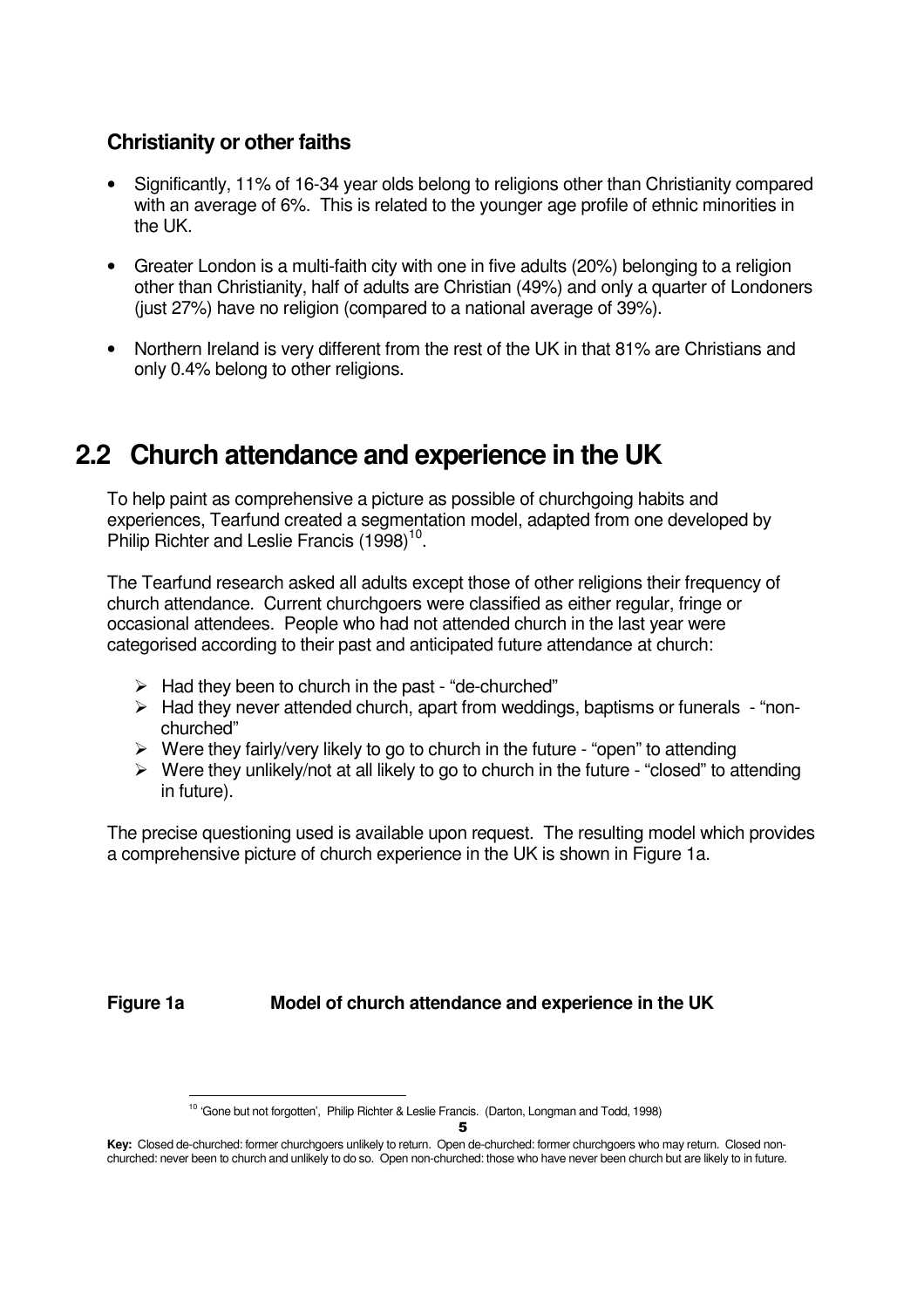### **Christianity or other faiths**

- Significantly, 11% of 16-34 year olds belong to religions other than Christianity compared with an average of 6%. This is related to the younger age profile of ethnic minorities in the UK.
- Greater London is a multi-faith city with one in five adults (20%) belonging to a religion other than Christianity, half of adults are Christian (49%) and only a quarter of Londoners (just 27%) have no religion (compared to a national average of 39%).
- Northern Ireland is very different from the rest of the UK in that 81% are Christians and only 0.4% belong to other religions.

### **2.2 Church attendance and experience in the UK**

To help paint as comprehensive a picture as possible of churchgoing habits and experiences, Tearfund created a segmentation model, adapted from one developed by Philip Richter and Leslie Francis  $(1998)^{10}$ .

The Tearfund research asked all adults except those of other religions their frequency of church attendance. Current churchgoers were classified as either regular, fringe or occasional attendees. People who had not attended church in the last year were categorised according to their past and anticipated future attendance at church:

- $\triangleright$  Had they been to church in the past "de-churched"
- $\triangleright$  Had they never attended church, apart from weddings, baptisms or funerals "nonchurched"
- $\triangleright$  Were they fairly/very likely to go to church in the future "open" to attending
- $\triangleright$  Were they unlikely/not at all likely to go to church in the future "closed" to attending in future).

The precise questioning used is available upon request. The resulting model which provides a comprehensive picture of church experience in the UK is shown in Figure 1a.

**Figure 1a Model of church attendance and experience in the UK** 

l <sup>10</sup> 'Gone but not forgotten', Philip Richter & Leslie Francis. (Darton, Longman and Todd, 1998)

**Key:** Closed de-churched: former churchgoers unlikely to return. Open de-churched: former churchgoers who may return. Closed nonchurched: never been to church and unlikely to do so. Open non-churched: those who have never been church but are likely to in future.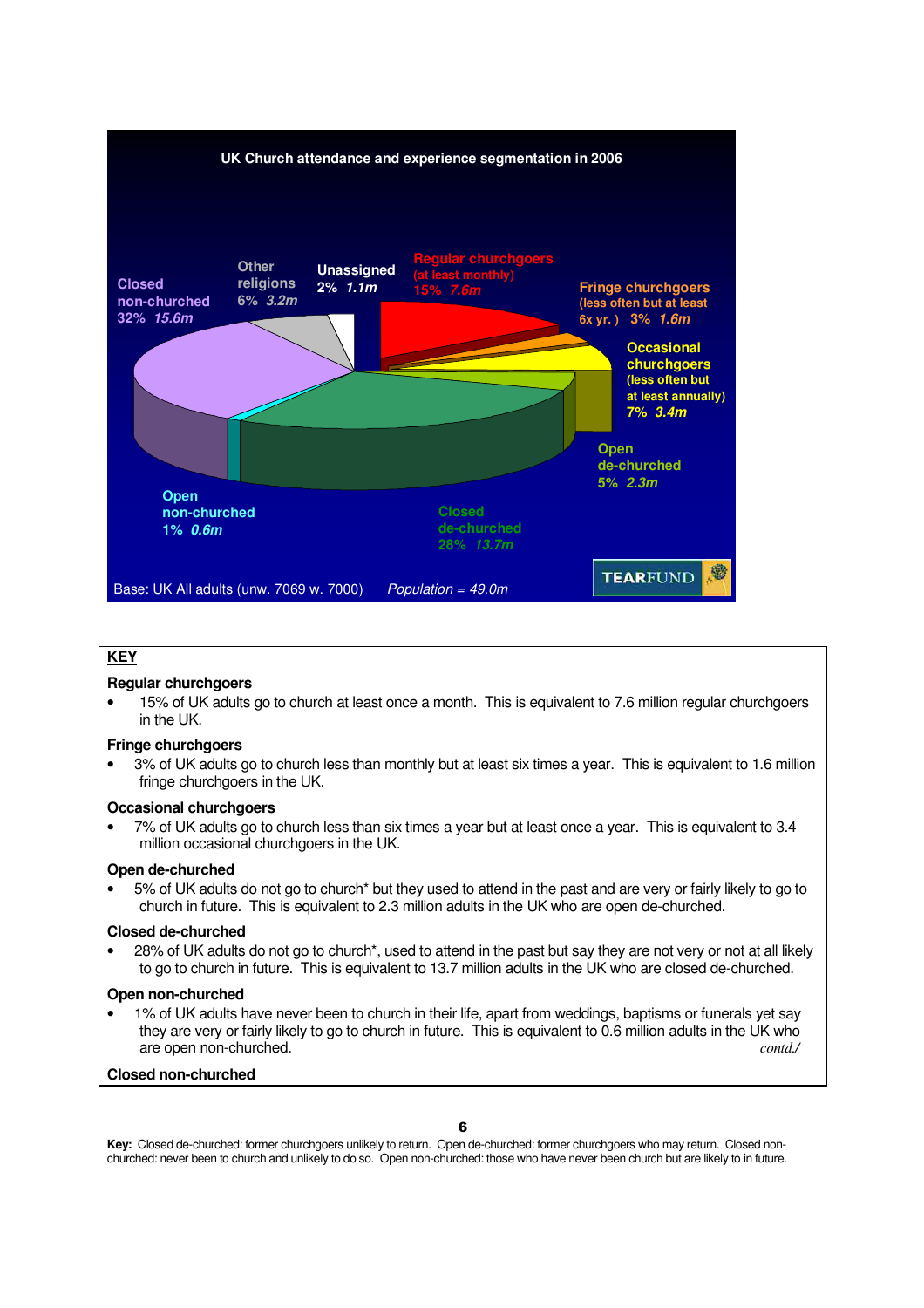

### **KEY**

### **Regular churchgoers**

• 15% of UK adults go to church at least once a month. This is equivalent to 7.6 million regular churchgoers in the UK.

### **Fringe churchgoers**

• 3% of UK adults go to church less than monthly but at least six times a year. This is equivalent to 1.6 million fringe churchgoers in the UK.

### **Occasional churchgoers**

• 7% of UK adults go to church less than six times a year but at least once a year. This is equivalent to 3.4 million occasional churchgoers in the UK.

### **Open de-churched**

• 5% of UK adults do not go to church\* but they used to attend in the past and are very or fairly likely to go to church in future. This is equivalent to 2.3 million adults in the UK who are open de-churched.

### **Closed de-churched**

• 28% of UK adults do not go to church\*, used to attend in the past but say they are not very or not at all likely to go to church in future. This is equivalent to 13.7 million adults in the UK who are closed de-churched.

### **Open non-churched**

• 1% of UK adults have never been to church in their life, apart from weddings, baptisms or funerals yet say they are very or fairly likely to go to church in future. This is equivalent to 0.6 million adults in the UK who are open non-churched. **contains a control** contains a contain contains a contain contains a contain contains a contain contains a contain contains a contain contains a contain contains a contain contains a contain contain

### **Closed non-churched**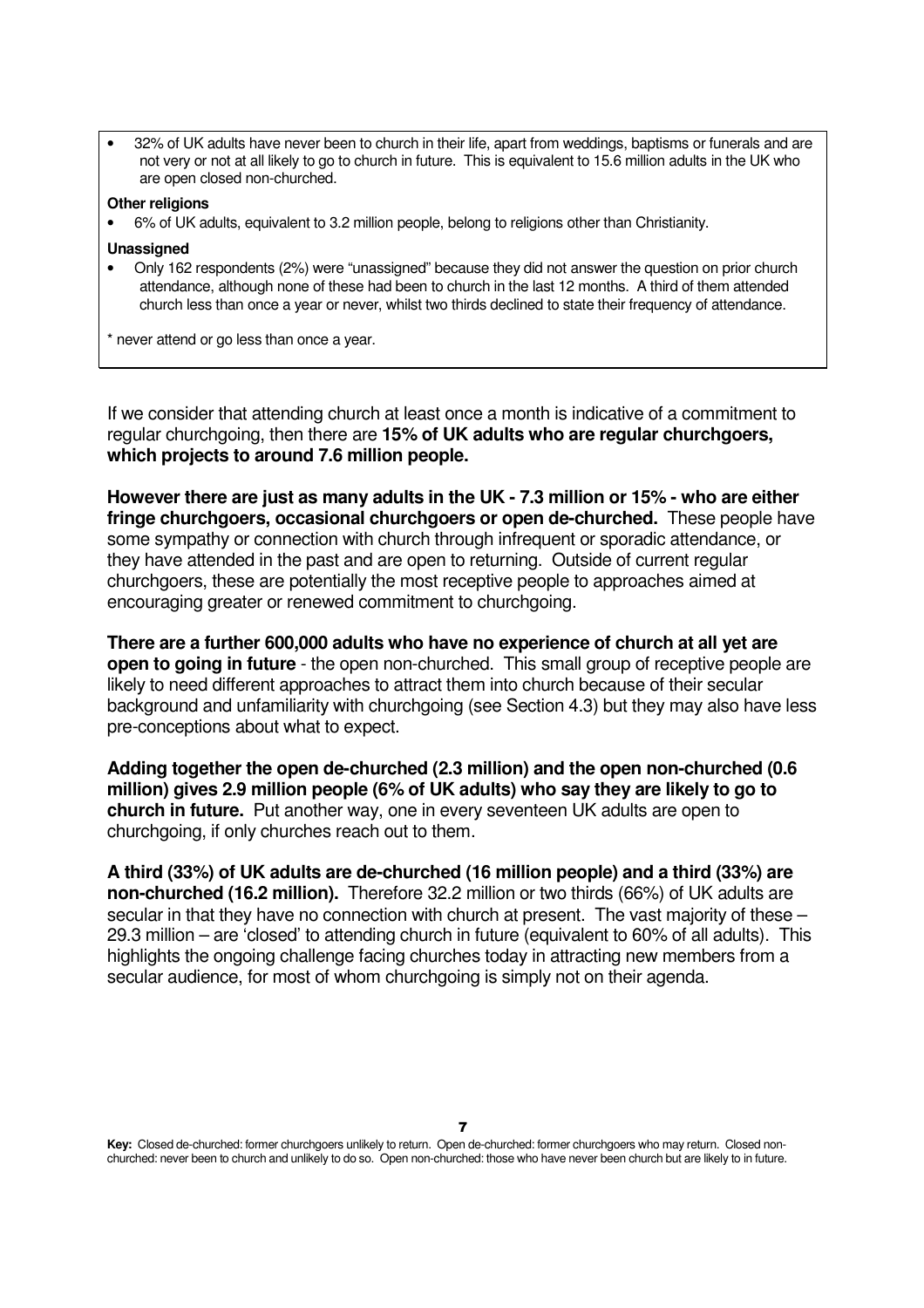• 32% of UK adults have never been to church in their life, apart from weddings, baptisms or funerals and are not very or not at all likely to go to church in future. This is equivalent to 15.6 million adults in the UK who are open closed non-churched.

### **Other religions**

• 6% of UK adults, equivalent to 3.2 million people, belong to religions other than Christianity.

#### **Unassigned**

• Only 162 respondents (2%) were "unassigned" because they did not answer the question on prior church attendance, although none of these had been to church in the last 12 months. A third of them attended church less than once a year or never, whilst two thirds declined to state their frequency of attendance.

\* never attend or go less than once a year.

If we consider that attending church at least once a month is indicative of a commitment to regular churchgoing, then there are **15% of UK adults who are regular churchgoers, which projects to around 7.6 million people.**

**However there are just as many adults in the UK - 7.3 million or 15% - who are either fringe churchgoers, occasional churchgoers or open de-churched.** These people have some sympathy or connection with church through infrequent or sporadic attendance, or they have attended in the past and are open to returning. Outside of current regular churchgoers, these are potentially the most receptive people to approaches aimed at encouraging greater or renewed commitment to churchgoing.

**There are a further 600,000 adults who have no experience of church at all yet are open to going in future** - the open non-churched. This small group of receptive people are likely to need different approaches to attract them into church because of their secular background and unfamiliarity with churchgoing (see Section 4.3) but they may also have less pre-conceptions about what to expect.

**Adding together the open de-churched (2.3 million) and the open non-churched (0.6 million) gives 2.9 million people (6% of UK adults) who say they are likely to go to church in future.** Put another way, one in every seventeen UK adults are open to churchgoing, if only churches reach out to them.

**A third (33%) of UK adults are de-churched (16 million people) and a third (33%) are non-churched (16.2 million).** Therefore 32.2 million or two thirds (66%) of UK adults are secular in that they have no connection with church at present. The vast majority of these – 29.3 million – are 'closed' to attending church in future (equivalent to 60% of all adults). This highlights the ongoing challenge facing churches today in attracting new members from a secular audience, for most of whom churchgoing is simply not on their agenda.

**Key:** Closed de-churched: former churchgoers unlikely to return. Open de-churched: former churchgoers who may return. Closed nonchurched: never been to church and unlikely to do so. Open non-churched: those who have never been church but are likely to in future.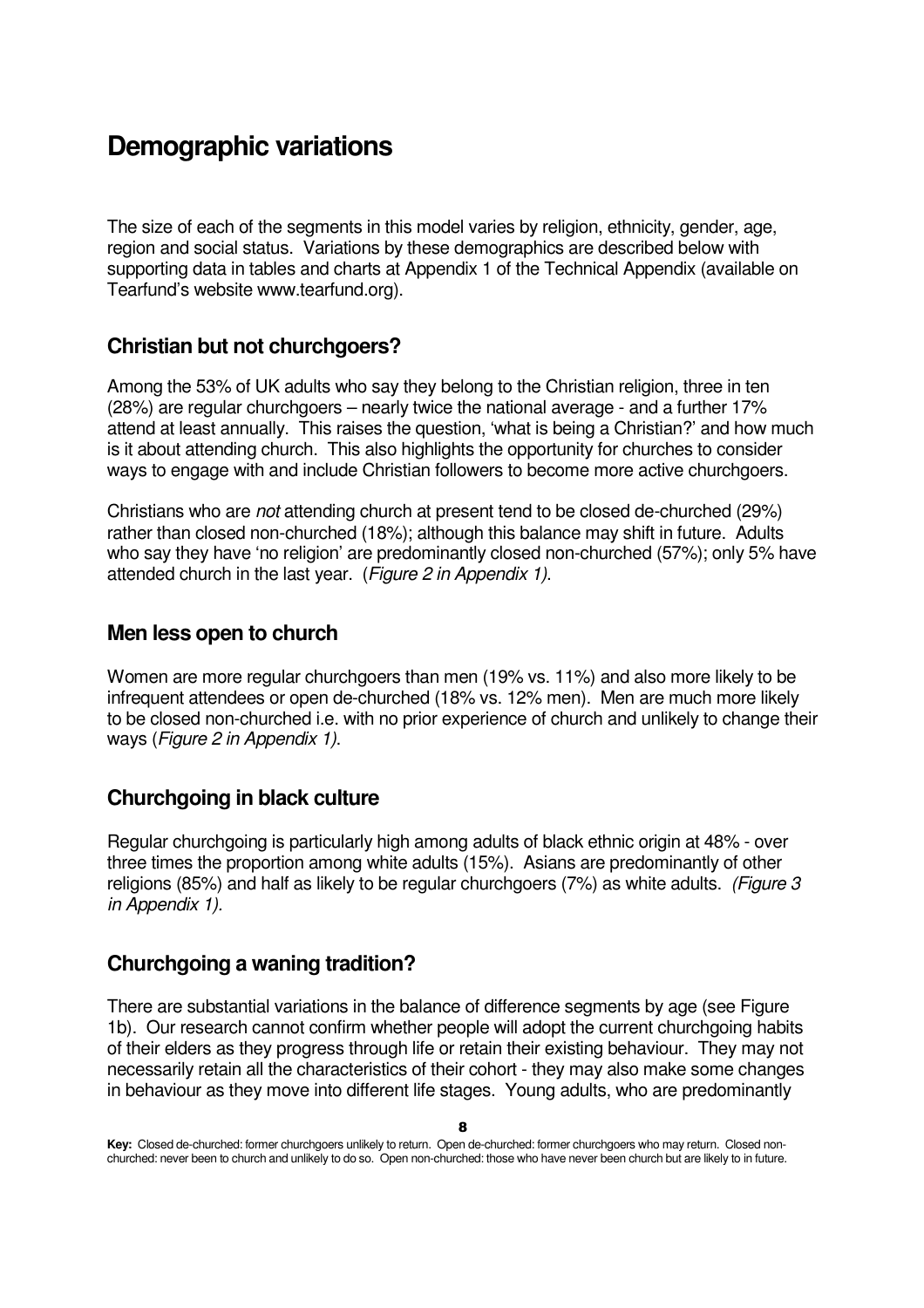### **Demographic variations**

The size of each of the segments in this model varies by religion, ethnicity, gender, age, region and social status. Variations by these demographics are described below with supporting data in tables and charts at Appendix 1 of the Technical Appendix (available on Tearfund's website www.tearfund.org).

### **Christian but not churchgoers?**

Among the 53% of UK adults who say they belong to the Christian religion, three in ten (28%) are regular churchgoers – nearly twice the national average - and a further 17% attend at least annually. This raises the question, 'what is being a Christian?' and how much is it about attending church. This also highlights the opportunity for churches to consider ways to engage with and include Christian followers to become more active churchgoers.

Christians who are not attending church at present tend to be closed de-churched (29%) rather than closed non-churched (18%); although this balance may shift in future. Adults who say they have 'no religion' are predominantly closed non-churched (57%); only 5% have attended church in the last year. (Figure 2 in Appendix 1).

### **Men less open to church**

Women are more regular churchgoers than men (19% vs. 11%) and also more likely to be infrequent attendees or open de-churched (18% vs. 12% men). Men are much more likely to be closed non-churched i.e. with no prior experience of church and unlikely to change their ways (Figure 2 in Appendix 1).

### **Churchgoing in black culture**

Regular churchgoing is particularly high among adults of black ethnic origin at 48% - over three times the proportion among white adults (15%). Asians are predominantly of other religions (85%) and half as likely to be regular churchgoers ( $7\%$ ) as white adults. (Figure 3 in Appendix 1).

### **Churchgoing a waning tradition?**

There are substantial variations in the balance of difference segments by age (see Figure 1b). Our research cannot confirm whether people will adopt the current churchgoing habits of their elders as they progress through life or retain their existing behaviour. They may not necessarily retain all the characteristics of their cohort - they may also make some changes in behaviour as they move into different life stages. Young adults, who are predominantly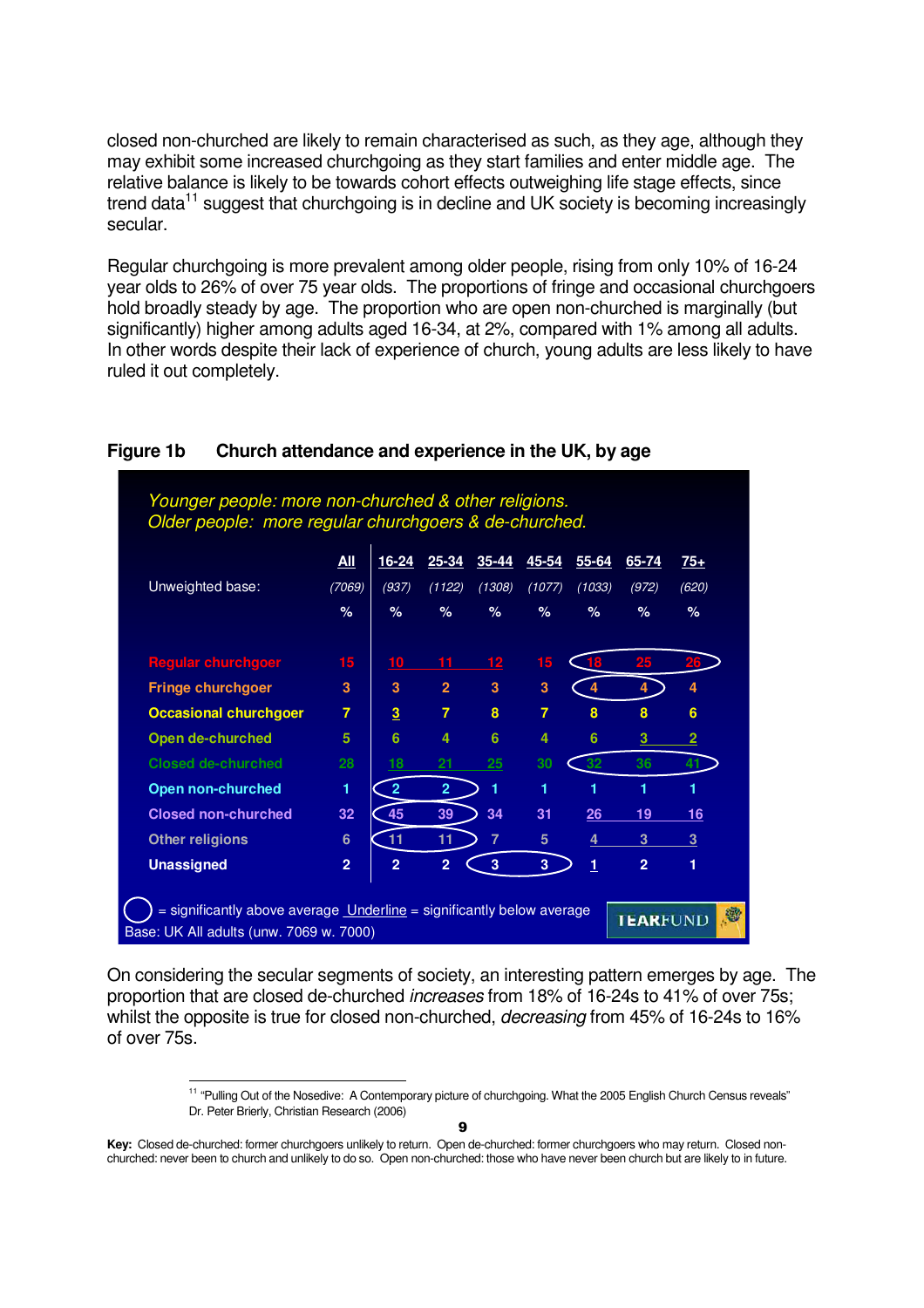closed non-churched are likely to remain characterised as such, as they age, although they may exhibit some increased churchgoing as they start families and enter middle age. The relative balance is likely to be towards cohort effects outweighing life stage effects, since trend data<sup>11</sup> suggest that churchgoing is in decline and UK society is becoming increasingly secular.

Regular churchgoing is more prevalent among older people, rising from only 10% of 16-24 year olds to 26% of over 75 year olds. The proportions of fringe and occasional churchgoers hold broadly steady by age. The proportion who are open non-churched is marginally (but significantly) higher among adults aged 16-34, at 2%, compared with 1% among all adults. In other words despite their lack of experience of church, young adults are less likely to have ruled it out completely.

| <u>All</u>     | <u>16-24</u>            | $25 - 34$       | 35-44          | $45 - 54$      | $55 - 64$ | 65-74          | $75+$          |
|----------------|-------------------------|-----------------|----------------|----------------|-----------|----------------|----------------|
| (7069)         | (937)                   | (1122)          | (1308)         | (1077)         | (1033)    | (972)          | (620)          |
| %              | %                       | %               | %              | %              | %         | %              | $\%$           |
| 15             | 10                      | 11              | 12             | 15             | 18        | 25             |                |
| 3              | $\overline{\mathbf{3}}$ | $\overline{2}$  | $\overline{3}$ | 3              | 4         | 4              |                |
| $\overline{7}$ | $\overline{3}$          | $\overline{7}$  | 8              | $\overline{7}$ | 8         | 8              | 6              |
| 5              | 6                       | 4               | 6              | 4              | 6         | 3              | $\overline{2}$ |
| 28             | 18                      | $\overline{21}$ | 25             | 30             | 32        | 36             | 41             |
| 1              | $\overline{2}$          | $\overline{2}$  | 1              | 1              | 1         | 1              |                |
| 32             | 45                      | 39              | 34             | 31             | 26        | 19             | 16             |
| 6              | 11                      | 11              | $\overline{7}$ | 5              | 4         | 3              | 3              |
| $\overline{2}$ | $\overline{2}$          | $\overline{2}$  | 3              | 3              | 1         | $\overline{2}$ | 1              |
|                |                         |                 |                |                |           |                |                |

### **Figure 1b Church attendance and experience in the UK, by age**

Younger people: more non-churched & other religions.

On considering the secular segments of society, an interesting pattern emerges by age. The proportion that are closed de-churched increases from 18% of 16-24s to 41% of over 75s; whilst the opposite is true for closed non-churched, *decreasing* from 45% of 16-24s to 16% of over 75s.

1

<sup>&</sup>lt;sup>11</sup> "Pulling Out of the Nosedive: A Contemporary picture of churchgoing. What the 2005 English Church Census reveals" Dr. Peter Brierly, Christian Research (2006)

**Key:** Closed de-churched: former churchgoers unlikely to return. Open de-churched: former churchgoers who may return. Closed nonchurched: never been to church and unlikely to do so. Open non-churched: those who have never been church but are likely to in future.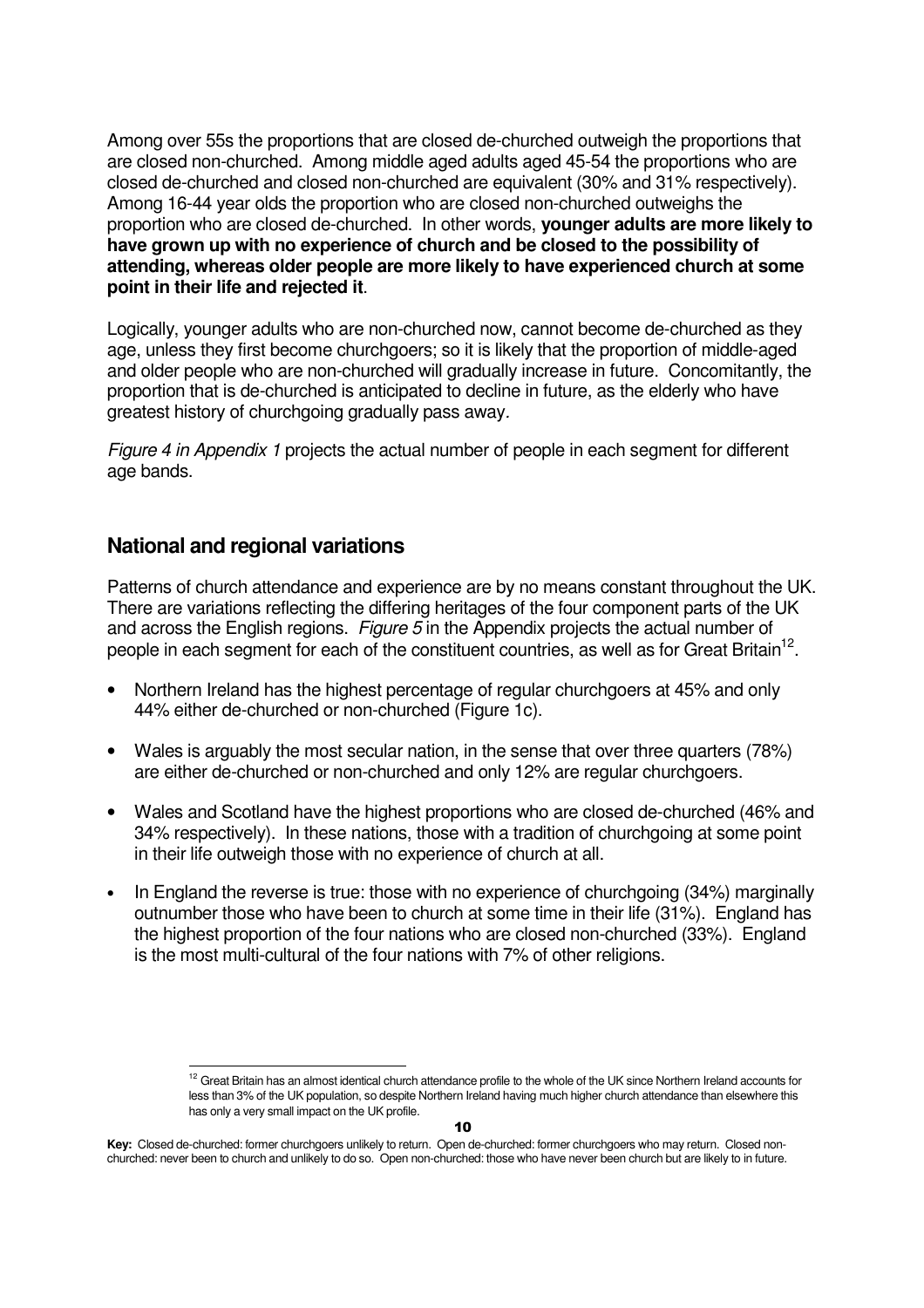Among over 55s the proportions that are closed de-churched outweigh the proportions that are closed non-churched. Among middle aged adults aged 45-54 the proportions who are closed de-churched and closed non-churched are equivalent (30% and 31% respectively). Among 16-44 year olds the proportion who are closed non-churched outweighs the proportion who are closed de-churched. In other words, **younger adults are more likely to have grown up with no experience of church and be closed to the possibility of attending, whereas older people are more likely to have experienced church at some point in their life and rejected it**.

Logically, younger adults who are non-churched now, cannot become de-churched as they age, unless they first become churchgoers; so it is likely that the proportion of middle-aged and older people who are non-churched will gradually increase in future. Concomitantly, the proportion that is de-churched is anticipated to decline in future, as the elderly who have greatest history of churchgoing gradually pass away.

Figure 4 in Appendix 1 projects the actual number of people in each segment for different age bands.

### **National and regional variations**

l

Patterns of church attendance and experience are by no means constant throughout the UK. There are variations reflecting the differing heritages of the four component parts of the UK and across the English regions. Figure 5 in the Appendix projects the actual number of people in each segment for each of the constituent countries, as well as for Great Britain<sup>12</sup>.

- Northern Ireland has the highest percentage of regular churchgoers at 45% and only 44% either de-churched or non-churched (Figure 1c).
- Wales is arguably the most secular nation, in the sense that over three quarters (78%) are either de-churched or non-churched and only 12% are regular churchgoers.
- Wales and Scotland have the highest proportions who are closed de-churched (46% and 34% respectively). In these nations, those with a tradition of churchgoing at some point in their life outweigh those with no experience of church at all.
- In England the reverse is true: those with no experience of churchgoing (34%) marginally outnumber those who have been to church at some time in their life (31%). England has the highest proportion of the four nations who are closed non-churched (33%). England is the most multi-cultural of the four nations with 7% of other religions.

<sup>&</sup>lt;sup>12</sup> Great Britain has an almost identical church attendance profile to the whole of the UK since Northern Ireland accounts for less than 3% of the UK population, so despite Northern Ireland having much higher church attendance than elsewhere this has only a very small impact on the UK profile.

**Key:** Closed de-churched: former churchgoers unlikely to return. Open de-churched: former churchgoers who may return. Closed nonchurched: never been to church and unlikely to do so. Open non-churched: those who have never been church but are likely to in future.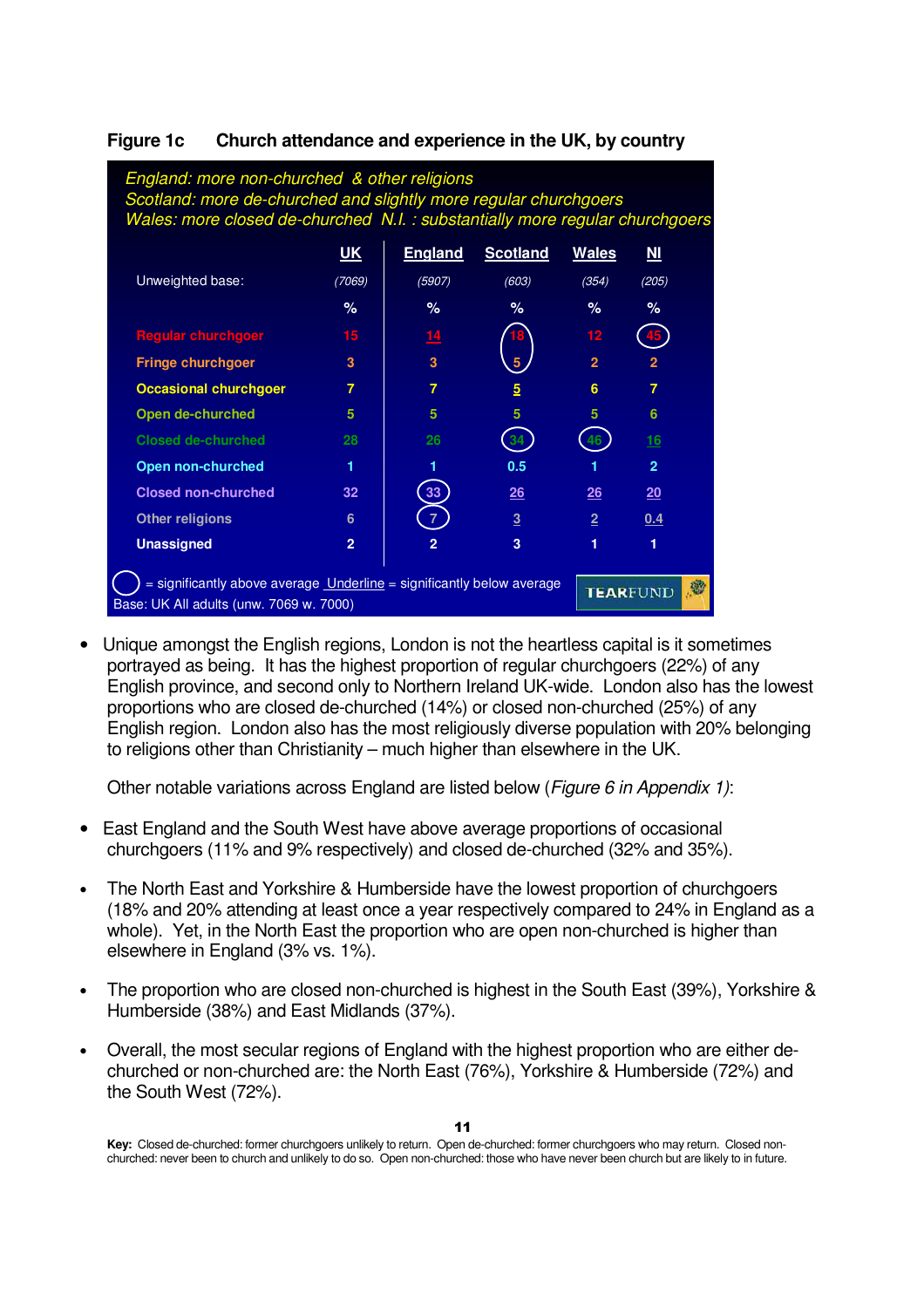| England: more non-churched & other religions<br>Scotland: more de-churched and slightly more regular churchgoers<br>Wales: more closed de-churched N.I. : substantially more regular churchgoers |                |                 |                 |                |                |  |  |  |  |
|--------------------------------------------------------------------------------------------------------------------------------------------------------------------------------------------------|----------------|-----------------|-----------------|----------------|----------------|--|--|--|--|
|                                                                                                                                                                                                  | <u>UK</u>      | <b>England</b>  | <b>Scotland</b> | <b>Wales</b>   | $M$            |  |  |  |  |
| Unweighted base:                                                                                                                                                                                 | (7069)         | (5907)          | (603)           | (354)          | (205)          |  |  |  |  |
|                                                                                                                                                                                                  | %              | $\%$            | %               | $\%$           | %              |  |  |  |  |
| <b>Regular churchgoer</b>                                                                                                                                                                        | 15             | 14              |                 | 12             |                |  |  |  |  |
| <b>Fringe churchgoer</b>                                                                                                                                                                         | 3              | 3               | 5               | $\overline{2}$ | $\overline{2}$ |  |  |  |  |
| <b>Occasional churchgoer</b>                                                                                                                                                                     | 7              | 7               | $5\overline{)}$ | 6              | 7              |  |  |  |  |
| Open de-churched                                                                                                                                                                                 | 5              | 5               | 5               | 5              | 6              |  |  |  |  |
| <b>Closed de-churched</b>                                                                                                                                                                        | 28             | 26              | 34              | 46             | <u> 16</u>     |  |  |  |  |
| <b>Open non-churched</b>                                                                                                                                                                         |                |                 | 0.5             |                | $\overline{2}$ |  |  |  |  |
| <b>Closed non-churched</b>                                                                                                                                                                       | 32             | 33              | 26              | 26             | 20             |  |  |  |  |
| <b>Other religions</b>                                                                                                                                                                           | 6              | 7               | $\overline{3}$  | $\overline{2}$ | 0.4            |  |  |  |  |
| <b>Unassigned</b>                                                                                                                                                                                | $\overline{2}$ | 2               | 3               | 1              | 1              |  |  |  |  |
| = significantly above average Underline = significantly below average<br>Base: UK All adults (unw. 7069 w. 7000)                                                                                 |                | <b>TEARFUND</b> | 龝               |                |                |  |  |  |  |

### **Figure 1c Church attendance and experience in the UK, by country**

• Unique amongst the English regions, London is not the heartless capital is it sometimes portrayed as being. It has the highest proportion of regular churchgoers (22%) of any English province, and second only to Northern Ireland UK-wide. London also has the lowest proportions who are closed de-churched (14%) or closed non-churched (25%) of any English region. London also has the most religiously diverse population with 20% belonging to religions other than Christianity – much higher than elsewhere in the UK.

Other notable variations across England are listed below (Figure 6 in Appendix 1):

- East England and the South West have above average proportions of occasional churchgoers (11% and 9% respectively) and closed de-churched (32% and 35%).
- The North East and Yorkshire & Humberside have the lowest proportion of churchgoers (18% and 20% attending at least once a year respectively compared to 24% in England as a whole). Yet, in the North East the proportion who are open non-churched is higher than elsewhere in England (3% vs. 1%).
- The proportion who are closed non-churched is highest in the South East (39%), Yorkshire & Humberside (38%) and East Midlands (37%).
- Overall, the most secular regions of England with the highest proportion who are either dechurched or non-churched are: the North East (76%), Yorkshire & Humberside (72%) and the South West (72%).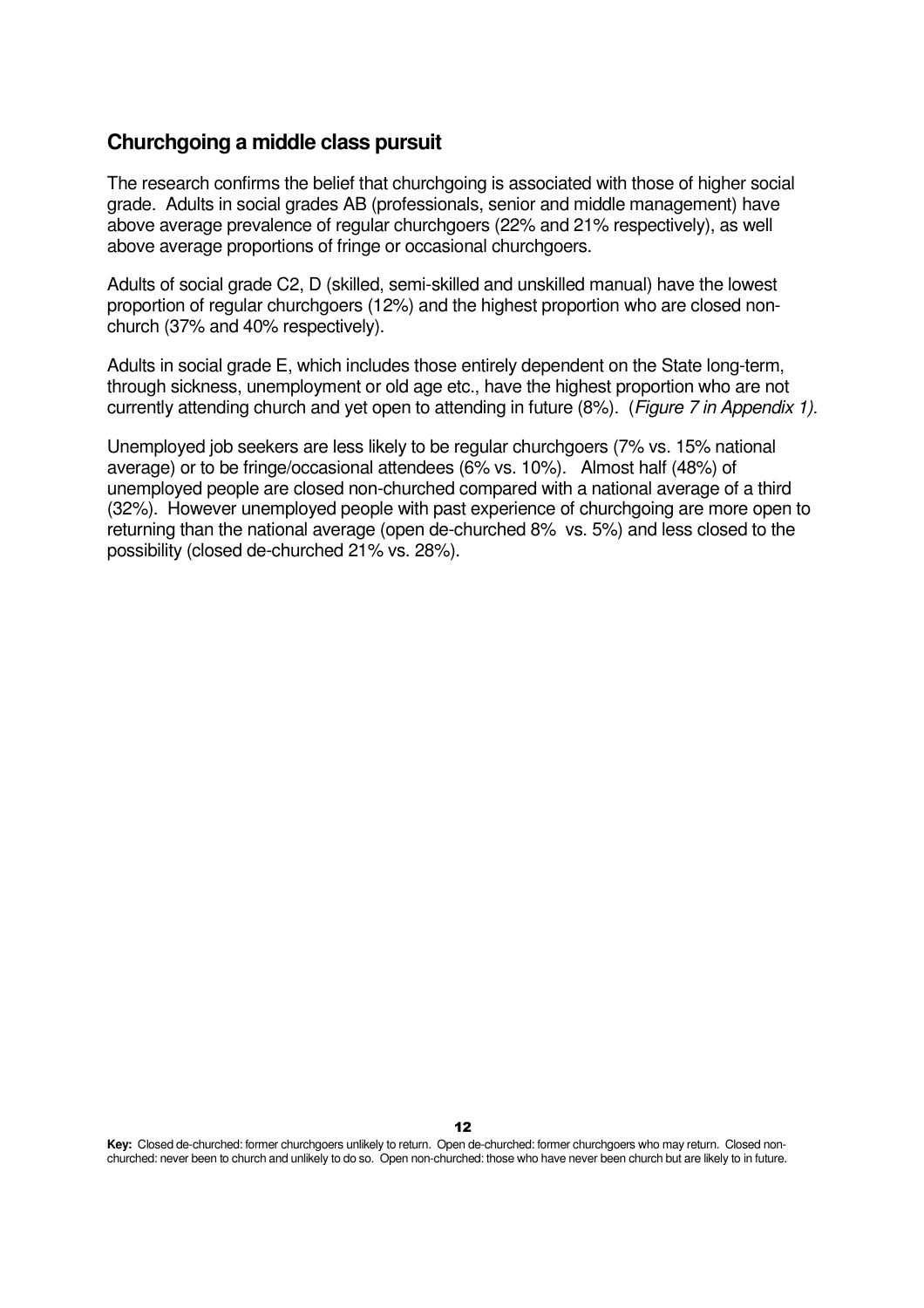### **Churchgoing a middle class pursuit**

The research confirms the belief that churchgoing is associated with those of higher social grade. Adults in social grades AB (professionals, senior and middle management) have above average prevalence of regular churchgoers (22% and 21% respectively), as well above average proportions of fringe or occasional churchgoers.

Adults of social grade C2, D (skilled, semi-skilled and unskilled manual) have the lowest proportion of regular churchgoers (12%) and the highest proportion who are closed nonchurch (37% and 40% respectively).

Adults in social grade E, which includes those entirely dependent on the State long-term, through sickness, unemployment or old age etc., have the highest proportion who are not currently attending church and yet open to attending in future (8%). (Figure 7 in Appendix 1).

Unemployed job seekers are less likely to be regular churchgoers (7% vs. 15% national average) or to be fringe/occasional attendees (6% vs. 10%). Almost half (48%) of unemployed people are closed non-churched compared with a national average of a third (32%). However unemployed people with past experience of churchgoing are more open to returning than the national average (open de-churched 8% vs. 5%) and less closed to the possibility (closed de-churched 21% vs. 28%).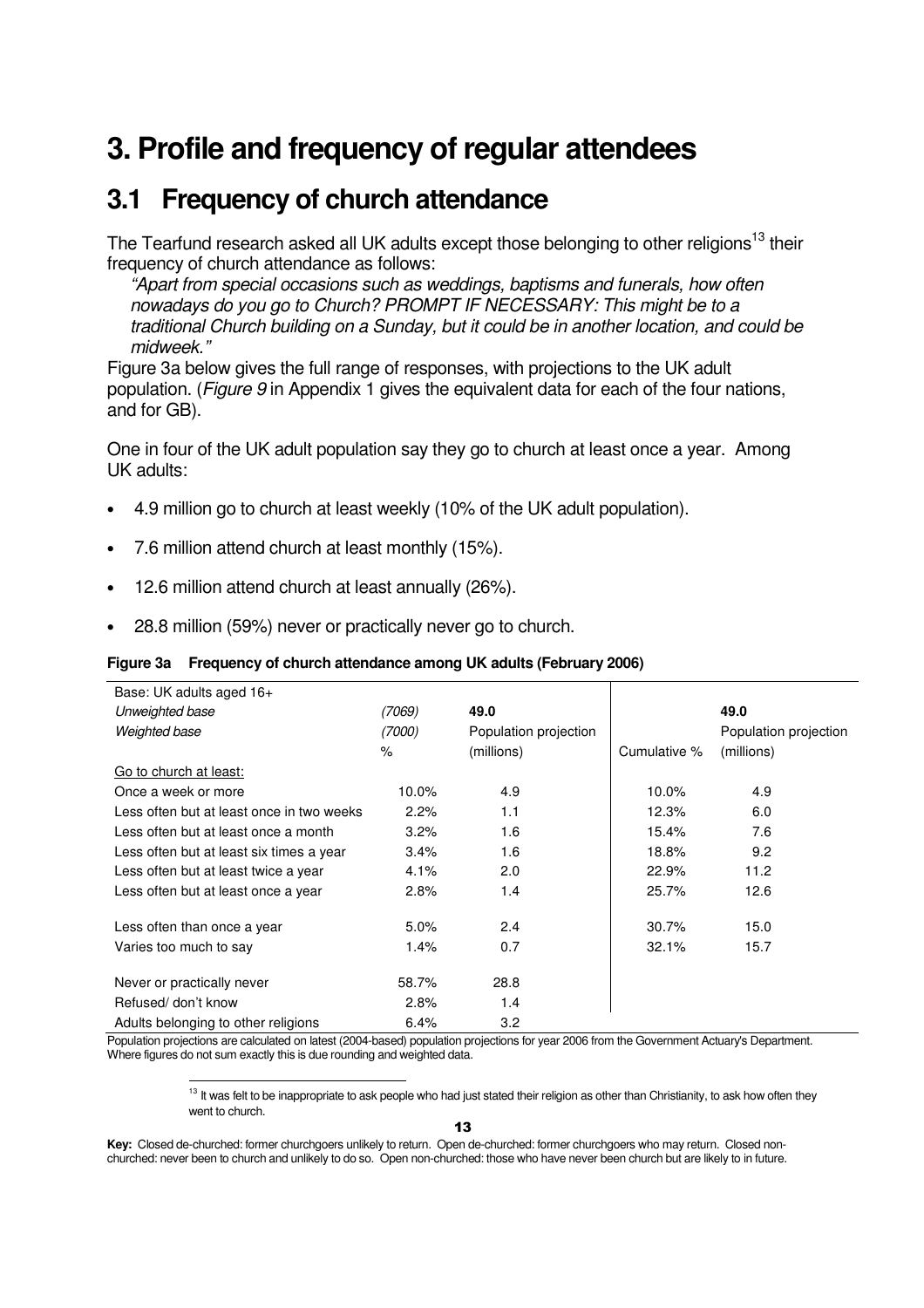# **3. Profile and frequency of regular attendees**

### **3.1 Frequency of church attendance**

The Tearfund research asked all UK adults except those belonging to other religions<sup>13</sup> their frequency of church attendance as follows:

"Apart from special occasions such as weddings, baptisms and funerals, how often nowadays do you go to Church? PROMPT IF NECESSARY: This might be to a traditional Church building on a Sunday, but it could be in another location, and could be midweek."

Figure 3a below gives the full range of responses, with projections to the UK adult population. (*Figure 9* in Appendix 1 gives the equivalent data for each of the four nations, and for GB).

One in four of the UK adult population say they go to church at least once a year. Among UK adults:

- 4.9 million go to church at least weekly (10% of the UK adult population).
- 7.6 million attend church at least monthly (15%).
- 12.6 million attend church at least annually (26%).

1

• 28.8 million (59%) never or practically never go to church.

### **Figure 3a Frequency of church attendance among UK adults (February 2006)**

| Base: UK adults aged 16+                  |        |                       |              |                       |
|-------------------------------------------|--------|-----------------------|--------------|-----------------------|
| Unweighted base                           | (7069) | 49.0                  |              | 49.0                  |
| Weighted base                             | (7000) | Population projection |              | Population projection |
|                                           | $\%$   | (millions)            | Cumulative % | (millions)            |
| Go to church at least:                    |        |                       |              |                       |
| Once a week or more                       | 10.0%  | 4.9                   | 10.0%        | 4.9                   |
| Less often but at least once in two weeks | 2.2%   | 1.1                   | 12.3%        | 6.0                   |
| Less often but at least once a month      | 3.2%   | 1.6                   | 15.4%        | 7.6                   |
| Less often but at least six times a year  | 3.4%   | 1.6                   | 18.8%        | 9.2                   |
| Less often but at least twice a year      | 4.1%   | 2.0                   | 22.9%        | 11.2                  |
| Less often but at least once a year       | 2.8%   | 1.4                   | 25.7%        | 12.6                  |
|                                           |        |                       |              |                       |
| Less often than once a year               | 5.0%   | 2.4                   | 30.7%        | 15.0                  |
| Varies too much to say                    | 1.4%   | 0.7                   | 32.1%        | 15.7                  |
| Never or practically never                | 58.7%  | 28.8                  |              |                       |
| Refused/ don't know                       | 2.8%   | 1.4                   |              |                       |
| Adults belonging to other religions       | 6.4%   | 3.2                   |              |                       |

Population projections are calculated on latest (2004-based) population projections for year 2006 from the Government Actuary's Department. Where figures do not sum exactly this is due rounding and weighted data.

> $13$  It was felt to be inappropriate to ask people who had just stated their religion as other than Christianity, to ask how often they went to church.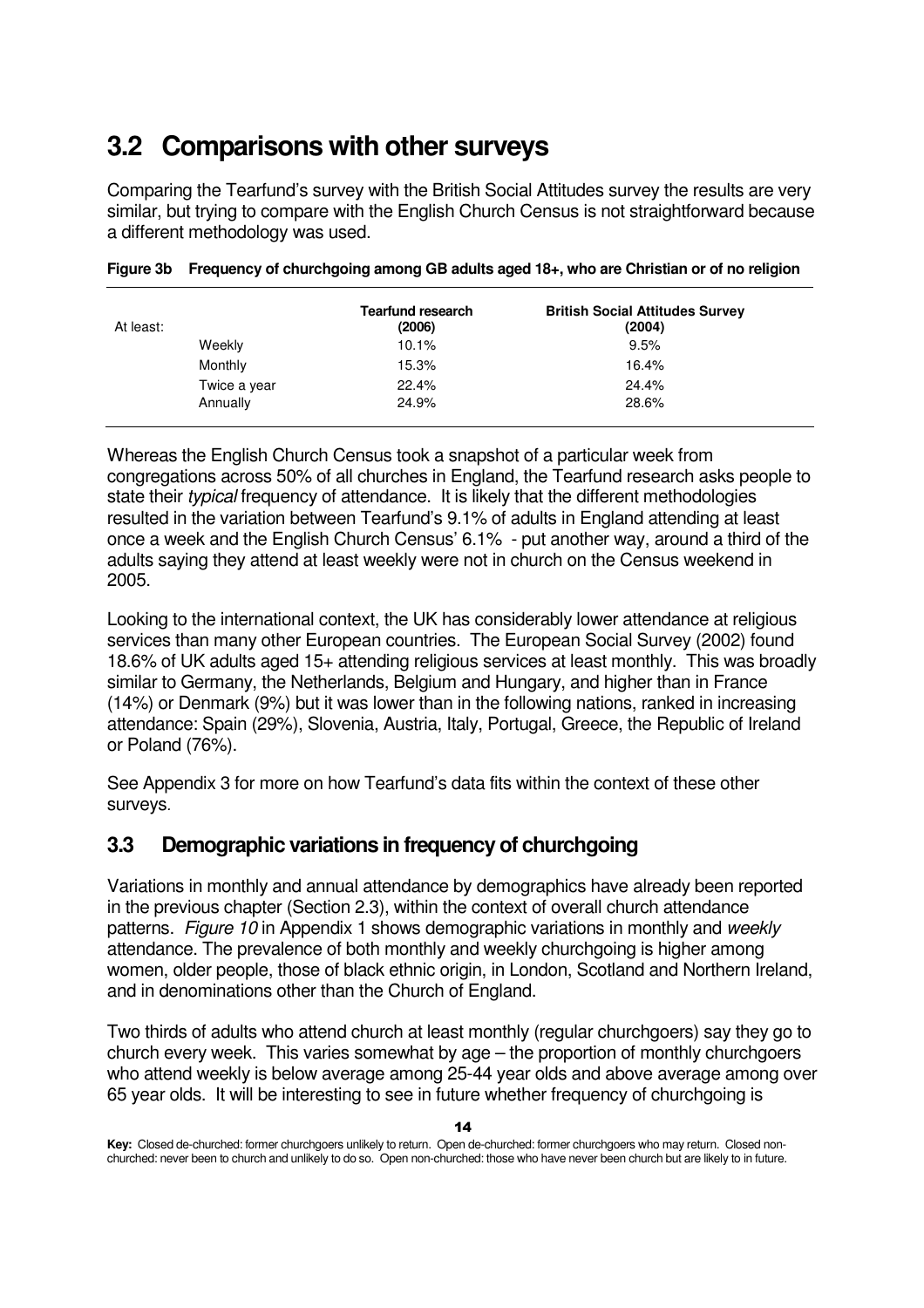# **3.2 Comparisons with other surveys**

Comparing the Tearfund's survey with the British Social Attitudes survey the results are very similar, but trying to compare with the English Church Census is not straightforward because a different methodology was used.

| At least:    | <b>Tearfund research</b><br>(2006) | <b>British Social Attitudes Survey</b><br>(2004) |
|--------------|------------------------------------|--------------------------------------------------|
| Weekly       | 10.1%                              | 9.5%                                             |
| Monthly      | 15.3%                              | 16.4%                                            |
| Twice a year | 22.4%                              | 24.4%                                            |
| Annually     | 24.9%                              | 28.6%                                            |

|  |  |  | Figure 3b Frequency of churchgoing among GB adults aged 18+, who are Christian or of no religion |
|--|--|--|--------------------------------------------------------------------------------------------------|
|--|--|--|--------------------------------------------------------------------------------------------------|

Whereas the English Church Census took a snapshot of a particular week from congregations across 50% of all churches in England, the Tearfund research asks people to state their *typical* frequency of attendance. It is likely that the different methodologies resulted in the variation between Tearfund's 9.1% of adults in England attending at least once a week and the English Church Census' 6.1% - put another way, around a third of the adults saying they attend at least weekly were not in church on the Census weekend in 2005.

Looking to the international context, the UK has considerably lower attendance at religious services than many other European countries. The European Social Survey (2002) found 18.6% of UK adults aged 15+ attending religious services at least monthly. This was broadly similar to Germany, the Netherlands, Belgium and Hungary, and higher than in France (14%) or Denmark (9%) but it was lower than in the following nations, ranked in increasing attendance: Spain (29%), Slovenia, Austria, Italy, Portugal, Greece, the Republic of Ireland or Poland (76%).

See Appendix 3 for more on how Tearfund's data fits within the context of these other surveys.

### **3.3 Demographic variations in frequency of churchgoing**

Variations in monthly and annual attendance by demographics have already been reported in the previous chapter (Section 2.3), within the context of overall church attendance patterns. Figure 10 in Appendix 1 shows demographic variations in monthly and weekly attendance. The prevalence of both monthly and weekly churchgoing is higher among women, older people, those of black ethnic origin, in London, Scotland and Northern Ireland, and in denominations other than the Church of England.

Two thirds of adults who attend church at least monthly (regular churchgoers) say they go to church every week. This varies somewhat by age – the proportion of monthly churchgoers who attend weekly is below average among 25-44 year olds and above average among over 65 year olds. It will be interesting to see in future whether frequency of churchgoing is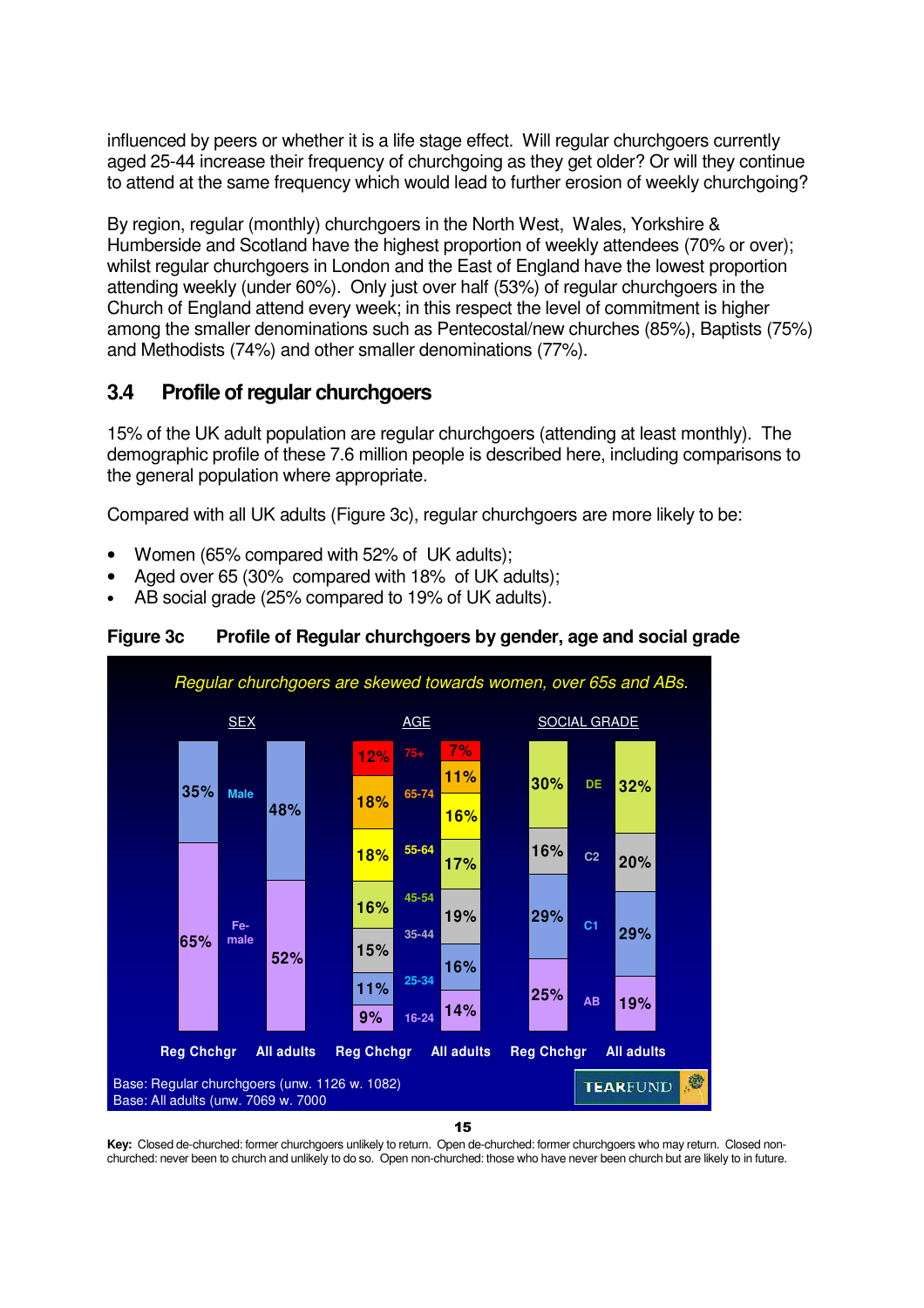influenced by peers or whether it is a life stage effect. Will regular churchgoers currently aged 25-44 increase their frequency of churchgoing as they get older? Or will they continue to attend at the same frequency which would lead to further erosion of weekly churchgoing?

By region, regular (monthly) churchgoers in the North West, Wales, Yorkshire & Humberside and Scotland have the highest proportion of weekly attendees (70% or over); whilst regular churchgoers in London and the East of England have the lowest proportion attending weekly (under 60%). Only just over half (53%) of regular churchgoers in the Church of England attend every week; in this respect the level of commitment is higher among the smaller denominations such as Pentecostal/new churches (85%), Baptists (75%) and Methodists (74%) and other smaller denominations (77%).

### **3.4 Profile of regular churchgoers**

15% of the UK adult population are regular churchgoers (attending at least monthly). The demographic profile of these 7.6 million people is described here, including comparisons to the general population where appropriate.

Compared with all UK adults (Figure 3c), regular churchgoers are more likely to be:

- Women (65% compared with 52% of UK adults);
- Aged over 65 (30% compared with 18% of UK adults);
- AB social grade (25% compared to 19% of UK adults).



**Figure 3c Profile of Regular churchgoers by gender, age and social grade**

15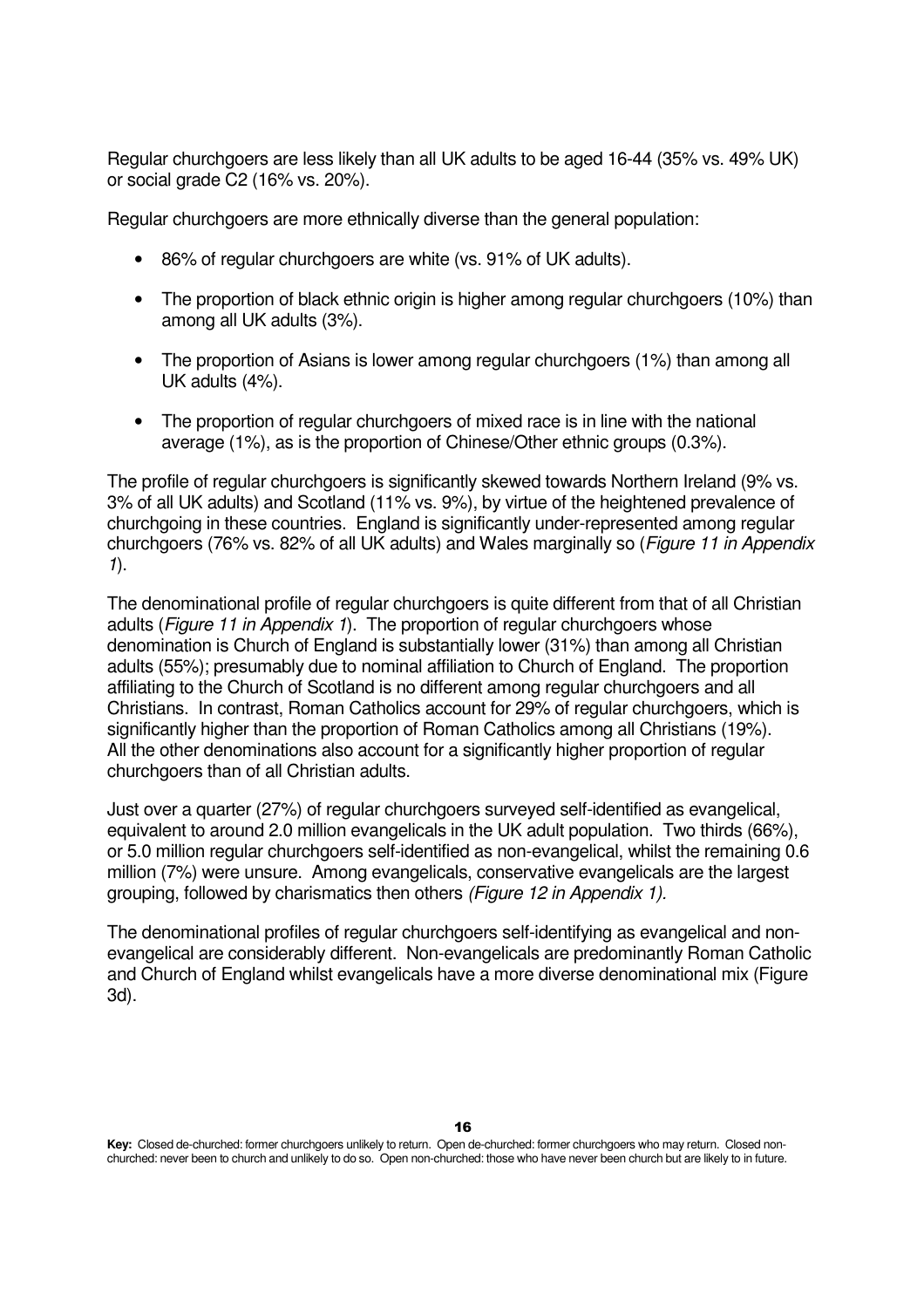Regular churchgoers are less likely than all UK adults to be aged 16-44 (35% vs. 49% UK) or social grade C2 (16% vs. 20%).

Regular churchgoers are more ethnically diverse than the general population:

- 86% of regular churchgoers are white (vs. 91% of UK adults).
- The proportion of black ethnic origin is higher among regular churchgoers (10%) than among all UK adults (3%).
- The proportion of Asians is lower among regular churchgoers (1%) than among all UK adults (4%).
- The proportion of regular churchgoers of mixed race is in line with the national average (1%), as is the proportion of Chinese/Other ethnic groups (0.3%).

The profile of regular churchgoers is significantly skewed towards Northern Ireland (9% vs. 3% of all UK adults) and Scotland (11% vs. 9%), by virtue of the heightened prevalence of churchgoing in these countries. England is significantly under-represented among regular churchgoers (76% vs. 82% of all UK adults) and Wales marginally so (Figure 11 in Appendix 1).

The denominational profile of regular churchgoers is quite different from that of all Christian adults (Figure 11 in Appendix 1). The proportion of regular churchgoers whose denomination is Church of England is substantially lower (31%) than among all Christian adults (55%); presumably due to nominal affiliation to Church of England. The proportion affiliating to the Church of Scotland is no different among regular churchgoers and all Christians. In contrast, Roman Catholics account for 29% of regular churchgoers, which is significantly higher than the proportion of Roman Catholics among all Christians (19%). All the other denominations also account for a significantly higher proportion of regular churchgoers than of all Christian adults.

Just over a quarter (27%) of regular churchgoers surveyed self-identified as evangelical, equivalent to around 2.0 million evangelicals in the UK adult population. Two thirds (66%), or 5.0 million regular churchgoers self-identified as non-evangelical, whilst the remaining 0.6 million (7%) were unsure. Among evangelicals, conservative evangelicals are the largest grouping, followed by charismatics then others (Figure 12 in Appendix 1).

The denominational profiles of regular churchgoers self-identifying as evangelical and nonevangelical are considerably different. Non-evangelicals are predominantly Roman Catholic and Church of England whilst evangelicals have a more diverse denominational mix (Figure 3d).

**Key:** Closed de-churched: former churchgoers unlikely to return. Open de-churched: former churchgoers who may return. Closed nonchurched: never been to church and unlikely to do so. Open non-churched: those who have never been church but are likely to in future.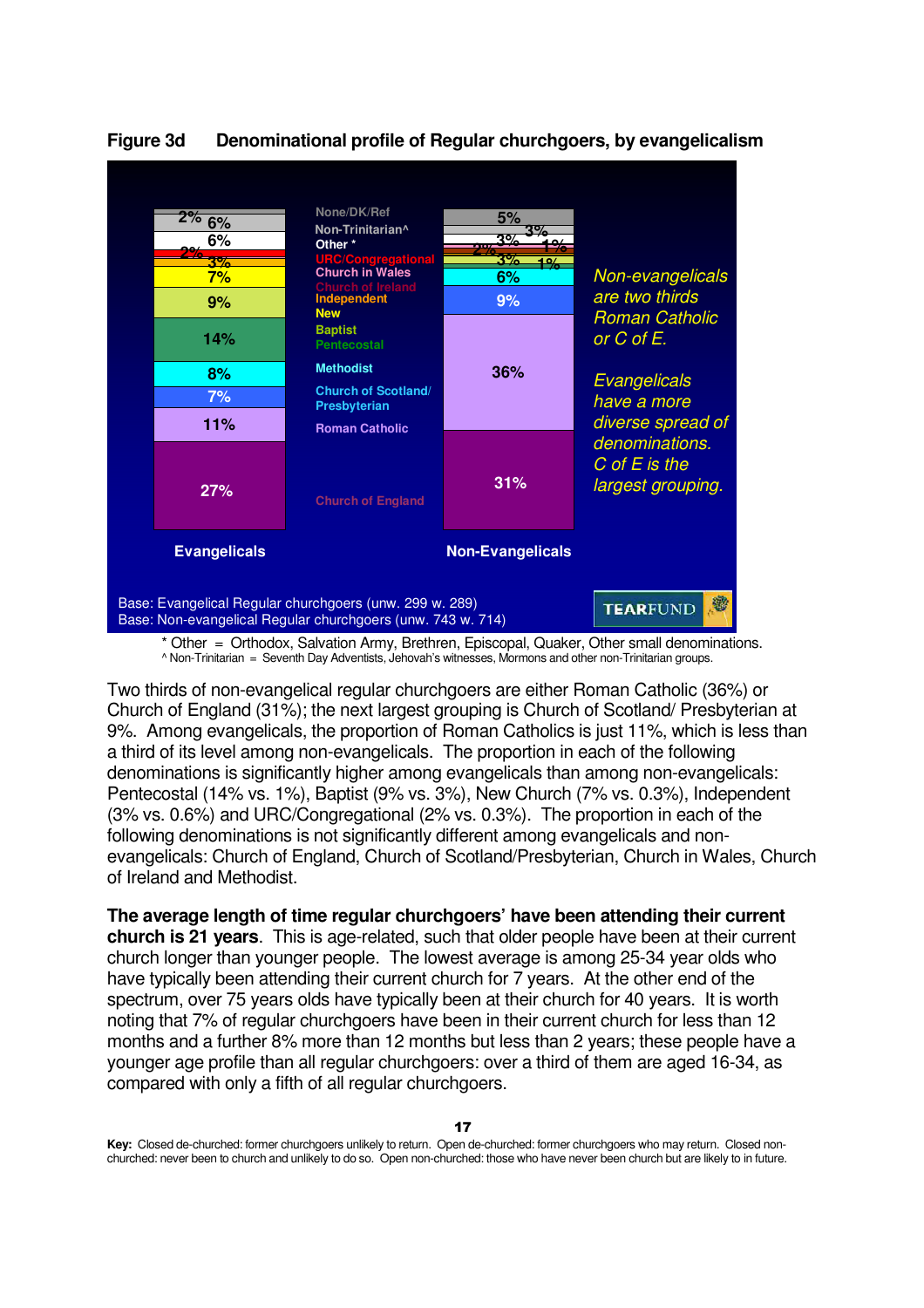

### **Figure 3d Denominational profile of Regular churchgoers, by evangelicalism**

 \* Other = Orthodox, Salvation Army, Brethren, Episcopal, Quaker, Other small denominations. ^ Non-Trinitarian = Seventh Day Adventists, Jehovah's witnesses, Mormons and other non-Trinitarian groups.

Two thirds of non-evangelical regular churchgoers are either Roman Catholic (36%) or Church of England (31%); the next largest grouping is Church of Scotland/ Presbyterian at 9%. Among evangelicals, the proportion of Roman Catholics is just 11%, which is less than a third of its level among non-evangelicals. The proportion in each of the following denominations is significantly higher among evangelicals than among non-evangelicals: Pentecostal (14% vs. 1%), Baptist (9% vs. 3%), New Church (7% vs. 0.3%), Independent (3% vs. 0.6%) and URC/Congregational (2% vs. 0.3%). The proportion in each of the following denominations is not significantly different among evangelicals and nonevangelicals: Church of England, Church of Scotland/Presbyterian, Church in Wales, Church of Ireland and Methodist.

**The average length of time regular churchgoers' have been attending their current church is 21 years**. This is age-related, such that older people have been at their current church longer than younger people. The lowest average is among 25-34 year olds who have typically been attending their current church for 7 years. At the other end of the spectrum, over 75 years olds have typically been at their church for 40 years. It is worth noting that 7% of regular churchgoers have been in their current church for less than 12 months and a further 8% more than 12 months but less than 2 years; these people have a younger age profile than all regular churchgoers: over a third of them are aged 16-34, as compared with only a fifth of all regular churchgoers.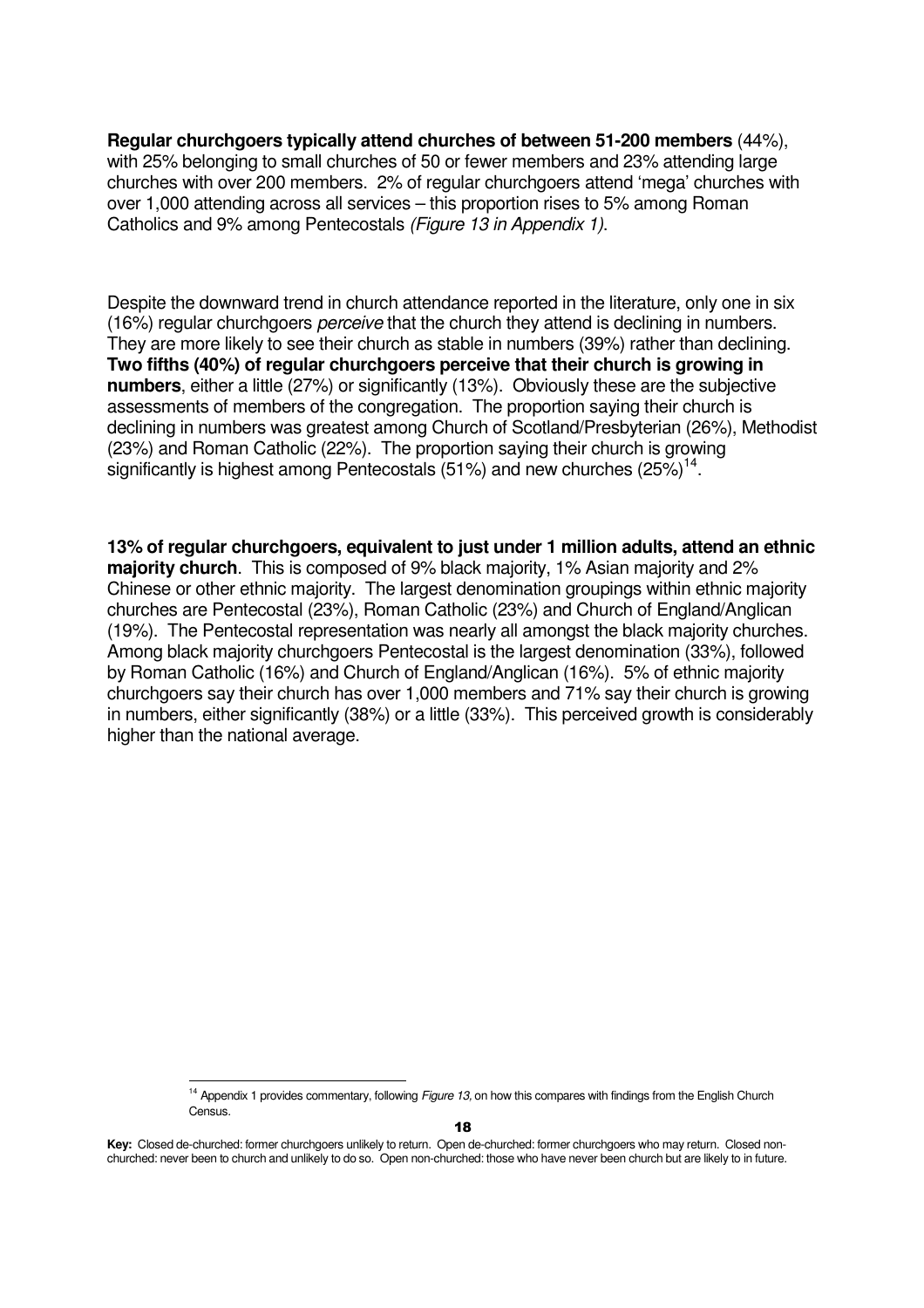**Regular churchgoers typically attend churches of between 51-200 members** (44%), with 25% belonging to small churches of 50 or fewer members and 23% attending large churches with over 200 members. 2% of regular churchgoers attend 'mega' churches with over 1,000 attending across all services – this proportion rises to 5% among Roman Catholics and 9% among Pentecostals (Figure 13 in Appendix 1).

Despite the downward trend in church attendance reported in the literature, only one in six (16%) regular churchgoers perceive that the church they attend is declining in numbers. They are more likely to see their church as stable in numbers (39%) rather than declining. **Two fifths (40%) of regular churchgoers perceive that their church is growing in numbers**, either a little (27%) or significantly (13%). Obviously these are the subjective assessments of members of the congregation. The proportion saying their church is declining in numbers was greatest among Church of Scotland/Presbyterian (26%), Methodist (23%) and Roman Catholic (22%). The proportion saying their church is growing significantly is highest among Pentecostals (51%) and new churches  $(25%)^{14}$ .

**13% of regular churchgoers, equivalent to just under 1 million adults, attend an ethnic majority church**. This is composed of 9% black majority, 1% Asian majority and 2% Chinese or other ethnic majority. The largest denomination groupings within ethnic majority churches are Pentecostal (23%), Roman Catholic (23%) and Church of England/Anglican (19%). The Pentecostal representation was nearly all amongst the black majority churches. Among black majority churchgoers Pentecostal is the largest denomination (33%), followed by Roman Catholic (16%) and Church of England/Anglican (16%). 5% of ethnic majority churchgoers say their church has over 1,000 members and 71% say their church is growing in numbers, either significantly (38%) or a little (33%). This perceived growth is considerably higher than the national average.

<sup>1</sup> <sup>14</sup> Appendix 1 provides commentary, following Figure 13, on how this compares with findings from the English Church Census.

**Key:** Closed de-churched: former churchgoers unlikely to return. Open de-churched: former churchgoers who may return. Closed nonchurched: never been to church and unlikely to do so. Open non-churched: those who have never been church but are likely to in future.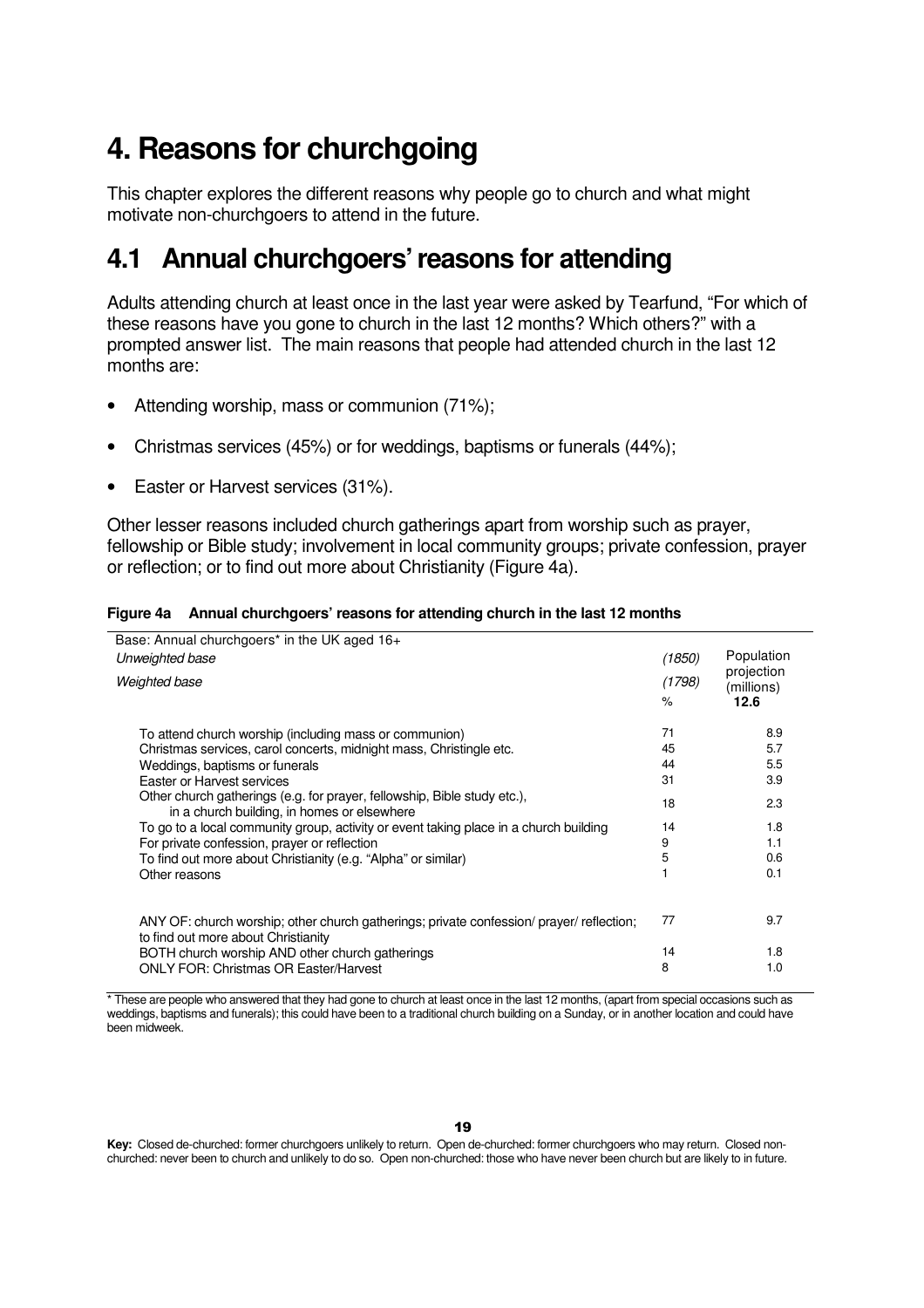# **4. Reasons for churchgoing**

This chapter explores the different reasons why people go to church and what might motivate non-churchgoers to attend in the future.

### **4.1 Annual churchgoers' reasons for attending**

Adults attending church at least once in the last year were asked by Tearfund, "For which of these reasons have you gone to church in the last 12 months? Which others?" with a prompted answer list. The main reasons that people had attended church in the last 12 months are:

- Attending worship, mass or communion (71%);
- Christmas services (45%) or for weddings, baptisms or funerals (44%);
- Easter or Harvest services (31%).

Other lesser reasons included church gatherings apart from worship such as prayer, fellowship or Bible study; involvement in local community groups; private confession, prayer or reflection; or to find out more about Christianity (Figure 4a).

| Base: Annual churchgoers <sup>*</sup> in the UK aged 16+                                                                        |        |                          |
|---------------------------------------------------------------------------------------------------------------------------------|--------|--------------------------|
| Unweighted base                                                                                                                 | (1850) | Population               |
| Weighted base                                                                                                                   | (1798) | projection<br>(millions) |
|                                                                                                                                 | $\%$   | 12.6                     |
| To attend church worship (including mass or communion)                                                                          | 71     | 8.9                      |
| Christmas services, carol concerts, midnight mass, Christingle etc.                                                             | 45     | 5.7                      |
| Weddings, baptisms or funerals                                                                                                  | 44     | 5.5                      |
| Easter or Harvest services                                                                                                      | 31     | 3.9                      |
| Other church gatherings (e.g. for prayer, fellowship, Bible study etc.),<br>in a church building, in homes or elsewhere         | 18     | 2.3                      |
| To go to a local community group, activity or event taking place in a church building                                           | 14     | 1.8                      |
| For private confession, prayer or reflection                                                                                    | 9      | 1.1                      |
| To find out more about Christianity (e.g. "Alpha" or similar)                                                                   | 5      | 0.6                      |
| Other reasons                                                                                                                   |        | 0.1                      |
| ANY OF: church worship; other church gatherings; private confession/ prayer/ reflection;<br>to find out more about Christianity | 77     | 9.7                      |
| BOTH church worship AND other church gatherings                                                                                 | 14     | 1.8                      |
| <b>ONLY FOR: Christmas OR Easter/Harvest</b>                                                                                    | 8      | 1.0                      |

**Figure 4a Annual churchgoers' reasons for attending church in the last 12 months** 

\* These are people who answered that they had gone to church at least once in the last 12 months, (apart from special occasions such as weddings, baptisms and funerals); this could have been to a traditional church building on a Sunday, or in another location and could have been midweek.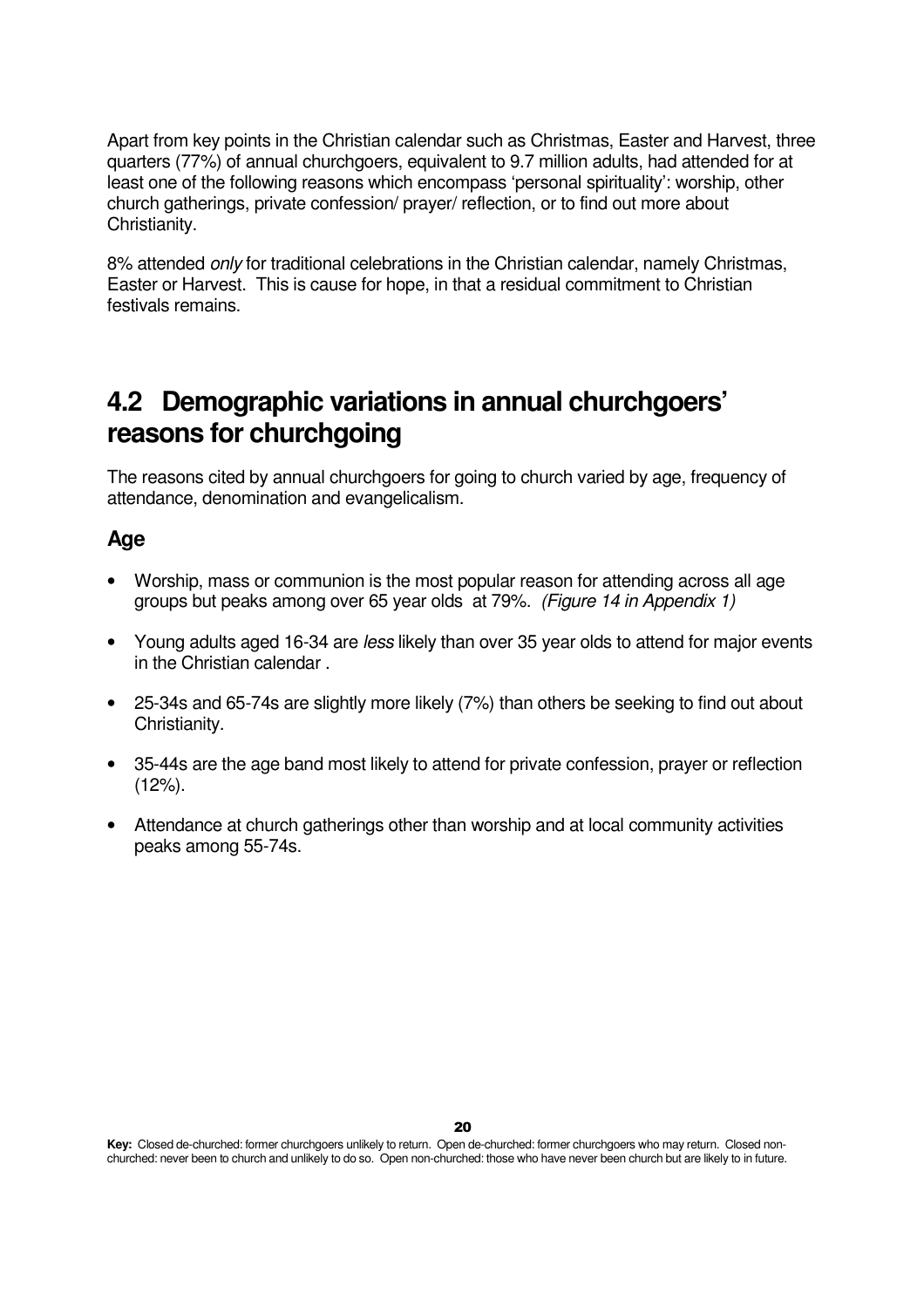Apart from key points in the Christian calendar such as Christmas, Easter and Harvest, three quarters (77%) of annual churchgoers, equivalent to 9.7 million adults, had attended for at least one of the following reasons which encompass 'personal spirituality': worship, other church gatherings, private confession/ prayer/ reflection, or to find out more about Christianity.

8% attended only for traditional celebrations in the Christian calendar, namely Christmas, Easter or Harvest. This is cause for hope, in that a residual commitment to Christian festivals remains.

### **4.2 Demographic variations in annual churchgoers' reasons for churchgoing**

The reasons cited by annual churchgoers for going to church varied by age, frequency of attendance, denomination and evangelicalism.

### **Age**

- Worship, mass or communion is the most popular reason for attending across all age groups but peaks among over 65 year olds at 79%. (Figure 14 in Appendix 1)
- Young adults aged 16-34 are less likely than over 35 year olds to attend for major events in the Christian calendar .
- 25-34s and 65-74s are slightly more likely (7%) than others be seeking to find out about Christianity.
- 35-44s are the age band most likely to attend for private confession, prayer or reflection  $(12\%)$ .
- Attendance at church gatherings other than worship and at local community activities peaks among 55-74s.

**Key:** Closed de-churched: former churchgoers unlikely to return. Open de-churched: former churchgoers who may return. Closed nonchurched: never been to church and unlikely to do so. Open non-churched: those who have never been church but are likely to in future.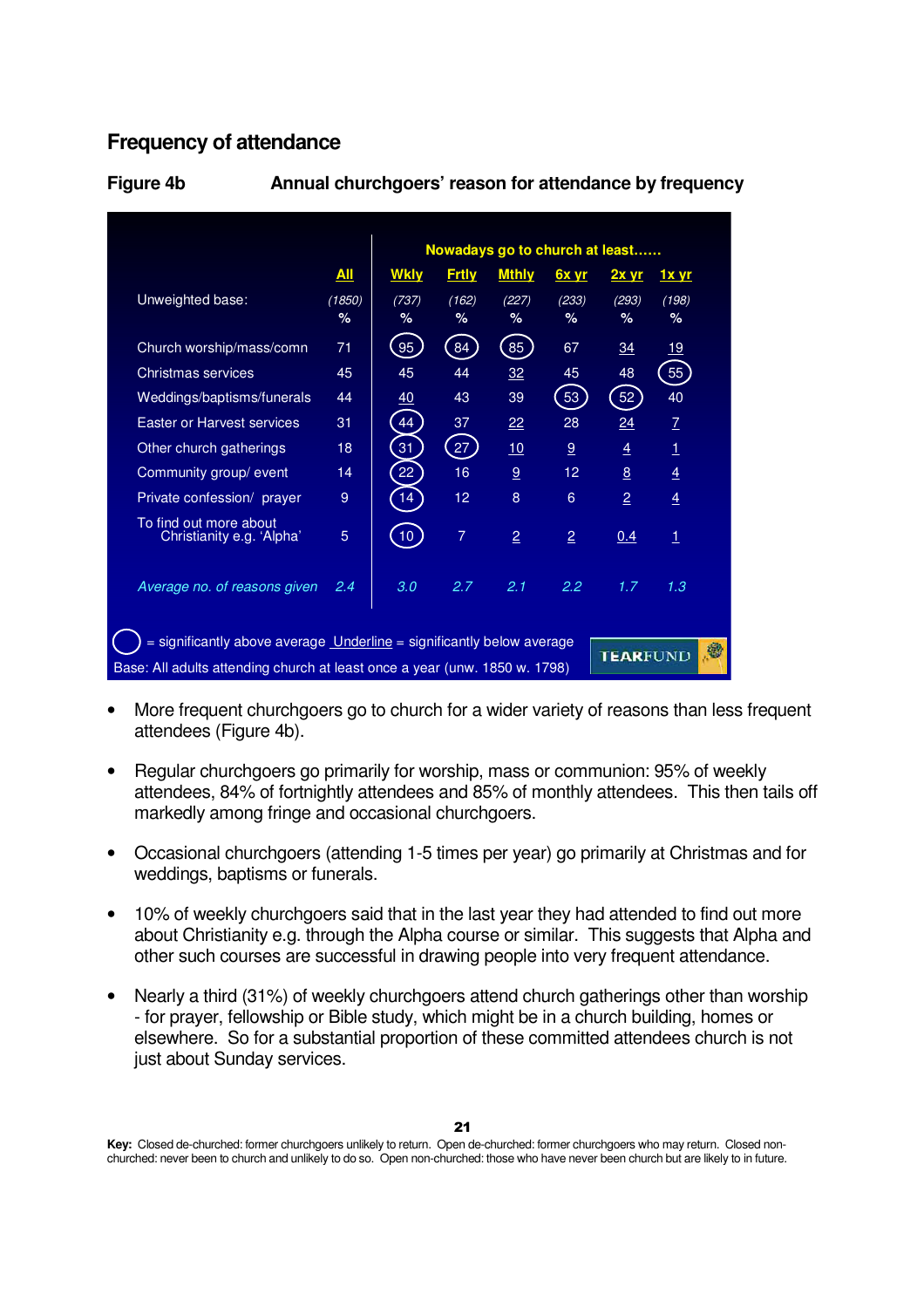### **Frequency of attendance**

|                                                     |            |                 |              | Nowadays go to church at least |                |                |                |
|-----------------------------------------------------|------------|-----------------|--------------|--------------------------------|----------------|----------------|----------------|
|                                                     | <u>All</u> | <b>Wkly</b>     | <b>Frtly</b> | <b>Mthly</b>                   | 6x yr          | $2x$ yr        | <u>1x yr</u>   |
| Unweighted base:                                    | (1850)     | (737)           | (162)        | (227)                          | (233)          | (293)          | (198)          |
|                                                     | %          | %               | $\%$         | %                              | %              | $\%$           | $\%$           |
| Church worship/mass/comn                            | 71         | 95              | 84           | 85                             | 67             | 34             | 19             |
| Christmas services                                  | 45         | 45              | 44           | 32                             | 45             | 48             | 55             |
| Weddings/baptisms/funerals                          | 44         | 40              | 43           | 39                             | 53             | 52             | 40             |
| Easter or Harvest services                          | 31         | 44              | 37           | 22                             | 28             | 24             | $\overline{1}$ |
| Other church gatherings                             | 18         | 31              | 27           | 10                             | 9              | $\overline{4}$ | $\overline{1}$ |
| Community group/ event                              | 14         | 22              | 16           | 9                              | 12             | 8              | $\overline{4}$ |
| Private confession/ prayer                          | 9          | 14              | 12           | 8                              | 6              | $\overline{2}$ | $\overline{4}$ |
| To find out more about<br>Christianity e.g. 'Alpha' | 5          | 10 <sup>7</sup> | 7            | $\overline{2}$                 | $\overline{2}$ | 0.4            | $\mathbf 1$    |
| Average no. of reasons given                        | 2.4        | 3.0             | 2.7          | 2.1                            | 2.2            | 1.7            | 1.3            |

**Figure 4b Annual churchgoers' reason for attendance by frequency** 

- More frequent churchgoers go to church for a wider variety of reasons than less frequent attendees (Figure 4b).
- Regular churchgoers go primarily for worship, mass or communion: 95% of weekly attendees, 84% of fortnightly attendees and 85% of monthly attendees. This then tails off markedly among fringe and occasional churchgoers.
- Occasional churchgoers (attending 1-5 times per year) go primarily at Christmas and for weddings, baptisms or funerals.
- 10% of weekly churchgoers said that in the last year they had attended to find out more about Christianity e.g. through the Alpha course or similar. This suggests that Alpha and other such courses are successful in drawing people into very frequent attendance.
- Nearly a third (31%) of weekly churchgoers attend church gatherings other than worship - for prayer, fellowship or Bible study, which might be in a church building, homes or elsewhere. So for a substantial proportion of these committed attendees church is not just about Sunday services.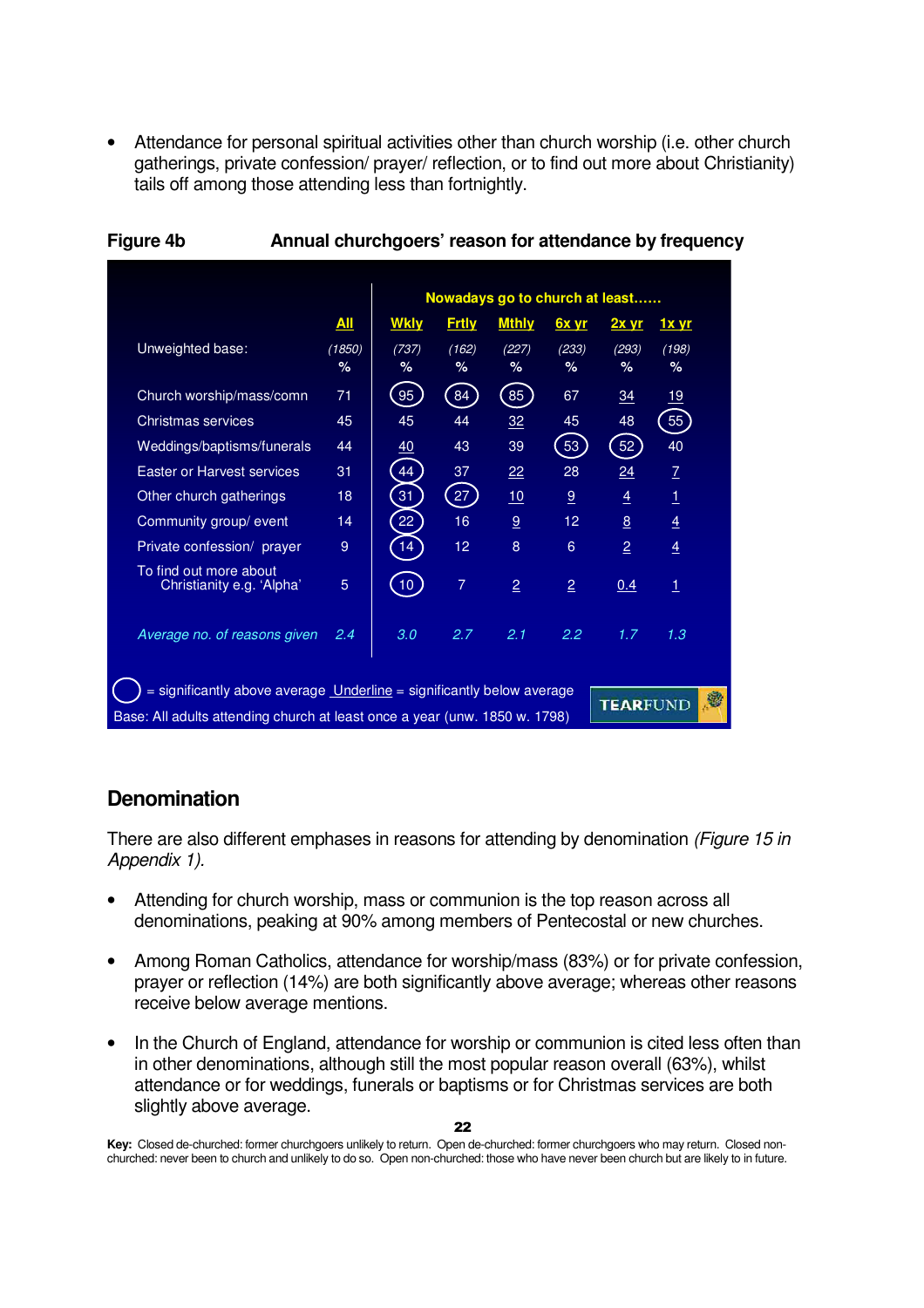• Attendance for personal spiritual activities other than church worship (i.e. other church gatherings, private confession/ prayer/ reflection, or to find out more about Christianity) tails off among those attending less than fortnightly.

|                                                                                                                                                                      |            |                 |              | Nowadays go to church at least |                   |                |                |  |
|----------------------------------------------------------------------------------------------------------------------------------------------------------------------|------------|-----------------|--------------|--------------------------------|-------------------|----------------|----------------|--|
|                                                                                                                                                                      | <u>All</u> | <b>Wkly</b>     | <b>Frtly</b> | <b>Mthly</b>                   | 6x yr             | $2x$ yr        | <u>1x yr</u>   |  |
| Unweighted base:                                                                                                                                                     | (1850)     | (737)           | (162)        | (227)                          | (233)             | (293)          | (198)          |  |
|                                                                                                                                                                      | $\%$       | %               | ℅            | ℅                              | %                 | %              | ℅              |  |
| Church worship/mass/comn                                                                                                                                             | 71         | 95              | 84           | 85                             | 67                | 34             | 19             |  |
| Christmas services                                                                                                                                                   | 45         | 45              | 44           | 32                             | 45                | 48             | 55             |  |
| Weddings/baptisms/funerals                                                                                                                                           | 44         | 40              | 43           | 39                             | 53                | 52             | 40             |  |
| <b>Easter or Harvest services</b>                                                                                                                                    | 31         | 44              | 37           | 22                             | 28                | 24             | Z              |  |
| Other church gatherings                                                                                                                                              | 18         | 31              | 27           | 10                             | 9                 | 4              | $\mathbf{1}$   |  |
| Community group/ event                                                                                                                                               | 14         | 22              | 16           | 9                              | $12 \overline{ }$ | 8              | $\overline{4}$ |  |
| Private confession/ prayer                                                                                                                                           | 9          | 14              | 12           | 8                              | 6                 | $\overline{2}$ | $\overline{4}$ |  |
| To find out more about<br>Christianity e.g. 'Alpha'                                                                                                                  | 5          | 10 <sup>°</sup> | 7            | $\overline{2}$                 | $\overline{2}$    | 0.4            | $\mathbf{1}$   |  |
| Average no. of reasons given                                                                                                                                         | 2.4        | 3.0             | 2.7          | 2.1                            | 2.2               | 1.7            | 1.3            |  |
| = significantly above average Underline = significantly below average<br>۱<br>TEARFUND<br>Base: All adults attending church at least once a year (unw. 1850 w. 1798) |            |                 |              |                                |                   |                |                |  |

### **Figure 4b Annual churchgoers' reason for attendance by frequency**

### **Denomination**

There are also different emphases in reasons for attending by denomination (Figure 15 in Appendix 1).

- Attending for church worship, mass or communion is the top reason across all denominations, peaking at 90% among members of Pentecostal or new churches.
- Among Roman Catholics, attendance for worship/mass (83%) or for private confession, prayer or reflection (14%) are both significantly above average; whereas other reasons receive below average mentions.
- In the Church of England, attendance for worship or communion is cited less often than in other denominations, although still the most popular reason overall (63%), whilst attendance or for weddings, funerals or baptisms or for Christmas services are both slightly above average.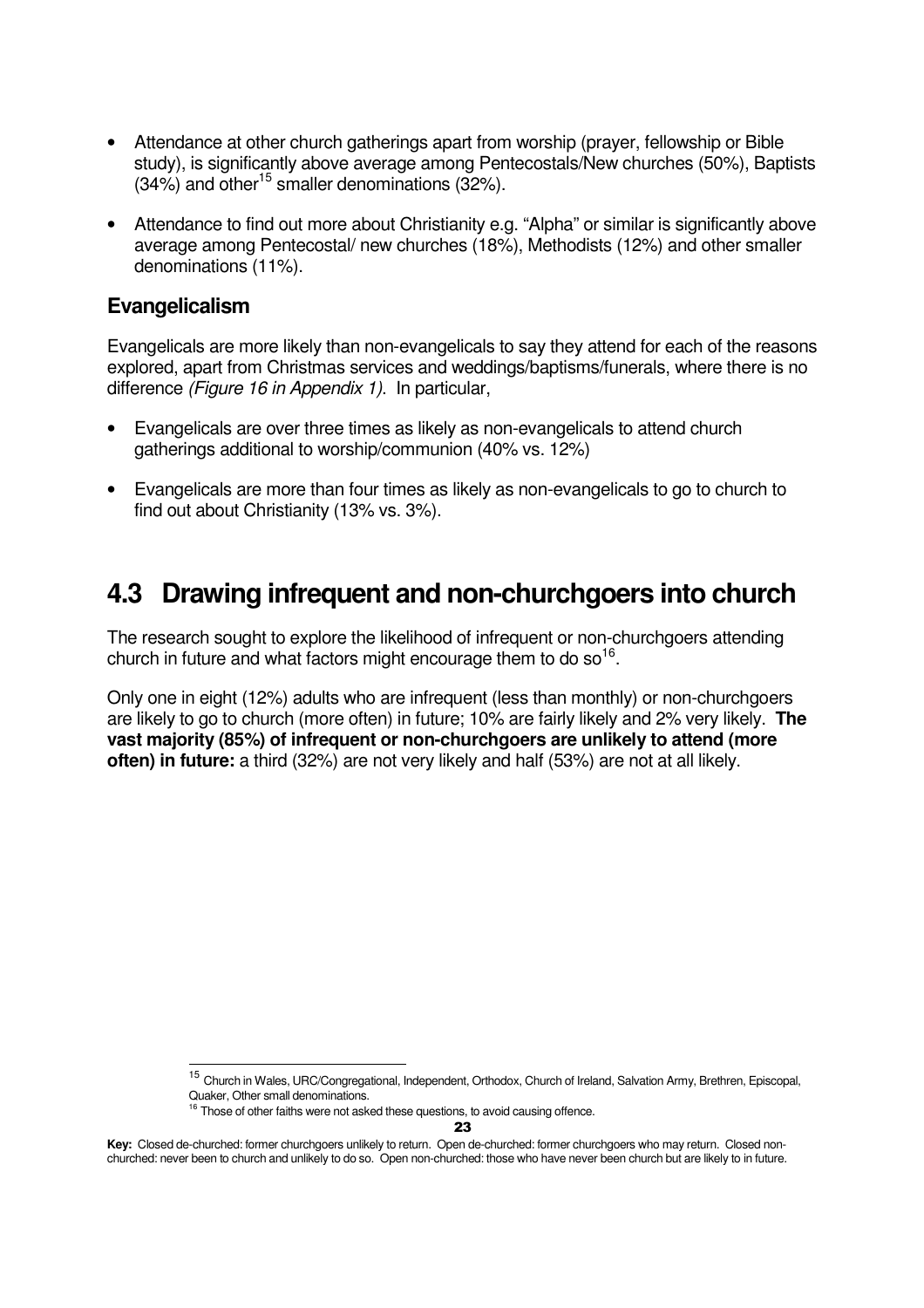- Attendance at other church gatherings apart from worship (prayer, fellowship or Bible study), is significantly above average among Pentecostals/New churches (50%), Baptists  $(34\%)$  and other<sup>15</sup> smaller denominations  $(32\%).$
- Attendance to find out more about Christianity e.g. "Alpha" or similar is significantly above average among Pentecostal/ new churches (18%), Methodists (12%) and other smaller denominations (11%).

### **Evangelicalism**

Evangelicals are more likely than non-evangelicals to say they attend for each of the reasons explored, apart from Christmas services and weddings/baptisms/funerals, where there is no difference (Figure 16 in Appendix 1). In particular,

- Evangelicals are over three times as likely as non-evangelicals to attend church gatherings additional to worship/communion (40% vs. 12%)
- Evangelicals are more than four times as likely as non-evangelicals to go to church to find out about Christianity (13% vs. 3%).

### **4.3 Drawing infrequent and non-churchgoers into church**

The research sought to explore the likelihood of infrequent or non-churchgoers attending church in future and what factors might encourage them to do so<sup>16</sup>.

Only one in eight (12%) adults who are infrequent (less than monthly) or non-churchgoers are likely to go to church (more often) in future; 10% are fairly likely and 2% very likely. **The vast majority (85%) of infrequent or non-churchgoers are unlikely to attend (more often) in future:** a third (32%) are not very likely and half (53%) are not at all likely.

23

<sup>15</sup> <sup>15</sup> Church in Wales, URC/Congregational, Independent, Orthodox, Church of Ireland, Salvation Army, Brethren, Episcopal, Quaker, Other small denominations.

Those of other faiths were not asked these questions, to avoid causing offence.

**Key:** Closed de-churched: former churchgoers unlikely to return. Open de-churched: former churchgoers who may return. Closed nonchurched: never been to church and unlikely to do so. Open non-churched: those who have never been church but are likely to in future.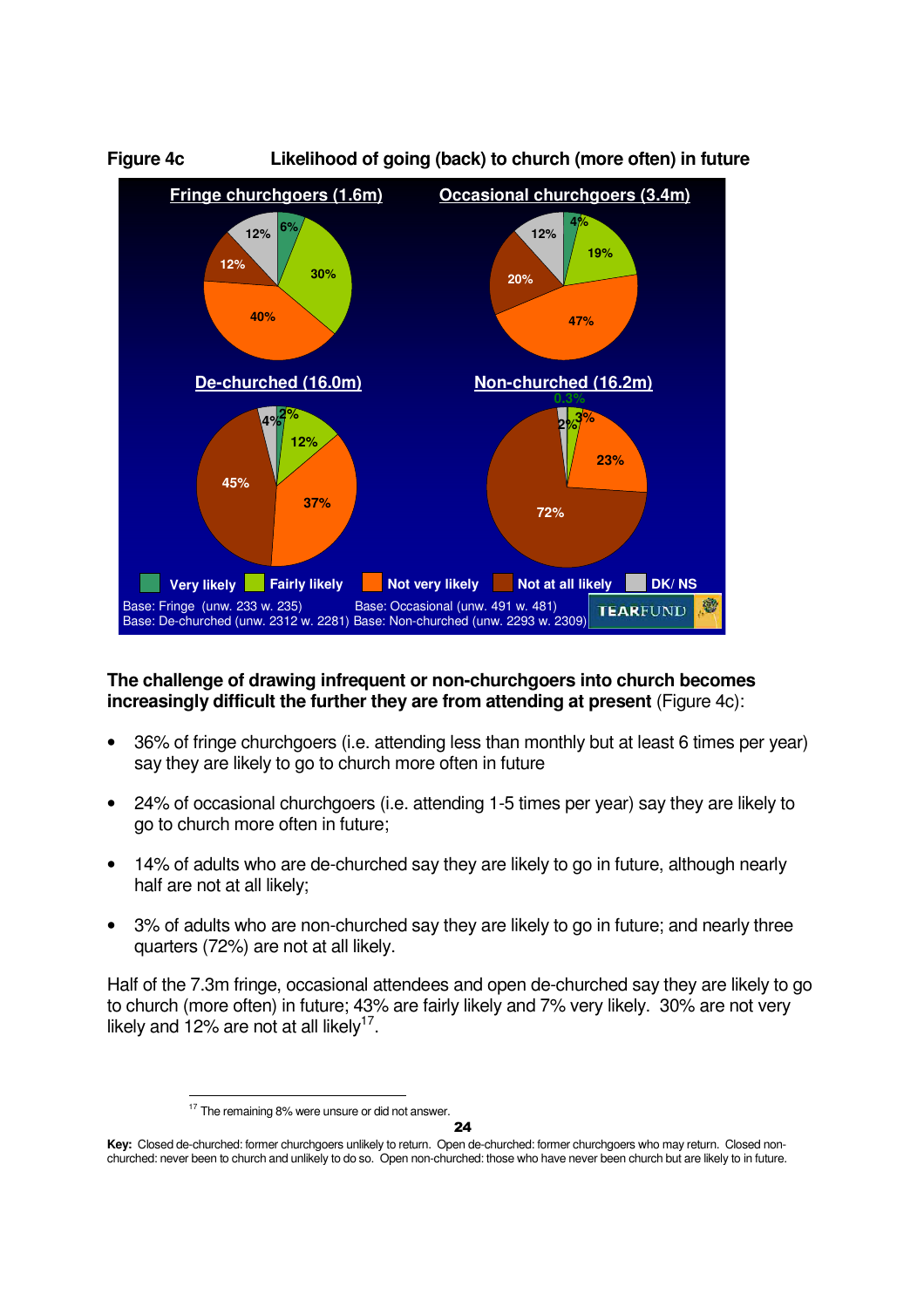

### **The challenge of drawing infrequent or non-churchgoers into church becomes increasingly difficult the further they are from attending at present** (Figure 4c):

- 36% of fringe churchgoers (i.e. attending less than monthly but at least 6 times per year) say they are likely to go to church more often in future
- 24% of occasional churchgoers (i.e. attending 1-5 times per year) say they are likely to go to church more often in future;
- 14% of adults who are de-churched say they are likely to go in future, although nearly half are not at all likely;
- 3% of adults who are non-churched say they are likely to go in future; and nearly three quarters (72%) are not at all likely.

Half of the 7.3m fringe, occasional attendees and open de-churched say they are likely to go to church (more often) in future; 43% are fairly likely and 7% very likely. 30% are not very likely and 12% are not at all likely<sup>17</sup>.

 $24$ 

l  $17$  The remaining 8% were unsure or did not answer.

**Key:** Closed de-churched: former churchgoers unlikely to return. Open de-churched: former churchgoers who may return. Closed nonchurched: never been to church and unlikely to do so. Open non-churched: those who have never been church but are likely to in future.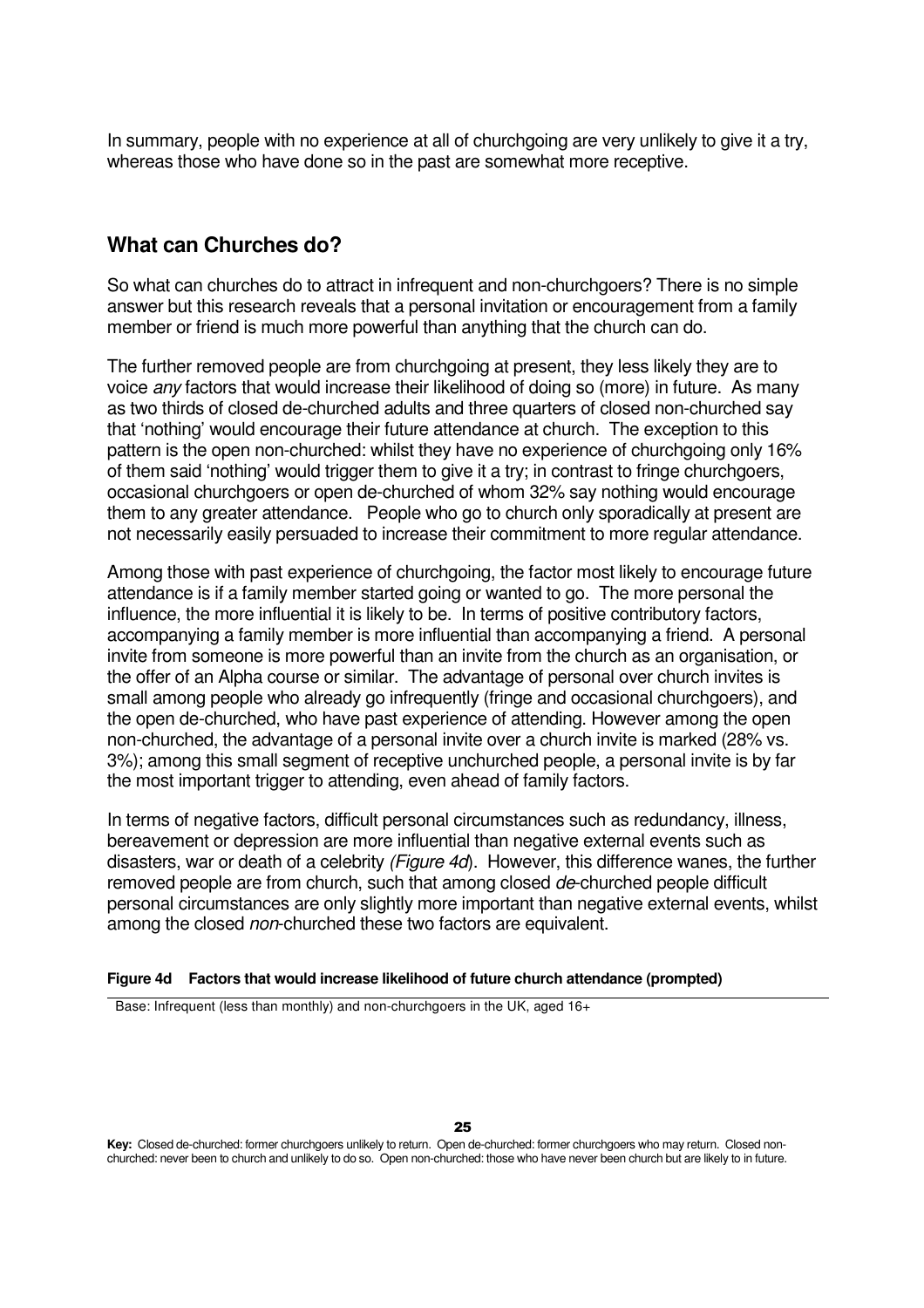In summary, people with no experience at all of churchgoing are very unlikely to give it a try, whereas those who have done so in the past are somewhat more receptive.

### **What can Churches do?**

So what can churches do to attract in infrequent and non-churchgoers? There is no simple answer but this research reveals that a personal invitation or encouragement from a family member or friend is much more powerful than anything that the church can do.

The further removed people are from churchgoing at present, they less likely they are to voice *any* factors that would increase their likelihood of doing so (more) in future. As many as two thirds of closed de-churched adults and three quarters of closed non-churched say that 'nothing' would encourage their future attendance at church. The exception to this pattern is the open non-churched: whilst they have no experience of churchgoing only 16% of them said 'nothing' would trigger them to give it a try; in contrast to fringe churchgoers, occasional churchgoers or open de-churched of whom 32% say nothing would encourage them to any greater attendance. People who go to church only sporadically at present are not necessarily easily persuaded to increase their commitment to more regular attendance.

Among those with past experience of churchgoing, the factor most likely to encourage future attendance is if a family member started going or wanted to go. The more personal the influence, the more influential it is likely to be. In terms of positive contributory factors, accompanying a family member is more influential than accompanying a friend. A personal invite from someone is more powerful than an invite from the church as an organisation, or the offer of an Alpha course or similar. The advantage of personal over church invites is small among people who already go infrequently (fringe and occasional churchgoers), and the open de-churched, who have past experience of attending. However among the open non-churched, the advantage of a personal invite over a church invite is marked (28% vs. 3%); among this small segment of receptive unchurched people, a personal invite is by far the most important trigger to attending, even ahead of family factors.

In terms of negative factors, difficult personal circumstances such as redundancy, illness, bereavement or depression are more influential than negative external events such as disasters, war or death of a celebrity (Figure 4d). However, this difference wanes, the further removed people are from church, such that among closed de-churched people difficult personal circumstances are only slightly more important than negative external events, whilst among the closed non-churched these two factors are equivalent.

### **Figure 4d Factors that would increase likelihood of future church attendance (prompted)**

Base: Infrequent (less than monthly) and non-churchgoers in the UK, aged 16+

25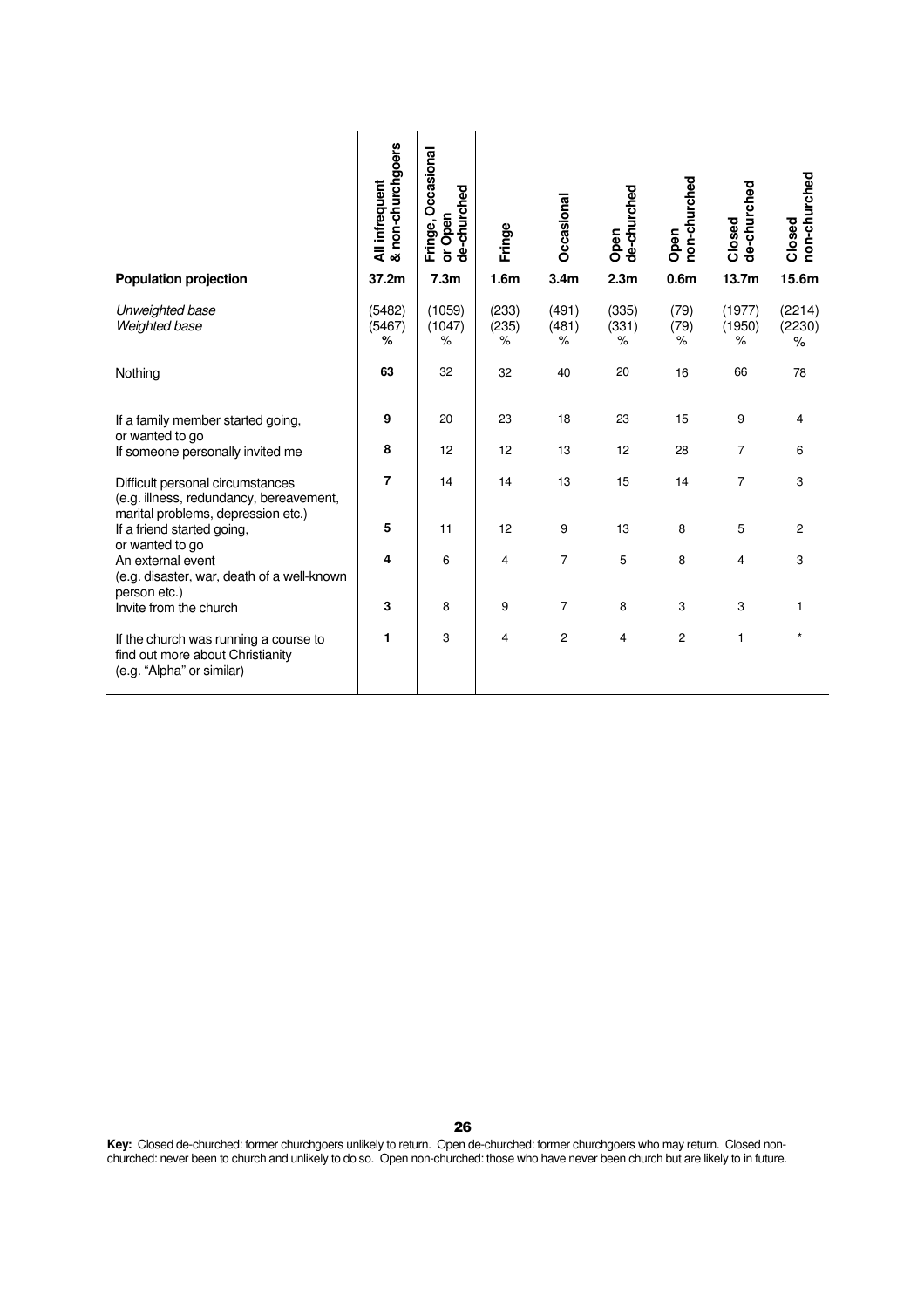|                                                                                                                   | & non-churchgoers<br>All infrequent | Fringe, Occasional<br>de-churched<br>or Open | Fringe                  | Occasional          | de-churched<br>Open     | non-churched<br>Open    | de-churched<br>Closed | non-churched<br>Closed   |
|-------------------------------------------------------------------------------------------------------------------|-------------------------------------|----------------------------------------------|-------------------------|---------------------|-------------------------|-------------------------|-----------------------|--------------------------|
| <b>Population projection</b>                                                                                      | 37.2m                               | 7.3 <sub>m</sub>                             | 1.6 <sub>m</sub>        | 3.4 <sub>m</sub>    | 2.3 <sub>m</sub>        | 0.6 <sub>m</sub>        | 13.7m                 | 15.6m                    |
| Unweighted base<br>Weighted base                                                                                  | (5482)<br>(5467)<br>%               | (1059)<br>(1047)<br>%                        | (233)<br>(235)<br>$\%$  | (491)<br>(481)<br>% | (335)<br>(331)<br>$\%$  | (79)<br>(79)<br>℅       | (1977)<br>(1950)<br>℅ | (2214)<br>(2230)<br>$\%$ |
| Nothing                                                                                                           | 63                                  | 32                                           | 32                      | 40                  | 20                      | 16                      | 66                    | 78                       |
| If a family member started going,<br>or wanted to go                                                              | 9                                   | 20                                           | 23                      | 18                  | 23                      | 15                      | 9                     | 4                        |
| If someone personally invited me                                                                                  | 8                                   | 12                                           | 12                      | 13                  | 12                      | 28                      | $\overline{7}$        | 6                        |
| Difficult personal circumstances<br>(e.g. illness, redundancy, bereavement,<br>marital problems, depression etc.) | $\overline{7}$                      | 14                                           | 14                      | 13                  | 15                      | 14                      | $\overline{7}$        | 3                        |
| If a friend started going,<br>or wanted to go                                                                     | 5                                   | 11                                           | 12                      | 9                   | 13                      | 8                       | 5                     | $\overline{2}$           |
| An external event<br>(e.g. disaster, war, death of a well-known<br>person etc.)                                   | 4                                   | 6                                            | $\overline{\mathbf{4}}$ | $\overline{7}$      | $\mathbf 5$             | 8                       | $\overline{4}$        | 3                        |
| Invite from the church                                                                                            | 3                                   | 8                                            | 9                       | $\overline{7}$      | 8                       | 3                       | 3                     | $\mathbf{1}$             |
| If the church was running a course to<br>find out more about Christianity<br>(e.g. "Alpha" or similar)            | 1                                   | 3                                            | $\overline{4}$          | $\overline{c}$      | $\overline{\mathbf{4}}$ | $\overline{\mathbf{c}}$ | $\mathbf{1}$          | $\star$                  |
|                                                                                                                   |                                     |                                              |                         |                     |                         |                         |                       |                          |
|                                                                                                                   |                                     | 26                                           |                         |                     |                         |                         |                       |                          |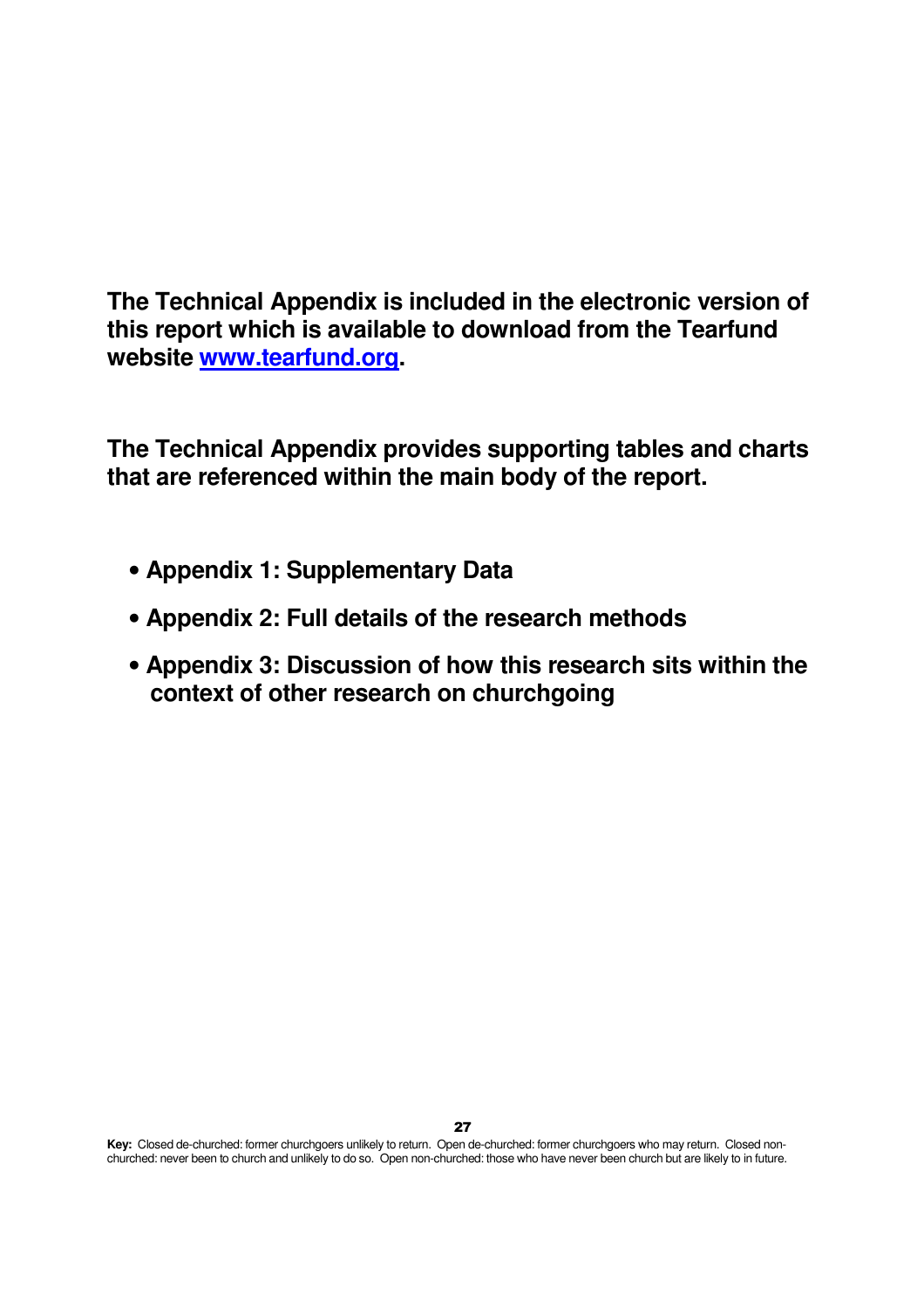**The Technical Appendix is included in the electronic version of this report which is available to download from the Tearfund website www.tearfund.org.** 

**The Technical Appendix provides supporting tables and charts that are referenced within the main body of the report.** 

- **Appendix 1: Supplementary Data**
- **Appendix 2: Full details of the research methods**
- **Appendix 3: Discussion of how this research sits within the context of other research on churchgoing**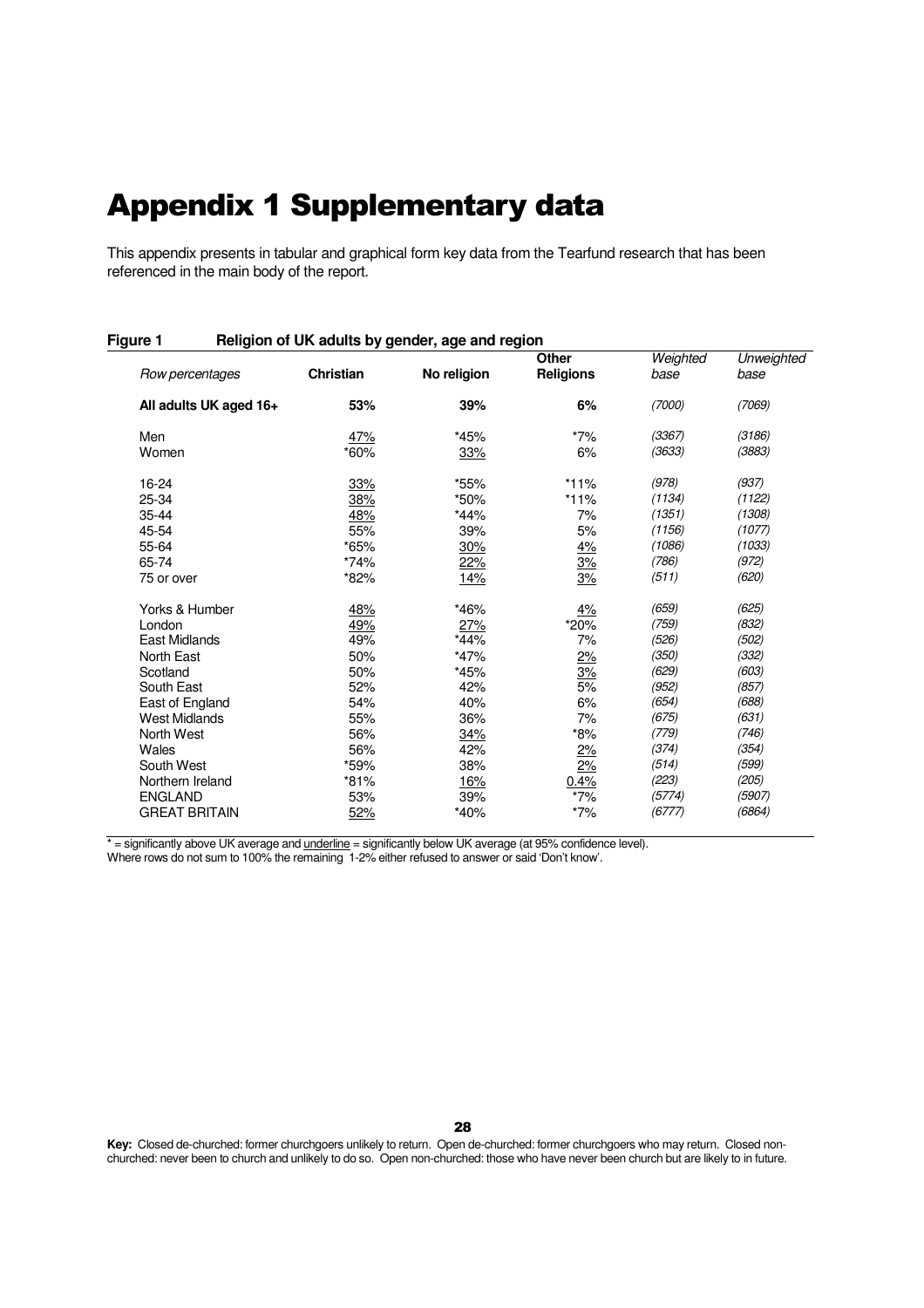# Appendix 1 Supplementary data

This appendix presents in tabular and graphical form key data from the Tearfund research that has been referenced in the main body of the report.

### **Figure 1 Religion of UK adults by gender, age and region**

|        |                                | <b>Other</b>       | Weighted                           | Unweighted |
|--------|--------------------------------|--------------------|------------------------------------|------------|
|        |                                |                    |                                    | base       |
| 53%    | 39%                            | 6%                 | (7000)                             | (7069)     |
|        | *45%                           | $*7\%$             | (3367)                             | (3186)     |
| *60%   | 33%                            | 6%                 | (3633)                             | (3883)     |
|        | *55%                           | $*11%$             | (978)                              | (937)      |
| 38%    | *50%                           | *11%               | (1134)                             | (1122)     |
| 48%    | *44%                           | 7%                 | (1351)                             | (1308)     |
| 55%    | 39%                            | 5%                 | (1156)                             | (1077)     |
| *65%   | 30%                            |                    | (1086)                             | (1033)     |
| $*74%$ |                                |                    | (786)                              | (972)      |
| *82%   | 14%                            | 3%                 | (511)                              | (620)      |
| 48%    | *46%                           |                    | (659)                              | (625)      |
| 49%    | 27%                            | *20%               | (759)                              | (832)      |
| 49%    | *44%                           | 7%                 | (526)                              | (502)      |
| 50%    | $*47%$                         | 2%                 | (350)                              | (332)      |
| 50%    | *45%                           | 3%                 | (629)                              | (603)      |
| 52%    | 42%                            | 5%                 | (952)                              | (857)      |
| 54%    | 40%                            | 6%                 | (654)                              | (688)      |
| 55%    | 36%                            | 7%                 | (675)                              | (631)      |
| 56%    | 34%                            | $*8%$              | (779)                              | (746)      |
| 56%    | 42%                            | 2%                 | (374)                              | (354)      |
| *59%   | 38%                            | 2%                 | (514)                              | (599)      |
| *81%   | <u>16%</u>                     | 0.4%               | (223)                              | (205)      |
| 53%    | 39%                            | $*7%$              | (5774)                             | (5907)     |
| 52%    | *40%                           | $*7%$              | (6777)                             | (6864)     |
|        | <b>Christian</b><br>47%<br>33% | No religion<br>22% | <b>Religions</b><br>4%<br>3%<br>4% | base       |

\* = significantly above UK average and <u>underline</u> = significantly below UK average (at 95% confidence level).

Where rows do not sum to 100% the remaining 1-2% either refused to answer or said 'Don't know'.

28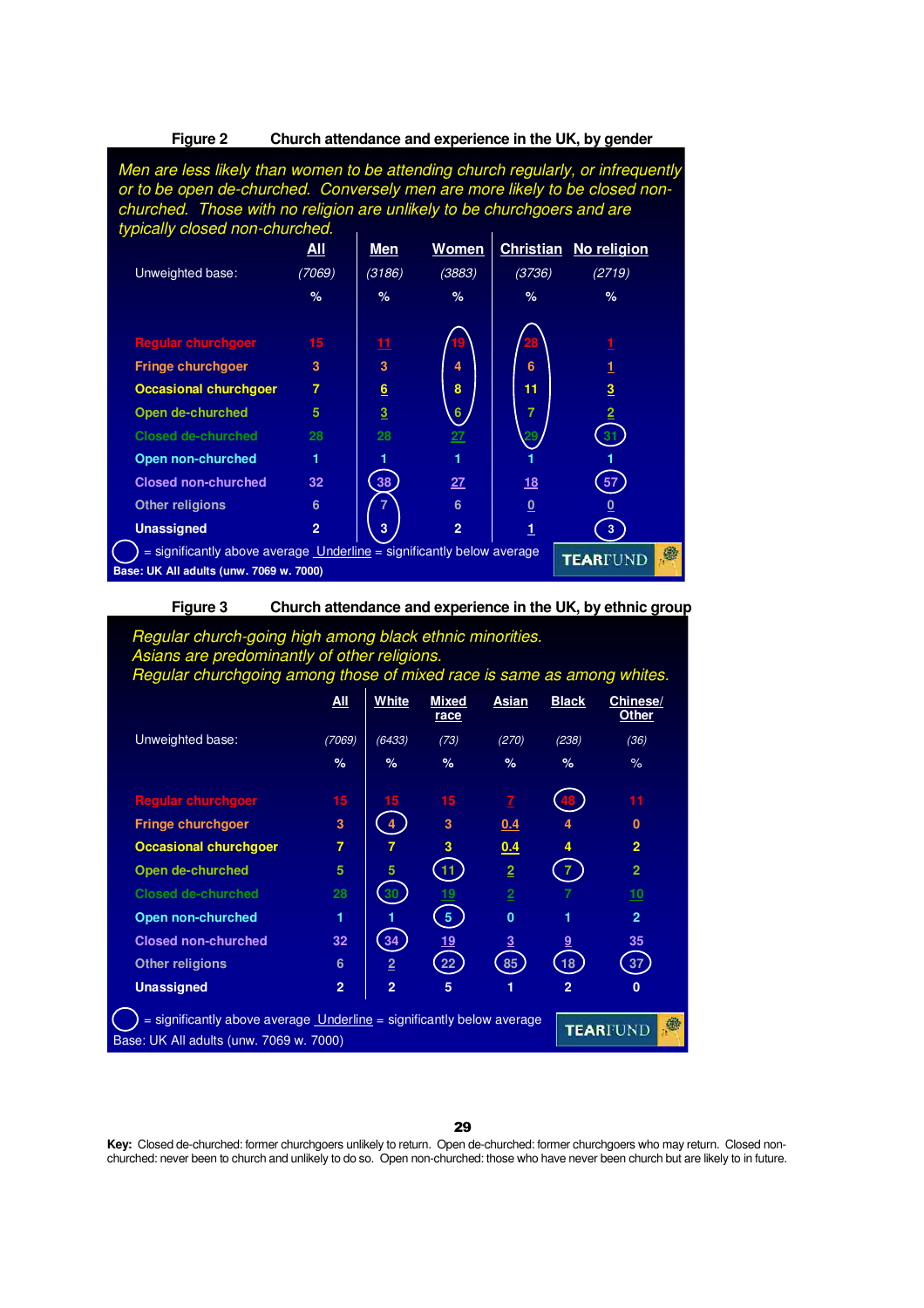#### **Figure 2 Church attendance and experience in the UK, by gender**

Men are less likely than women to be attending church regularly, or infrequently or to be open de-churched. Conversely men are more likely to be closed nonchurched. Those with no religion are unlikely to be churchgoers and are typically closed non-churched.

|                                                                                                                  | <b>All</b>     | <b>Men</b> | <b>Women</b>   |                         | <b>Christian No religion</b> |
|------------------------------------------------------------------------------------------------------------------|----------------|------------|----------------|-------------------------|------------------------------|
| Unweighted base:                                                                                                 | (7069)         | (3186)     | (3883)         | (3736)                  | (2719)                       |
|                                                                                                                  | $\%$           | $\%$       | $\%$           | $\%$                    | $\%$                         |
| <b>Regular churchgoer</b>                                                                                        | 15             | 11<br>3    | 19             | 28                      |                              |
| <b>Fringe churchgoer</b>                                                                                         | 3              |            | 4              | 6                       |                              |
| <b>Occasional churchgoer</b>                                                                                     | $\overline{7}$ | 6          | 8              | 11                      | 3                            |
| Open de-churched                                                                                                 | 5              | 3          | 6              | 7                       |                              |
| Closed de-churched                                                                                               | 28             | 28         | 27             |                         |                              |
| Open non-churched                                                                                                | 1              |            |                |                         |                              |
| <b>Closed non-churched</b>                                                                                       | 32             | 38         | 27             | <u>18</u>               | 57                           |
| <b>Other religions</b>                                                                                           | 6              |            | 6              | $\overline{\mathbf{0}}$ |                              |
| <b>Unassigned</b>                                                                                                | $\overline{2}$ | 3          | $\overline{2}$ | 1                       | 3                            |
| = significantly above average Underline = significantly below average<br>Base: UK All adults (unw. 7069 w. 7000) |                |            |                |                         | 藝<br><b>TEARFUND</b>         |

### **Figure 3 Church attendance and experience in the UK, by ethnic group**

### Regular church-going high among black ethnic minorities. Asians are predominantly of other religions. Regular churchgoing among those of mixed race is same as among whites.

|                                                                                                                             | <u>All</u>     | White          | <b>Mixed</b><br>race | Asian          | <b>Black</b>    | Chinese/<br>Other    |
|-----------------------------------------------------------------------------------------------------------------------------|----------------|----------------|----------------------|----------------|-----------------|----------------------|
| Unweighted base:                                                                                                            | (7069)         | (6433)         | (73)                 | (270)          | (238)           | (36)                 |
|                                                                                                                             | $\%$           | $\%$           | $\%$                 | $\%$           | $\%$            | $\%$                 |
| <b>Regular churchgoer</b>                                                                                                   | 15             | 15             | 15                   | $\mathbf{Z}$   |                 | 11                   |
| <b>Fringe churchgoer</b>                                                                                                    | 3              |                | 3                    | 0.4            | 4               | $\bf{0}$             |
| <b>Occasional churchgoer</b>                                                                                                | $\overline{7}$ |                | 3                    | 0.4            |                 | $\overline{2}$       |
| Open de-churched                                                                                                            | 5              | 5              | 11                   | $\overline{2}$ |                 | $\overline{2}$       |
| Closed de-churched                                                                                                          | 28             |                |                      | $\overline{2}$ |                 | <u>10</u>            |
| Open non-churched                                                                                                           | 1              |                | 5                    | $\mathbf{0}$   |                 | $\overline{2}$       |
| <b>Closed non-churched</b>                                                                                                  | 32             | 34             | <u> 19</u>           | $\overline{3}$ | $\overline{9}$  | 35                   |
| <b>Other religions</b>                                                                                                      | 6              | $\overline{2}$ | 22                   | 85             | 18 <sub>1</sub> | 37                   |
| <b>Unassigned</b>                                                                                                           | $\overline{2}$ | $\overline{2}$ | 5                    | 1              | $\overline{2}$  | $\bf{0}$             |
| $=$ significantly above average <b>Underline</b> $=$ significantly below average<br>Base: UK All adults (unw. 7069 w. 7000) |                |                |                      |                |                 | ®<br><b>TEARFUND</b> |

29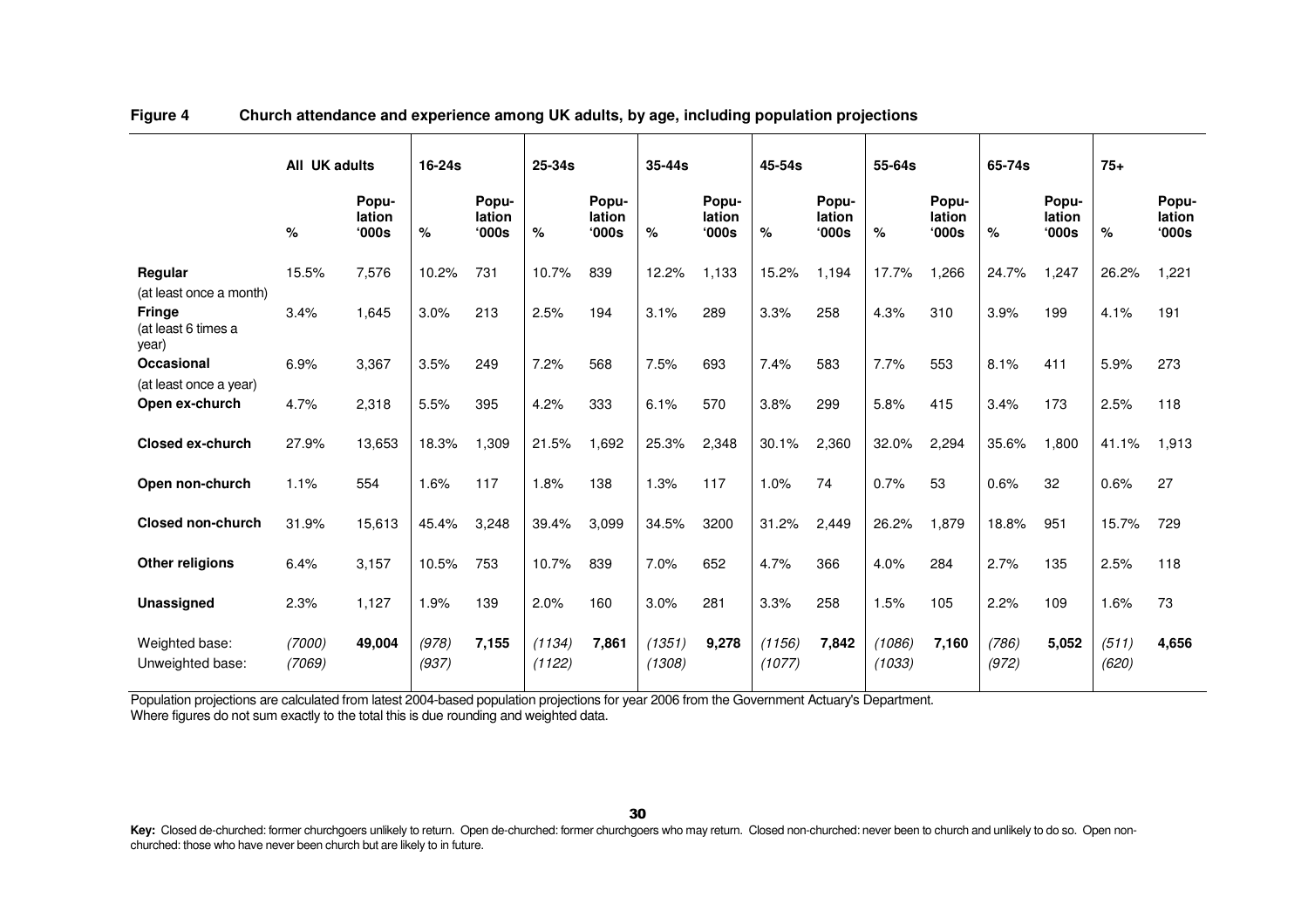|                                               | All UK adults    |                                   | $16-24s$       |                                   | $25 - 34s$       |                          | 35-44s           |                          | 45-54s           |                                   | 55-64s           |                          | 65-74s         |                         | $75+$          |                          |
|-----------------------------------------------|------------------|-----------------------------------|----------------|-----------------------------------|------------------|--------------------------|------------------|--------------------------|------------------|-----------------------------------|------------------|--------------------------|----------------|-------------------------|----------------|--------------------------|
|                                               | %                | Popu-<br>lation<br>$^{\circ}000s$ | $\%$           | Popu-<br>lation<br>$^{\circ}000s$ | $\%$             | Popu-<br>lation<br>'000s | $\%$             | Popu-<br>lation<br>'000s | %                | Popu-<br>lation<br>$^{\circ}000s$ | $\%$             | Popu-<br>lation<br>'000s | %              | Popu-<br>lation<br>000s | $\%$           | Popu-<br>lation<br>'000s |
| Regular<br>(at least once a month)            | 15.5%            | 7,576                             | 10.2%          | 731                               | 10.7%            | 839                      | 12.2%            | 1,133                    | 15.2%            | 1,194                             | 17.7%            | 1,266                    | 24.7%          | 1,247                   | 26.2%          | 1,221                    |
| <b>Fringe</b><br>(at least 6 times a<br>year) | 3.4%             | 1,645                             | 3.0%           | 213                               | 2.5%             | 194                      | 3.1%             | 289                      | 3.3%             | 258                               | 4.3%             | 310                      | 3.9%           | 199                     | 4.1%           | 191                      |
| <b>Occasional</b>                             | 6.9%             | 3,367                             | 3.5%           | 249                               | 7.2%             | 568                      | 7.5%             | 693                      | 7.4%             | 583                               | 7.7%             | 553                      | 8.1%           | 411                     | 5.9%           | 273                      |
| (at least once a year)<br>Open ex-church      | 4.7%             | 2,318                             | 5.5%           | 395                               | 4.2%             | 333                      | 6.1%             | 570                      | 3.8%             | 299                               | 5.8%             | 415                      | 3.4%           | 173                     | 2.5%           | 118                      |
| <b>Closed ex-church</b>                       | 27.9%            | 13,653                            | 18.3%          | 1,309                             | 21.5%            | 1,692                    | 25.3%            | 2,348                    | 30.1%            | 2,360                             | 32.0%            | 2,294                    | 35.6%          | 1,800                   | 41.1%          | 1,913                    |
| Open non-church                               | 1.1%             | 554                               | 1.6%           | 117                               | 1.8%             | 138                      | 1.3%             | 117                      | 1.0%             | 74                                | 0.7%             | 53                       | 0.6%           | 32                      | 0.6%           | 27                       |
| <b>Closed non-church</b>                      | 31.9%            | 15,613                            | 45.4%          | 3,248                             | 39.4%            | 3,099                    | 34.5%            | 3200                     | 31.2%            | 2,449                             | 26.2%            | 1,879                    | 18.8%          | 951                     | 15.7%          | 729                      |
| Other religions                               | 6.4%             | 3,157                             | 10.5%          | 753                               | 10.7%            | 839                      | 7.0%             | 652                      | 4.7%             | 366                               | 4.0%             | 284                      | 2.7%           | 135                     | 2.5%           | 118                      |
| Unassigned                                    | 2.3%             | 1,127                             | 1.9%           | 139                               | 2.0%             | 160                      | 3.0%             | 281                      | 3.3%             | 258                               | 1.5%             | 105                      | 2.2%           | 109                     | 1.6%           | 73                       |
| Weighted base:<br>Unweighted base:            | (7000)<br>(7069) | 49,004                            | (978)<br>(937) | 7,155                             | (1134)<br>(1122) | 7,861                    | (1351)<br>(1308) | 9,278                    | (1156)<br>(1077) | 7,842                             | (1086)<br>(1033) | 7,160                    | (786)<br>(972) | 5,052                   | (511)<br>(620) | 4,656                    |

### **Figure 4 Church attendance and experience among UK adults, by age, including population projections**

Population projections are calculated from latest 2004-based population projections for year 2006 from the Government Actuary's Department. Where figures do not sum exactly to the total this is due rounding and weighted data.

<sup>30</sup>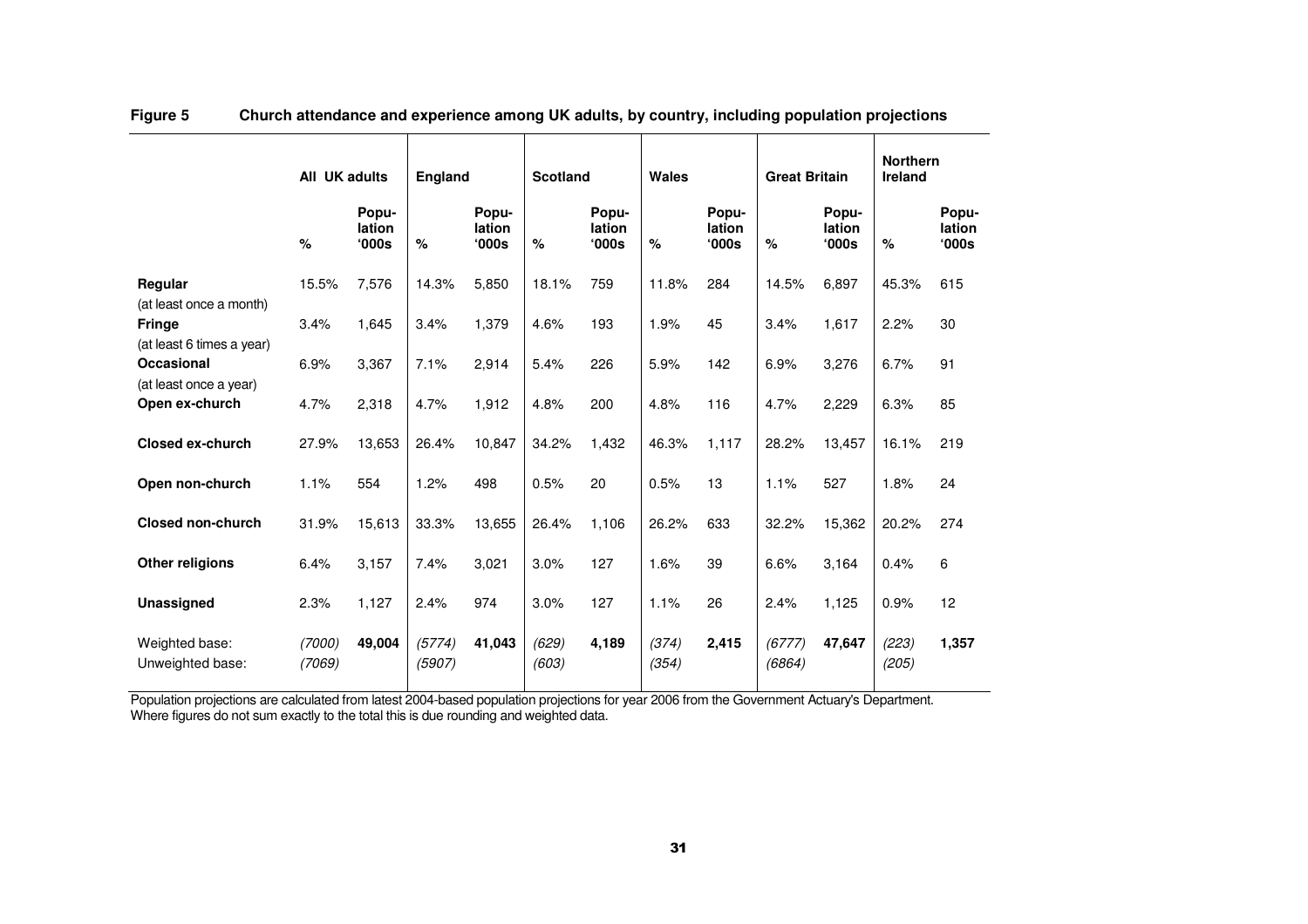|                                                                       | All UK adults    |                          | <b>England</b>   |                          | <b>Scotland</b> |                                   | Wales          |                          | <b>Great Britain</b> |                                   | <b>Northern</b><br>Ireland |                                   |
|-----------------------------------------------------------------------|------------------|--------------------------|------------------|--------------------------|-----------------|-----------------------------------|----------------|--------------------------|----------------------|-----------------------------------|----------------------------|-----------------------------------|
|                                                                       | %                | Popu-<br>lation<br>'000s | %                | Popu-<br>lation<br>'000s | %               | Popu-<br>lation<br>$^{\circ}000s$ | %              | Popu-<br>lation<br>'000s | %                    | Popu-<br>lation<br>$^{\circ}000s$ | $\%$                       | Popu-<br>lation<br>$^{\circ}000s$ |
| Regular                                                               | 15.5%            | 7,576                    | 14.3%            | 5,850                    | 18.1%           | 759                               | 11.8%          | 284                      | 14.5%                | 6.897                             | 45.3%                      | 615                               |
| (at least once a month)<br><b>Fringe</b><br>(at least 6 times a year) | 3.4%             | 1,645                    | 3.4%             | 1,379                    | 4.6%            | 193                               | 1.9%           | 45                       | 3.4%                 | 1,617                             | 2.2%                       | 30                                |
| Occasional                                                            | 6.9%             | 3,367                    | 7.1%             | 2,914                    | 5.4%            | 226                               | 5.9%           | 142                      | 6.9%                 | 3,276                             | 6.7%                       | 91                                |
| (at least once a year)<br>Open ex-church                              | 4.7%             | 2,318                    | 4.7%             | 1,912                    | 4.8%            | 200                               | 4.8%           | 116                      | 4.7%                 | 2,229                             | 6.3%                       | 85                                |
| <b>Closed ex-church</b>                                               | 27.9%            | 13,653                   | 26.4%            | 10,847                   | 34.2%           | 1,432                             | 46.3%          | 1.117                    | 28.2%                | 13,457                            | 16.1%                      | 219                               |
| Open non-church                                                       | 1.1%             | 554                      | 1.2%             | 498                      | 0.5%            | 20                                | 0.5%           | 13                       | 1.1%                 | 527                               | 1.8%                       | 24                                |
| <b>Closed non-church</b>                                              | 31.9%            | 15,613                   | 33.3%            | 13,655                   | 26.4%           | 1,106                             | 26.2%          | 633                      | 32.2%                | 15,362                            | 20.2%                      | 274                               |
| Other religions                                                       | 6.4%             | 3,157                    | 7.4%             | 3,021                    | 3.0%            | 127                               | 1.6%           | 39                       | 6.6%                 | 3,164                             | 0.4%                       | 6                                 |
| Unassigned                                                            | 2.3%             | 1,127                    | 2.4%             | 974                      | 3.0%            | 127                               | 1.1%           | 26                       | 2.4%                 | 1,125                             | 0.9%                       | 12                                |
| Weighted base:<br>Unweighted base:                                    | (7000)<br>(7069) | 49,004                   | (5774)<br>(5907) | 41,043                   | (629)<br>(603)  | 4,189                             | (374)<br>(354) | 2,415                    | (6777)<br>(6864)     | 47,647                            | (223)<br>(205)             | 1,357                             |

### **Figure 5 Church attendance and experience among UK adults, by country, including population projections**

Population projections are calculated from latest 2004-based population projections for year 2006 from the Government Actuary's Department. Where figures do not sum exactly to the total this is due rounding and weighted data.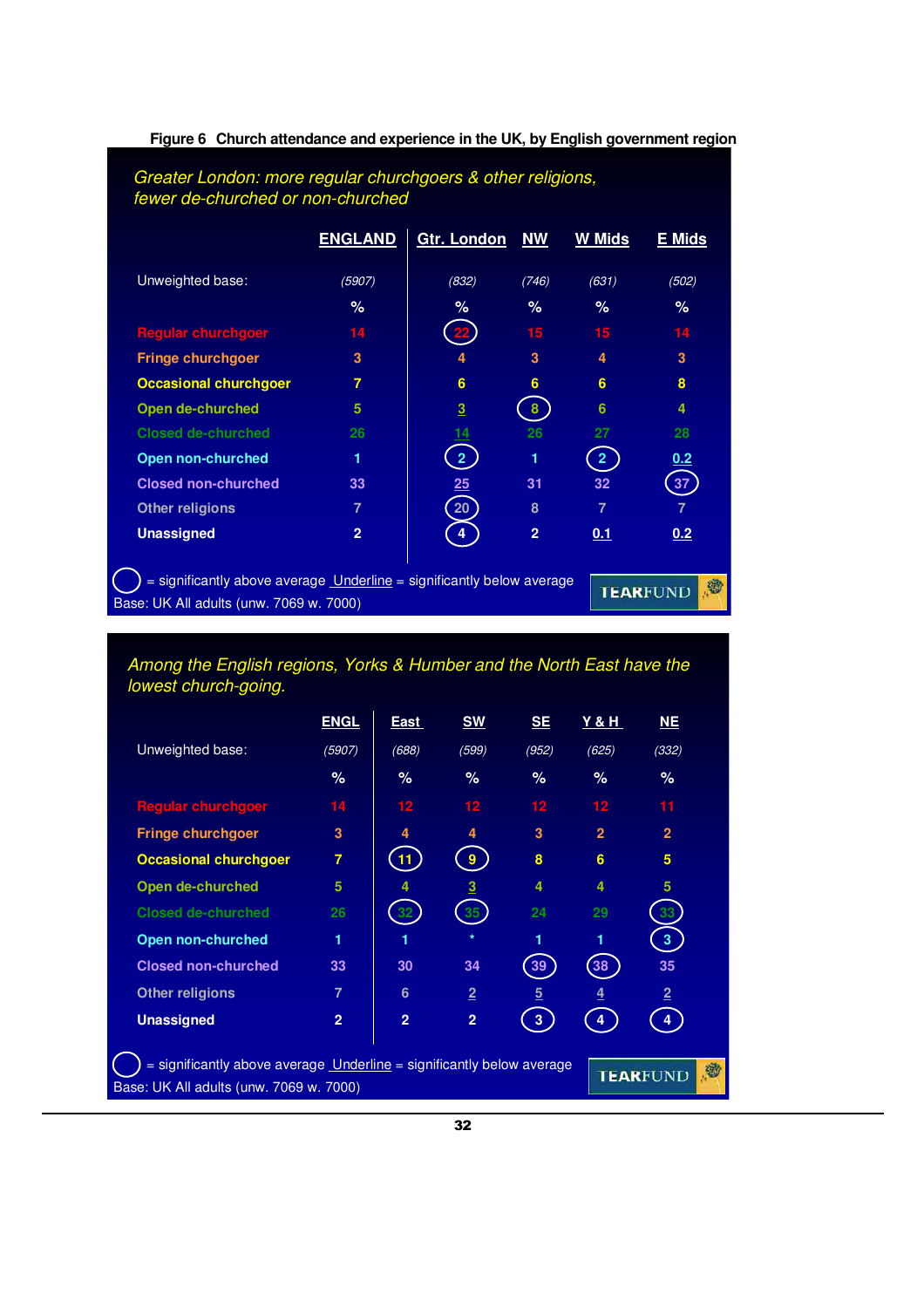|                              | <b>ENGLAND</b> | <b>Gtr. London</b> | <b>NW</b>               | <b>W Mids</b>           | E Mids         |
|------------------------------|----------------|--------------------|-------------------------|-------------------------|----------------|
| Unweighted base:             | (5907)         | (832)              | (746)                   | (631)                   | (502)          |
|                              | $\%$           | %                  | $\%$                    | %                       | $\%$           |
| <b>Regular churchgoer</b>    | 14             |                    | 15                      | 15                      | 14             |
| <b>Fringe churchgoer</b>     | 3              |                    | $\overline{\mathbf{3}}$ | 4                       | 3              |
| <b>Occasional churchgoer</b> | $\overline{7}$ | $6\phantom{a}6$    | 6                       | 6                       | 8              |
| Open de-churched             | 5              | 3                  | 8                       | 6                       | 4              |
| <b>Closed de-churched</b>    | 26             |                    | 26                      | 27                      | 28             |
| Open non-churched            | 1              | 2 <sup>1</sup>     | 1                       | $\overline{\mathbf{2}}$ | 0.2            |
| <b>Closed non-churched</b>   | 33             | 25                 | 31                      | 32                      | 37             |
| <b>Other religions</b>       | $\overline{7}$ | 20                 | 8                       | 7                       | $\overline{7}$ |
| <b>Unassigned</b>            | $\overline{2}$ | 4                  | $\overline{2}$          | 0.1                     | 0.2            |

### **Figure 6 Church attendance and experience in the UK, by English government region**

Among the English regions, Yorks & Humber and the North East have the lowest church-going.

|                                                                                                                                          | <u>ENGL</u>    | East             | <b>SW</b>      | <b>SE</b>      | <u>Y &amp; H</u> | NE             |  |  |  |  |
|------------------------------------------------------------------------------------------------------------------------------------------|----------------|------------------|----------------|----------------|------------------|----------------|--|--|--|--|
| Unweighted base:                                                                                                                         | (5907)         | (688)            | (599)          | (952)          | (625)            | (332)          |  |  |  |  |
|                                                                                                                                          | %              | ℅                | %              | $\%$           | %                | $\%$           |  |  |  |  |
| <b>Regular churchgoer</b>                                                                                                                | 14             | 12 <sub>12</sub> | 12             | $12 \,$        | 12               | 11             |  |  |  |  |
| <b>Fringe churchgoer</b>                                                                                                                 | 3              | 4                | 4              | 3              | $\overline{2}$   | $\overline{2}$ |  |  |  |  |
| <b>Occasional churchgoer</b>                                                                                                             | $\overline{7}$ | 11               | 9              | 8              | 6                | 5              |  |  |  |  |
| Open de-churched                                                                                                                         | 5              |                  | 3              | 4              | 4                | 5              |  |  |  |  |
| <b>Closed de-churched</b>                                                                                                                | 26             |                  | 35             | 24             | 29               | 33             |  |  |  |  |
| <b>Open non-churched</b>                                                                                                                 | 1              |                  | $\star$        | 1              | 1                | $\overline{3}$ |  |  |  |  |
| <b>Closed non-churched</b>                                                                                                               | 33             | 30               | 34             | 39             | 38               | 35             |  |  |  |  |
| <b>Other religions</b>                                                                                                                   | $\overline{7}$ | 6                | $\overline{2}$ | $\overline{5}$ | 4                | $\overline{2}$ |  |  |  |  |
| <b>Unassigned</b>                                                                                                                        | $\overline{2}$ | $\overline{2}$   | $\overline{2}$ | 3              | 4                | 4              |  |  |  |  |
| = significantly above average Underline = significantly below average<br>道<br><b>TEARFUND</b><br>Base: UK All adults (unw. 7069 w. 7000) |                |                  |                |                |                  |                |  |  |  |  |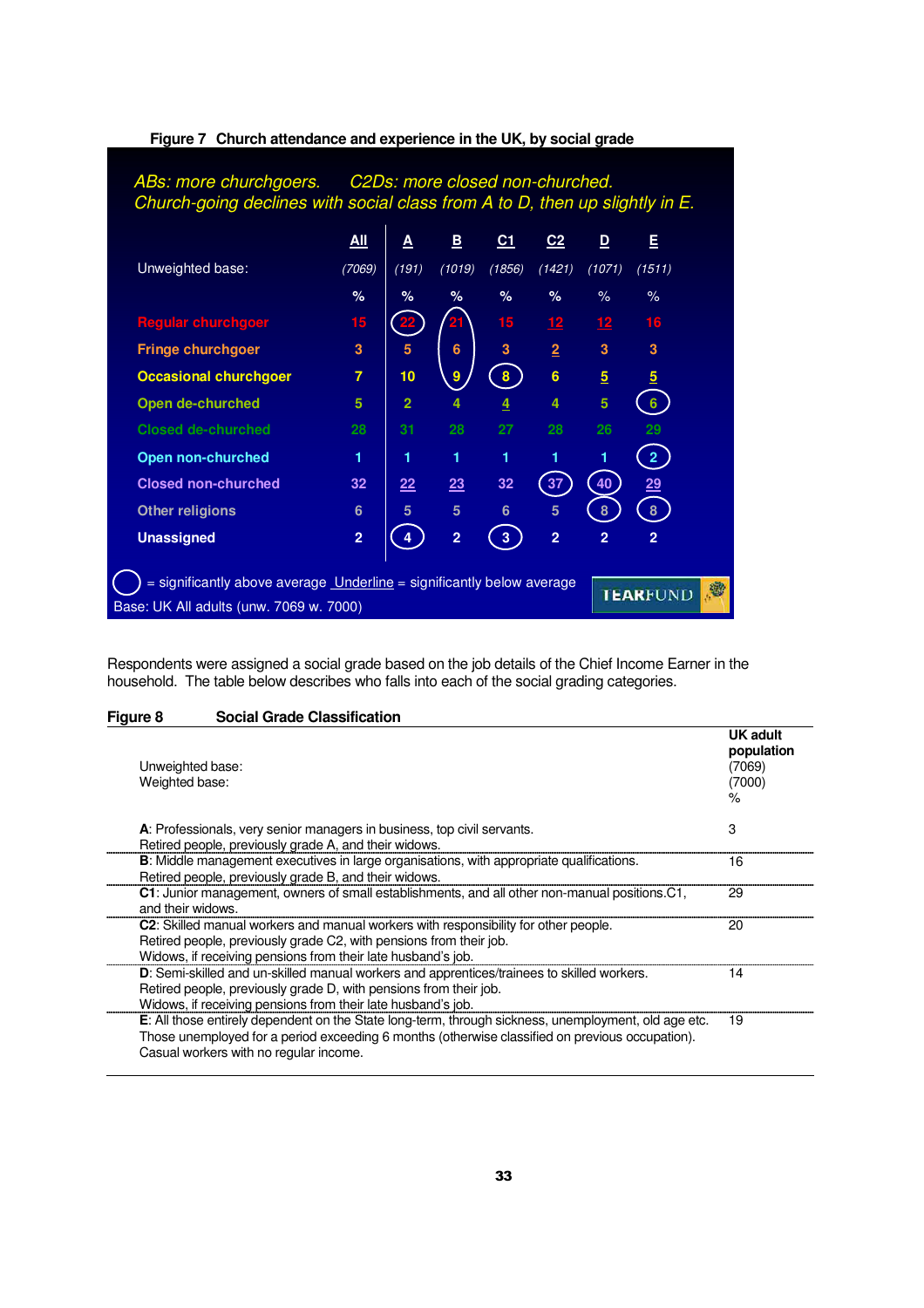

#### **Figure 7 Church attendance and experience in the UK, by social grade**

Respondents were assigned a social grade based on the job details of the Chief Income Earner in the household. The table below describes who falls into each of the social grading categories.

#### **Figure 8 Social Grade Classification**

| Unweighted base:<br>Weighted base:                                                                   | <b>UK adult</b><br>population<br>(7069)<br>(7000)<br>$\%$ |
|------------------------------------------------------------------------------------------------------|-----------------------------------------------------------|
| A: Professionals, very senior managers in business, top civil servants.                              | 3                                                         |
| Retired people, previously grade A, and their widows.                                                |                                                           |
| <b>B</b> : Middle management executives in large organisations, with appropriate qualifications.     | 16                                                        |
| Retired people, previously grade B, and their widows.                                                |                                                           |
| C1: Junior management, owners of small establishments, and all other non-manual positions.C1,        | 29                                                        |
| and their widows.                                                                                    |                                                           |
| C2: Skilled manual workers and manual workers with responsibility for other people.                  | 20                                                        |
| Retired people, previously grade C2, with pensions from their job.                                   |                                                           |
| Widows, if receiving pensions from their late husband's job.                                         |                                                           |
| D: Semi-skilled and un-skilled manual workers and apprentices/trainees to skilled workers.           | 14                                                        |
| Retired people, previously grade D, with pensions from their job.                                    |                                                           |
| Widows, if receiving pensions from their late husband's job.                                         |                                                           |
| E: All those entirely dependent on the State long-term, through sickness, unemployment, old age etc. | 19                                                        |
| Those unemployed for a period exceeding 6 months (otherwise classified on previous occupation).      |                                                           |
| Casual workers with no regular income.                                                               |                                                           |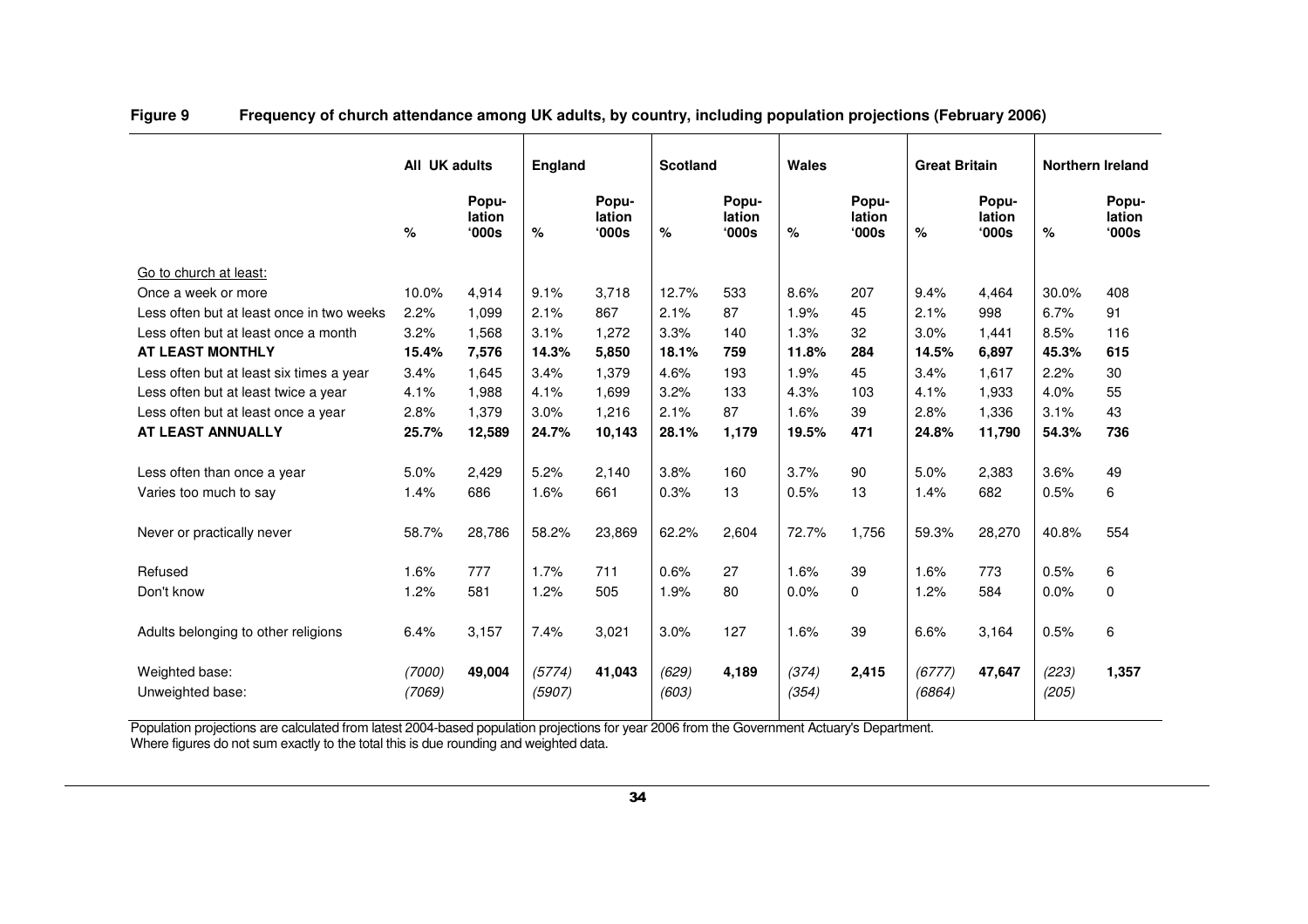|                                           | All UK adults    |                          | England          |                          | <b>Scotland</b> |                          | Wales          |                          | <b>Great Britain</b> |                         | <b>Northern Ireland</b> |                                   |
|-------------------------------------------|------------------|--------------------------|------------------|--------------------------|-----------------|--------------------------|----------------|--------------------------|----------------------|-------------------------|-------------------------|-----------------------------------|
|                                           | $\%$             | Popu-<br>lation<br>'000s | $\%$             | Popu-<br>lation<br>'000s | %               | Popu-<br>lation<br>'000s | %              | Popu-<br>lation<br>'000s | $\%$                 | Popu-<br>lation<br>000s | %                       | Popu-<br>lation<br>$^{\circ}000s$ |
| Go to church at least:                    |                  |                          |                  |                          |                 |                          |                |                          |                      |                         |                         |                                   |
| Once a week or more                       | 10.0%            | 4,914                    | 9.1%             | 3,718                    | 12.7%           | 533                      | 8.6%           | 207                      | 9.4%                 | 4,464                   | 30.0%                   | 408                               |
| Less often but at least once in two weeks | 2.2%             | 1,099                    | 2.1%             | 867                      | 2.1%            | 87                       | 1.9%           | 45                       | 2.1%                 | 998                     | 6.7%                    | 91                                |
| Less often but at least once a month      | 3.2%             | 1,568                    | 3.1%             | 1.272                    | 3.3%            | 140                      | 1.3%           | 32                       | 3.0%                 | 1.441                   | 8.5%                    | 116                               |
| AT LEAST MONTHLY                          | 15.4%            | 7,576                    | 14.3%            | 5,850                    | 18.1%           | 759                      | 11.8%          | 284                      | 14.5%                | 6,897                   | 45.3%                   | 615                               |
| Less often but at least six times a year  | 3.4%             | 1,645                    | 3.4%             | 1.379                    | 4.6%            | 193                      | 1.9%           | 45                       | 3.4%                 | 1.617                   | 2.2%                    | 30                                |
| Less often but at least twice a year      | 4.1%             | 1,988                    | 4.1%             | 1,699                    | 3.2%            | 133                      | 4.3%           | 103                      | 4.1%                 | 1,933                   | 4.0%                    | 55                                |
| Less often but at least once a year       | 2.8%             | 1,379                    | 3.0%             | 1,216                    | 2.1%            | 87                       | 1.6%           | 39                       | 2.8%                 | 1,336                   | 3.1%                    | 43                                |
| AT LEAST ANNUALLY                         | 25.7%            | 12,589                   | 24.7%            | 10,143                   | 28.1%           | 1,179                    | 19.5%          | 471                      | 24.8%                | 11,790                  | 54.3%                   | 736                               |
|                                           |                  |                          |                  |                          |                 |                          |                |                          |                      |                         |                         |                                   |
| Less often than once a year               | 5.0%             | 2,429                    | 5.2%             | 2,140                    | 3.8%            | 160                      | 3.7%           | 90                       | 5.0%                 | 2,383                   | 3.6%                    | 49                                |
| Varies too much to say                    | 1.4%             | 686                      | 1.6%             | 661                      | 0.3%            | 13                       | 0.5%           | 13                       | 1.4%                 | 682                     | 0.5%                    | 6                                 |
|                                           |                  |                          |                  |                          |                 |                          |                |                          |                      |                         |                         |                                   |
| Never or practically never                | 58.7%            | 28,786                   | 58.2%            | 23,869                   | 62.2%           | 2,604                    | 72.7%          | 1,756                    | 59.3%                | 28,270                  | 40.8%                   | 554                               |
|                                           |                  |                          |                  |                          |                 |                          |                |                          |                      |                         |                         |                                   |
| Refused                                   | 1.6%             | 777                      | 1.7%             | 711                      | 0.6%            | 27                       | 1.6%           | 39                       | 1.6%                 | 773                     | 0.5%                    | 6                                 |
| Don't know                                | 1.2%             | 581                      | 1.2%             | 505                      | 1.9%            | 80                       | 0.0%           | $\Omega$                 | 1.2%                 | 584                     | 0.0%                    | $\mathbf 0$                       |
| Adults belonging to other religions       | 6.4%             | 3,157                    | 7.4%             | 3,021                    | 3.0%            | 127                      | 1.6%           | 39                       | 6.6%                 | 3,164                   | 0.5%                    | 6                                 |
| Weighted base:<br>Unweighted base:        | (7000)<br>(7069) | 49,004                   | (5774)<br>(5907) | 41,043                   | (629)<br>(603)  | 4,189                    | (374)<br>(354) | 2,415                    | (6777)<br>(6864)     | 47,647                  | (223)<br>(205)          | 1,357                             |

**Figure 9 Frequency of church attendance among UK adults, by country, including population projections (February 2006)** 

Population projections are calculated from latest 2004-based population projections for year 2006 from the Government Actuary's Department.<br>Where figures do not sum exactly to the total this is due rounding and weighted da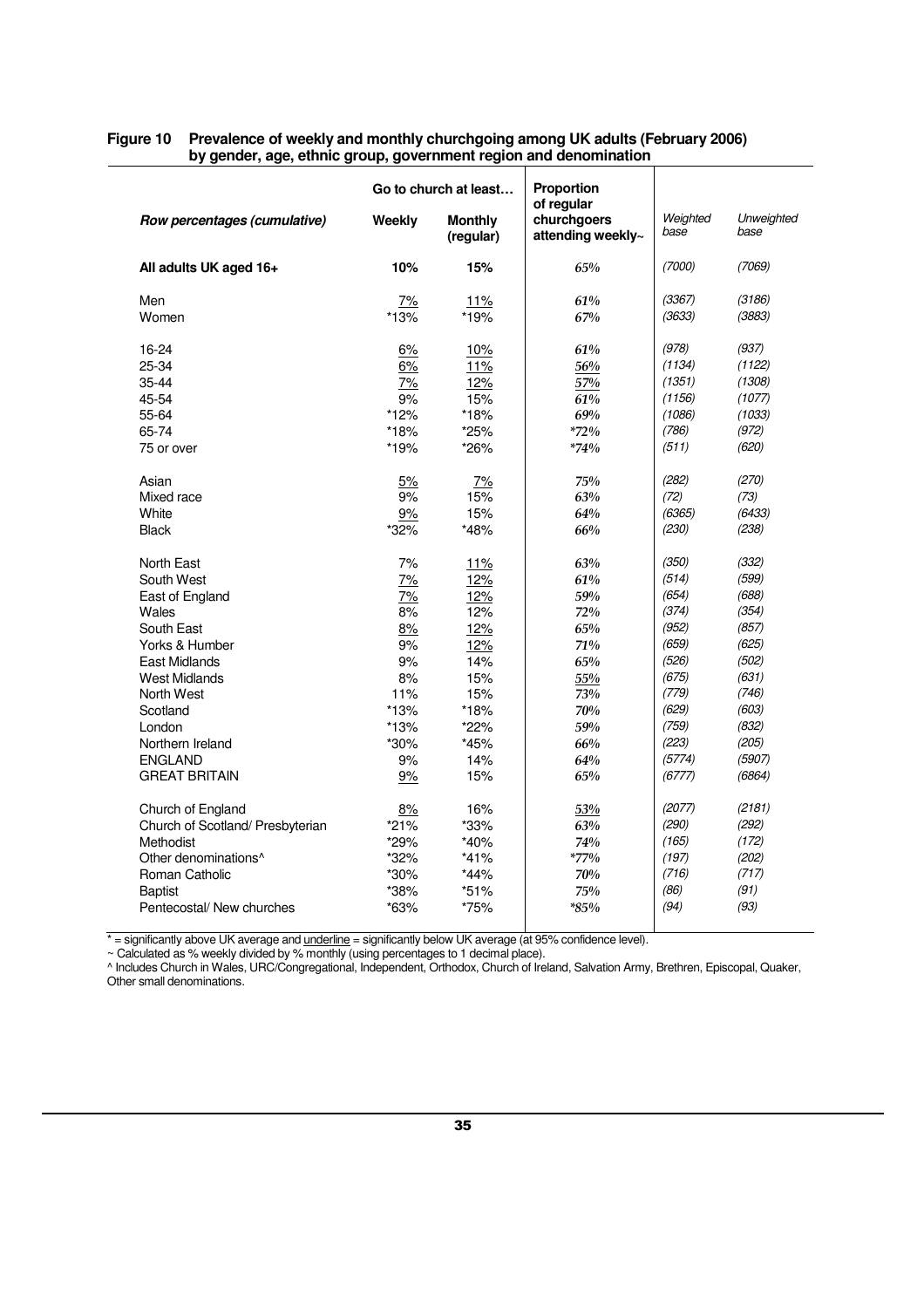|                                  |              | Go to church at least       | Proportion                                     |                  |                    |  |  |
|----------------------------------|--------------|-----------------------------|------------------------------------------------|------------------|--------------------|--|--|
| Row percentages (cumulative)     | Weekly       | <b>Monthly</b><br>(regular) | of regular<br>churchgoers<br>attending weekly~ | Weighted<br>base | Unweighted<br>base |  |  |
| All adults UK aged 16+           | 10%          | 15%                         | 65%                                            | (7000)           | (7069)             |  |  |
| Men<br>Women                     | 7%<br>$*13%$ | 11%<br>*19%                 | 61%<br>67%                                     | (3367)<br>(3633) | (3186)<br>(3883)   |  |  |
|                                  |              |                             |                                                |                  |                    |  |  |
| 16-24                            | 6%           | 10%                         | 61%                                            | (978)            | (937)              |  |  |
| 25-34                            | 6%           | 11%                         | 56%                                            | (1134)           | (1122)             |  |  |
| $35 - 44$                        | 7%           | 12%                         | 57%                                            | (1351)           | (1308)             |  |  |
| 45-54                            | 9%           | 15%                         | 61%                                            | (1156)           | (1077)             |  |  |
| 55-64                            | *12%         | *18%                        | 69%                                            | (1086)           | (1033)             |  |  |
| 65-74                            | *18%         | *25%                        | $*72\%$                                        | (786)            | (972)              |  |  |
| 75 or over                       | *19%         | *26%                        | $*74%$                                         | (511)            | (620)              |  |  |
| Asian                            | 5%           | 7%                          | 75%                                            | (282)            | (270)              |  |  |
| Mixed race                       | 9%           | 15%                         | 63%                                            | (72)             | (73)               |  |  |
| White                            | 9%           | 15%                         | 64%                                            | (6365)           | (6433)             |  |  |
| <b>Black</b>                     | *32%         | *48%                        | 66%                                            | (230)            | (238)              |  |  |
| North East                       | 7%           | 11%                         | 63%                                            | (350)            | (332)              |  |  |
| South West                       | 7%           | 12%                         | 61%                                            | (514)            | (599)              |  |  |
| East of England                  | 7%           | 12%                         | 59%                                            | (654)            | (688)              |  |  |
| Wales                            | 8%           | 12%                         | 72%                                            | (374)            | (354)              |  |  |
| South East                       | 8%           | 12%                         | 65%                                            | (952)            | (857)              |  |  |
| Yorks & Humber                   | 9%           | 12%                         | 71%                                            | (659)            | (625)              |  |  |
| East Midlands                    | 9%           | 14%                         | 65%                                            | (526)            | (502)              |  |  |
| <b>West Midlands</b>             | 8%           | 15%                         | 55%                                            | (675)            | (631)              |  |  |
| North West                       | 11%          | 15%                         | 73%                                            | (779)            | (746)              |  |  |
| Scotland                         | $*13%$       | *18%                        | 70%                                            | (629)            | (603)              |  |  |
| London                           | $*13%$       | $*22\%$                     | 59%                                            | (759)            | (832)              |  |  |
| Northern Ireland                 | *30%         | *45%                        | 66%                                            | (223)            | (205)              |  |  |
| <b>ENGLAND</b>                   | 9%           | 14%                         | 64%                                            | (5774)           | (5907)             |  |  |
| <b>GREAT BRITAIN</b>             | 9%           | 15%                         | 65%                                            | (6777)           | (6864)             |  |  |
| Church of England                | 8%           | 16%                         | 53%                                            | (2077)           | (2181)             |  |  |
| Church of Scotland/ Presbyterian | $*21%$       | *33%                        | 63%                                            | (290)            | (292)              |  |  |
| Methodist                        | *29%         | $*40%$                      | 74%                                            | (165)            | (172)              |  |  |
| Other denominations <sup>^</sup> | *32%         | $*41%$                      | $*77\%$                                        | (197)            | (202)              |  |  |
| Roman Catholic                   | *30%         | $*44%$                      | 70%                                            | (716)            | (717)              |  |  |
| <b>Baptist</b>                   | *38%         | $*51%$                      | 75%                                            | (86)             | (91)               |  |  |
| Pentecostal/ New churches        | *63%         | *75%                        | $*85\%$                                        | (94)             | (93)               |  |  |

#### **Figure 10 Prevalence of weekly and monthly churchgoing among UK adults (February 2006) by gender, age, ethnic group, government region and denomination**

\* = significantly above UK average and <u>underline</u> = significantly below UK average (at 95% confidence level).

~ Calculated as % weekly divided by % monthly (using percentages to 1 decimal place).

^ Includes Church in Wales, URC/Congregational, Independent, Orthodox, Church of Ireland, Salvation Army, Brethren, Episcopal, Quaker, Other small denominations.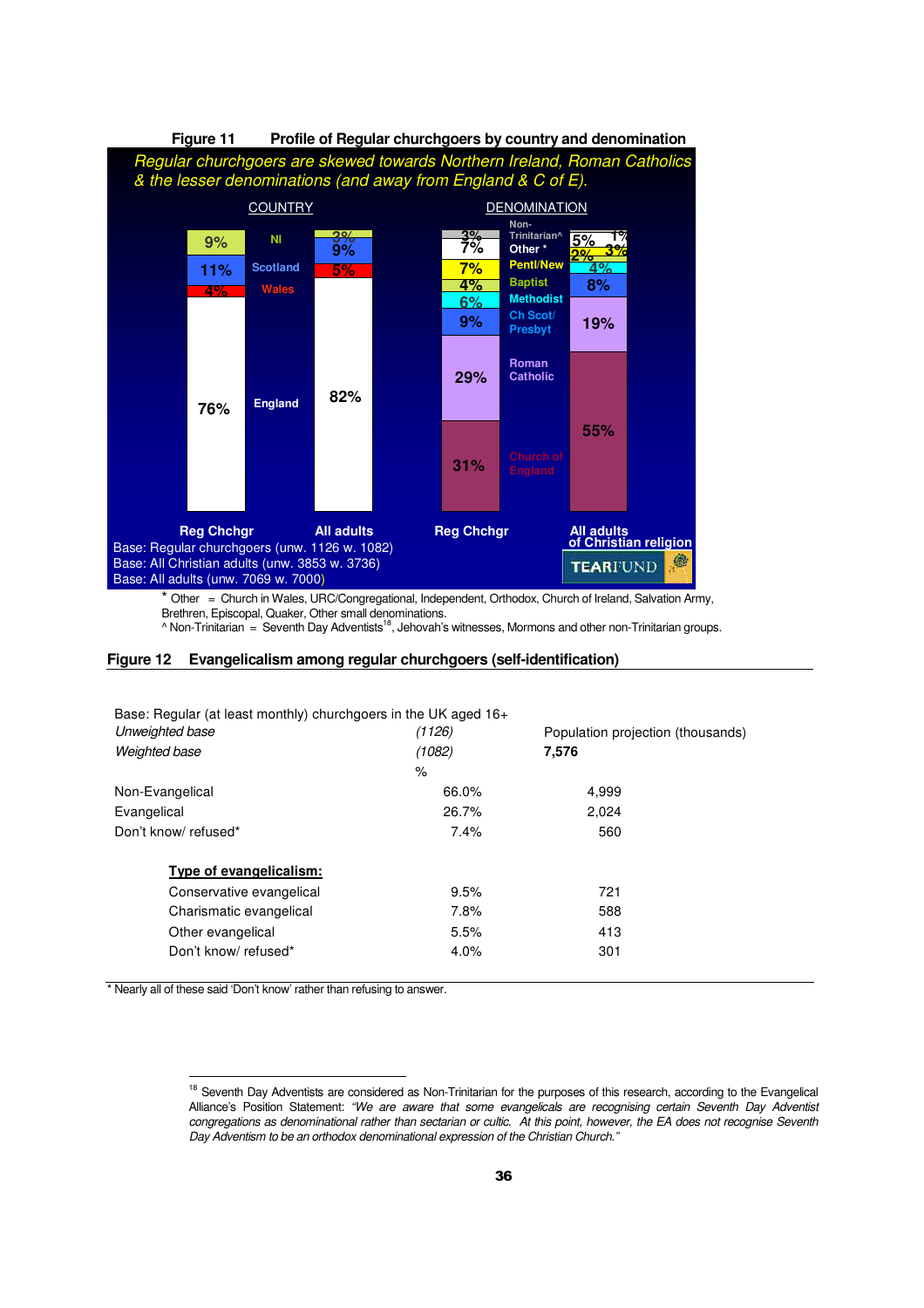

Brethren, Episcopal, Quaker, Other small denominations.<br>^ Non-Trinitarian = Seventh Day Adventists<sup>18</sup>, Jehovah's witnesses, Mormons and other non-Trinitarian groups.

#### **Figure 12 Evangelicalism among regular churchgoers (self-identification)**

| Base: Regular (at least monthly) churchgoers in the UK aged 16+ |        |                                   |
|-----------------------------------------------------------------|--------|-----------------------------------|
| Unweighted base                                                 | (1126) | Population projection (thousands) |
| Weighted base                                                   | (1082) | 7,576                             |
|                                                                 | %      |                                   |
| Non-Evangelical                                                 | 66.0%  | 4,999                             |
| Evangelical                                                     | 26.7%  | 2,024                             |
| Don't know/refused*                                             | 7.4%   | 560                               |
| Type of evangelicalism:                                         |        |                                   |
| Conservative evangelical                                        | 9.5%   | 721                               |
| Charismatic evangelical                                         | 7.8%   | 588                               |
| Other evangelical                                               | 5.5%   | 413                               |
| Don't know/refused*                                             | 4.0%   | 301                               |
|                                                                 |        |                                   |

\* Nearly all of these said 'Don't know' rather than refusing to answer.

l

<sup>&</sup>lt;sup>18</sup> Seventh Day Adventists are considered as Non-Trinitarian for the purposes of this research, according to the Evangelical Alliance's Position Statement: "We are aware that some evangelicals are recognising certain Seventh Day Adventist congregations as denominational rather than sectarian or cultic. At this point, however, the EA does not recognise Seventh Day Adventism to be an orthodox denominational expression of the Christian Church."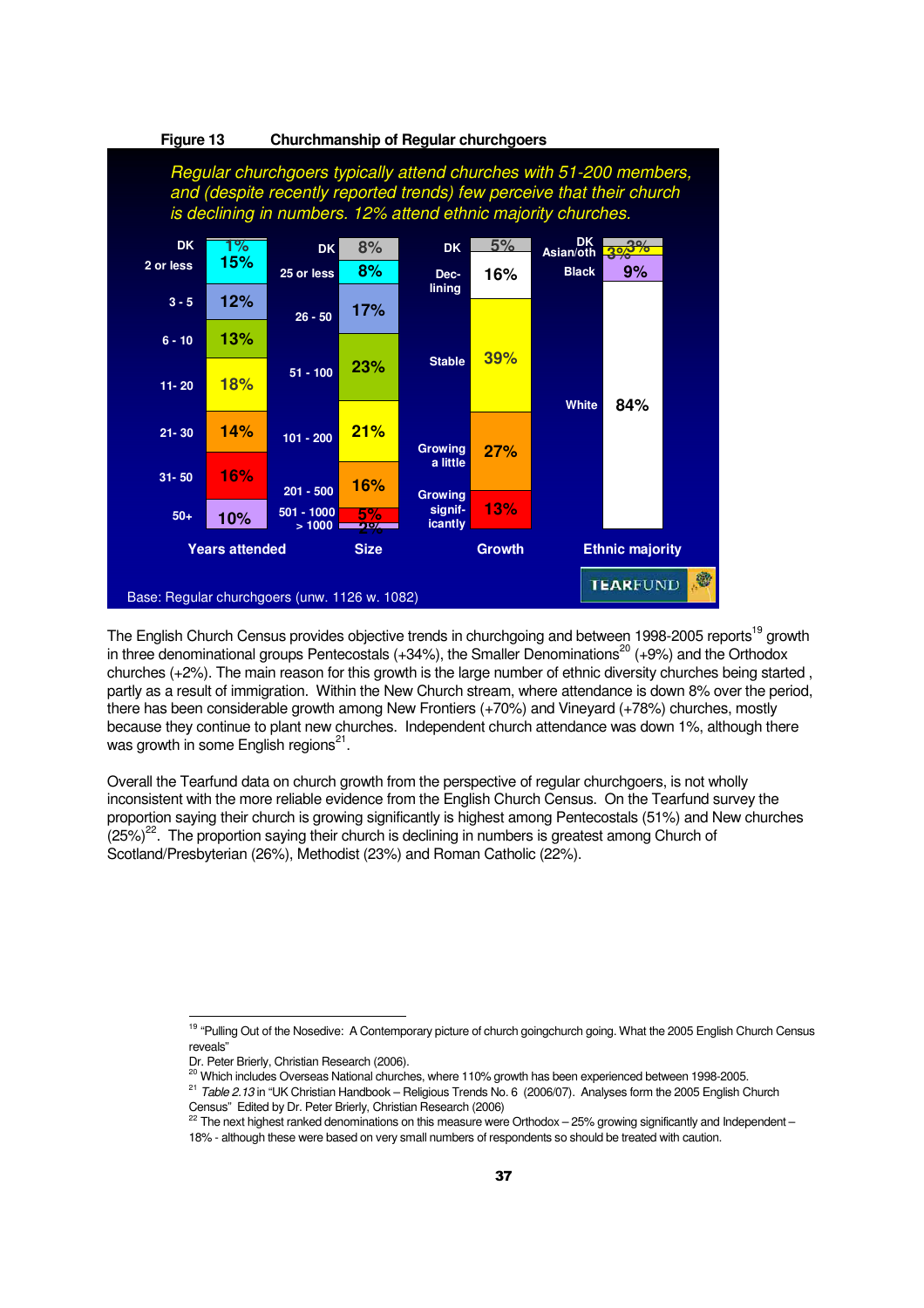

The English Church Census provides objective trends in churchgoing and between 1998-2005 reports<sup>19</sup> growth in three denominational groups Pentecostals  $(+34%)$ , the Smaller Denominations<sup>20</sup>  $(+9%)$  and the Orthodox churches (+2%). The main reason for this growth is the large number of ethnic diversity churches being started , partly as a result of immigration. Within the New Church stream, where attendance is down 8% over the period, there has been considerable growth among New Frontiers (+70%) and Vineyard (+78%) churches, mostly because they continue to plant new churches. Independent church attendance was down 1%, although there was growth in some English regions<sup>21</sup>.

Overall the Tearfund data on church growth from the perspective of regular churchgoers, is not wholly inconsistent with the more reliable evidence from the English Church Census. On the Tearfund survey the proportion saying their church is growing significantly is highest among Pentecostals (51%) and New churches  $(25%)^{22}$ . The proportion saying their church is declining in numbers is greatest among Church of Scotland/Presbyterian (26%), Methodist (23%) and Roman Catholic (22%).

j

<sup>&</sup>lt;sup>19</sup> "Pulling Out of the Nosedive: A Contemporary picture of church goingchurch going. What the 2005 English Church Census reveals"

Dr. Peter Brierly, Christian Research (2006).

<sup>&</sup>lt;sup>20</sup> Which includes Overseas National churches, where 110% growth has been experienced between 1998-2005.  $^{21}$  Table 2.13 in "UK Christian Handbook – Religious Trends No. 6 (2006/07). Analyses form the 2005 English Church

Census" Edited by Dr. Peter Brierly, Christian Research (2006)

 $^{22}$  The next highest ranked denominations on this measure were Orthodox – 25% growing significantly and Independent – 18% - although these were based on very small numbers of respondents so should be treated with caution.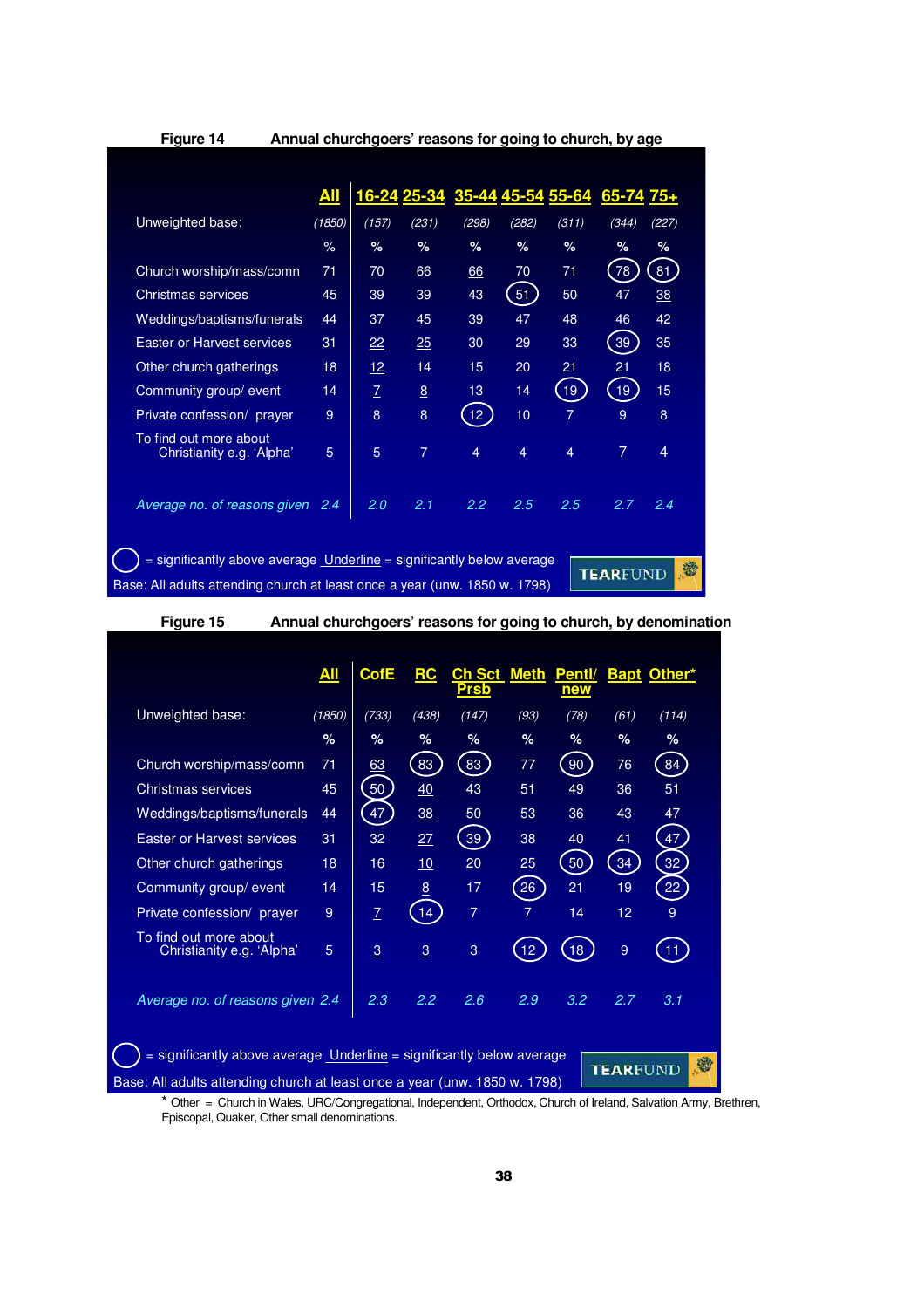| Figure 14                                                                                                                                                                         |        |               |                | Annual churchgoers' reasons for going to church, by age |       |                |       |       |  |  |
|-----------------------------------------------------------------------------------------------------------------------------------------------------------------------------------|--------|---------------|----------------|---------------------------------------------------------|-------|----------------|-------|-------|--|--|
|                                                                                                                                                                                   | All    | 16-24         | $25 - 34$      | 35-44 45-54                                             |       | 55-64          | 65-74 | $75+$ |  |  |
| Unweighted base:                                                                                                                                                                  | (1850) | (157)         | (231)          | (298)                                                   | (282) | (311)          | (344) | (227) |  |  |
|                                                                                                                                                                                   | $\%$   | %             | $\%$           | %                                                       | %     | $\%$           | $\%$  | $\%$  |  |  |
| Church worship/mass/comn                                                                                                                                                          | 71     | 70            | 66             | 66                                                      | 70    | 71             | 78    | 81    |  |  |
| Christmas services                                                                                                                                                                | 45     | 39            | 39             | 43                                                      | 51    | 50             | 47    | 38    |  |  |
| Weddings/baptisms/funerals                                                                                                                                                        | 44     | 37            | 45             | 39                                                      | 47    | 48             | 46    | 42    |  |  |
| Easter or Harvest services                                                                                                                                                        | 31     | 22            | 25             | 30                                                      | 29    | 33             | 39    | 35    |  |  |
| Other church gatherings                                                                                                                                                           | 18     | 12            | 14             | 15                                                      | 20    | 21             | 21    | 18    |  |  |
| Community group/ event                                                                                                                                                            | 14     | $\mathcal{I}$ | 8              | 13                                                      | 14    | 19             | 19    | 15    |  |  |
| Private confession/ prayer                                                                                                                                                        | 9      | 8             | 8              | 12 <sup>2</sup>                                         | 10    | $\overline{7}$ | 9     | 8     |  |  |
| To find out more about<br>Christianity e.g. 'Alpha'                                                                                                                               | 5      | 5             | $\overline{7}$ | 4                                                       | 4     | 4              | 7     | 4     |  |  |
| Average no. of reasons given                                                                                                                                                      | 2.4    | 2.0           | 2.1            | 2.2                                                     | 2.5   | 2.5            | 2.7   | 2.4   |  |  |
| $=$ significantly above average <u>Underline</u> $=$ significantly below average<br><b>TEARFUND</b><br>Base: All adults attending church at least once a year (unw. 1850 w. 1798) |        |               |                |                                                         |       |                |       |       |  |  |

**Figure 15 Annual churchgoers' reasons for going to church, by denomination**

|                                                                                                                                                                               | <u>All</u> | <b>CofE</b>    | <u>RC</u>      | Ch Sct<br><b>Prsb</b> | <b>Meth</b>     | <b>Pentl/</b><br>new |      | <b>Bapt Other*</b> |  |  |
|-------------------------------------------------------------------------------------------------------------------------------------------------------------------------------|------------|----------------|----------------|-----------------------|-----------------|----------------------|------|--------------------|--|--|
| Unweighted base:                                                                                                                                                              | (1850)     | (733)          | (438)          | (147)                 | (93)            | (78)                 | (61) | (114)              |  |  |
|                                                                                                                                                                               | $\%$       | $\%$           | %              | %                     | %               | %                    | %    | %                  |  |  |
| Church worship/mass/comn                                                                                                                                                      | 71         | 63             | 83             | 83                    | 77              | 90                   | 76   | 84                 |  |  |
| Christmas services                                                                                                                                                            | 45         | 50             | 40             | 43                    | 51              | 49                   | 36   | 51                 |  |  |
| Weddings/baptisms/funerals                                                                                                                                                    | 44         | 47             | 38             | 50                    | 53              | 36                   | 43   | 47                 |  |  |
| Easter or Harvest services                                                                                                                                                    | 31         | 32             | 27             | 39                    | 38              | 40                   | 41   | 47                 |  |  |
| Other church gatherings                                                                                                                                                       | 18         | 16             | 10             | 20                    | 25              | 50                   | 34   | 32                 |  |  |
| Community group/ event                                                                                                                                                        | 14         | 15             | 8              | 17                    | 26              | 21                   | 19   | 22                 |  |  |
| Private confession/ prayer                                                                                                                                                    | 9          | $\mathcal{I}$  | 14             | $\overline{7}$        | 7               | 14                   | 12   | 9                  |  |  |
| To find out more about<br>Christianity e.g. 'Alpha'                                                                                                                           | 5          | $\overline{3}$ | $\overline{3}$ | 3                     | 12 <sub>2</sub> | 18                   | 9    | 11                 |  |  |
| Average no. of reasons given 2.4                                                                                                                                              |            | 2.3            | 2.2            | 2.6                   | 2.9             | 3.2                  | 2.7  | 3.1                |  |  |
| = significantly above average <u>Underline</u> = significantly below average<br><b>TEARFUND</b><br>Base: All adults attending church at least once a year (unw. 1850 w. 1798) |            |                |                |                       |                 |                      |      |                    |  |  |

 \* Other = Church in Wales, URC/Congregational, Independent, Orthodox, Church of Ireland, Salvation Army, Brethren, Episcopal, Quaker, Other small denominations.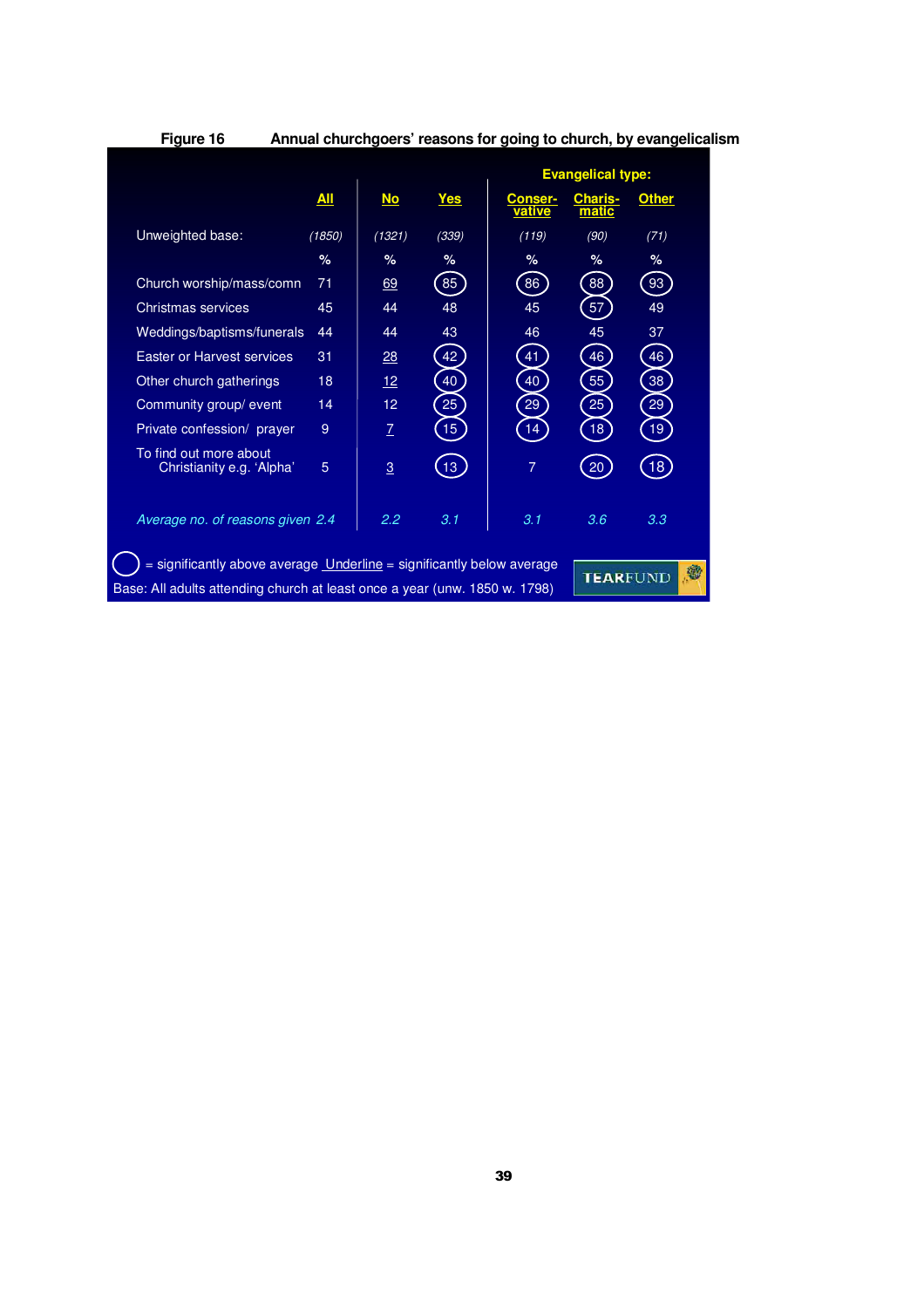| Figure 16                                                                                                                                                  |            |                 |            | Annual churchgoers' reasons for going to church, by evangelicalism |                          |              |  |
|------------------------------------------------------------------------------------------------------------------------------------------------------------|------------|-----------------|------------|--------------------------------------------------------------------|--------------------------|--------------|--|
|                                                                                                                                                            |            |                 |            |                                                                    | <b>Evangelical type:</b> |              |  |
|                                                                                                                                                            | <u>All</u> | $No$            | <u>Yes</u> | <b>Conser-</b><br>vative                                           | Charis-<br>matic         | <b>Other</b> |  |
| Unweighted base:                                                                                                                                           | (1850)     | (1321)          | (339)      | (119)                                                              | (90)                     | (71)         |  |
|                                                                                                                                                            | $\%$       | $\%$            | %          | %                                                                  | %                        | $\%$         |  |
| Church worship/mass/comn                                                                                                                                   | 71         | 69              | 85         | 86                                                                 | 88                       | 93           |  |
| Christmas services                                                                                                                                         | 45         | 44              | 48         | 45                                                                 | 57                       | 49           |  |
| Weddings/baptisms/funerals                                                                                                                                 | 44         | 44              | 43         | 46                                                                 | 45                       | 37           |  |
| Easter or Harvest services                                                                                                                                 | 31         | 28              | 42         | 41                                                                 | 46                       | 46           |  |
| Other church gatherings                                                                                                                                    | 18         | 12 <sup>2</sup> | 40         | 40                                                                 | 55                       | 38           |  |
| Community group/event                                                                                                                                      | 14         | 12              | 25         | 29                                                                 | 25                       | 29           |  |
| Private confession/ prayer                                                                                                                                 | 9          | $\overline{1}$  | 15         | 14                                                                 | 18                       | 19           |  |
| To find out more about<br>Christianity e.g. 'Alpha'                                                                                                        | 5          | $\overline{3}$  | 13         | $\overline{7}$                                                     | 20                       | [18]         |  |
| Average no. of reasons given 2.4                                                                                                                           |            | 2.2             | 3.1        | 3.1                                                                | 3.6                      | 3.3          |  |
| = significantly above average <b>Underline</b> = significantly below average<br>Base: All adults attending church at least once a year (unw. 1850 w. 1798) |            |                 |            |                                                                    | <b>TEARFUND</b>          |              |  |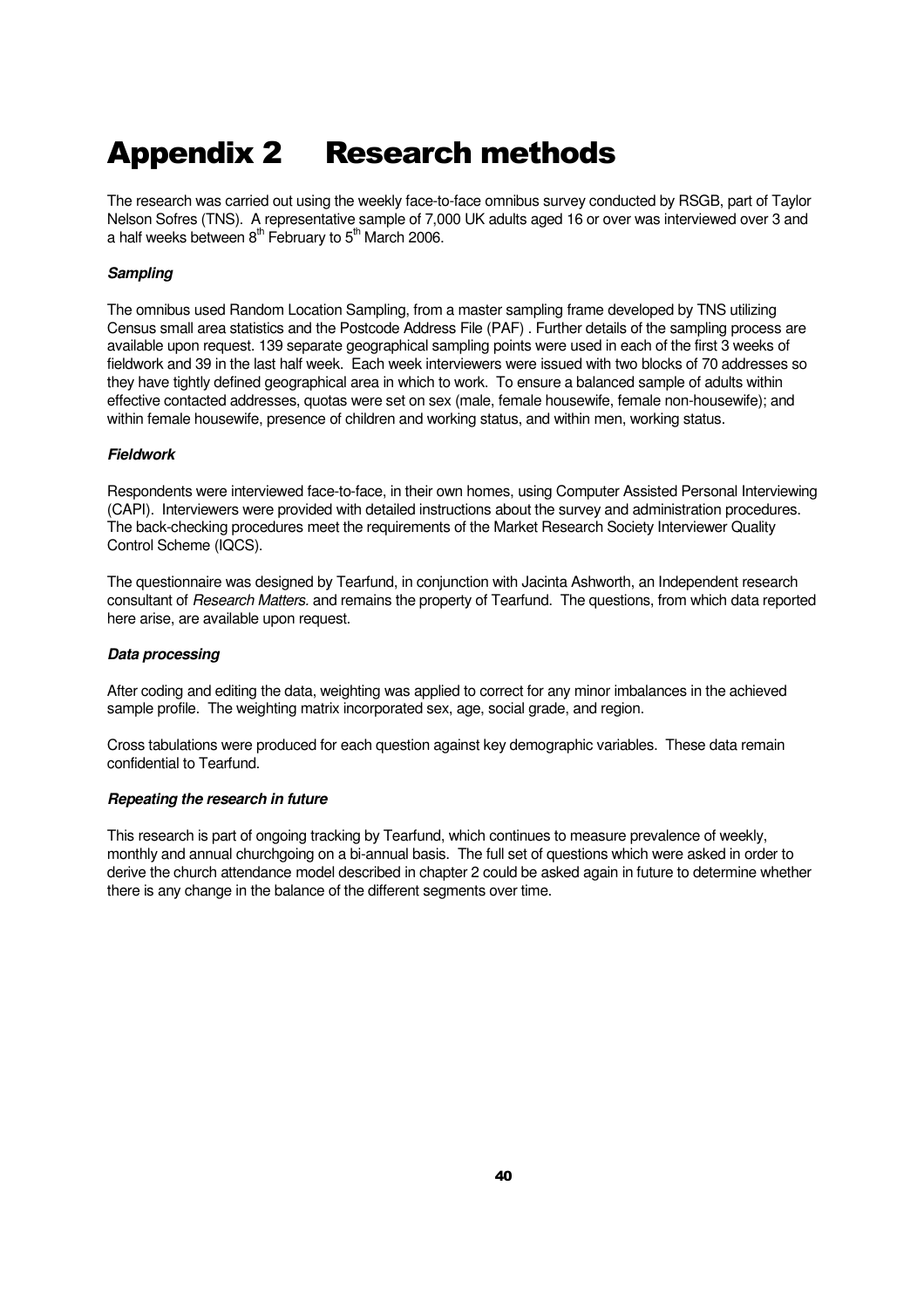# Appendix 2 Research methods

The research was carried out using the weekly face-to-face omnibus survey conducted by RSGB, part of Taylor Nelson Sofres (TNS). A representative sample of 7,000 UK adults aged 16 or over was interviewed over 3 and a half weeks between  $8<sup>th</sup>$  February to  $5<sup>th</sup>$  March 2006.

### **Sampling**

The omnibus used Random Location Sampling, from a master sampling frame developed by TNS utilizing Census small area statistics and the Postcode Address File (PAF) . Further details of the sampling process are available upon request. 139 separate geographical sampling points were used in each of the first 3 weeks of fieldwork and 39 in the last half week. Each week interviewers were issued with two blocks of 70 addresses so they have tightly defined geographical area in which to work. To ensure a balanced sample of adults within effective contacted addresses, quotas were set on sex (male, female housewife, female non-housewife); and within female housewife, presence of children and working status, and within men, working status.

### **Fieldwork**

Respondents were interviewed face-to-face, in their own homes, using Computer Assisted Personal Interviewing (CAPI). Interviewers were provided with detailed instructions about the survey and administration procedures. The back-checking procedures meet the requirements of the Market Research Society Interviewer Quality Control Scheme (IQCS).

The questionnaire was designed by Tearfund, in conjunction with Jacinta Ashworth, an Independent research consultant of Research Matters. and remains the property of Tearfund. The questions, from which data reported here arise, are available upon request.

#### **Data processing**

After coding and editing the data, weighting was applied to correct for any minor imbalances in the achieved sample profile. The weighting matrix incorporated sex, age, social grade, and region.

Cross tabulations were produced for each question against key demographic variables. These data remain confidential to Tearfund.

#### **Repeating the research in future**

This research is part of ongoing tracking by Tearfund, which continues to measure prevalence of weekly, monthly and annual churchgoing on a bi-annual basis. The full set of questions which were asked in order to derive the church attendance model described in chapter 2 could be asked again in future to determine whether there is any change in the balance of the different segments over time.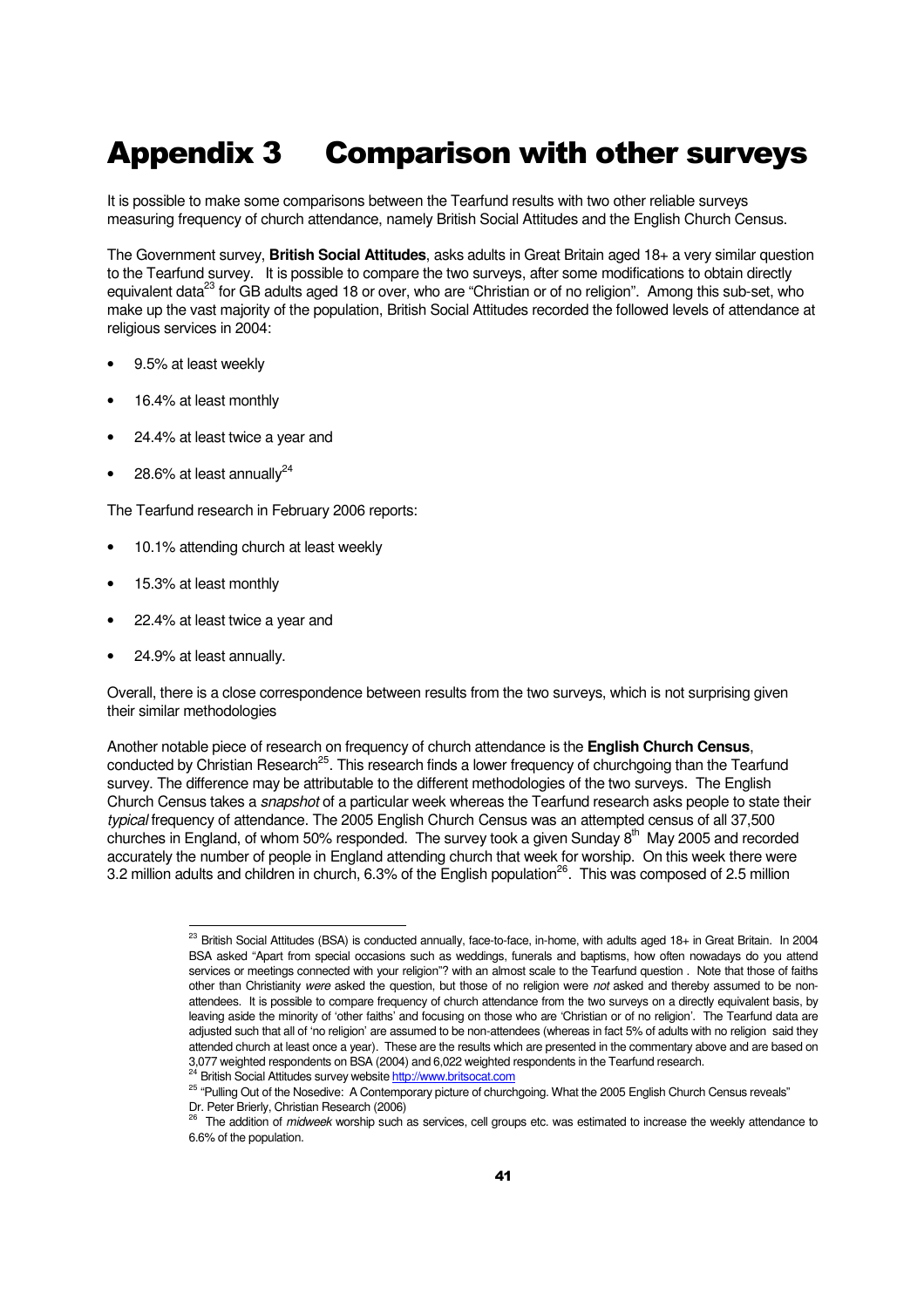# Appendix 3 Comparison with other surveys

It is possible to make some comparisons between the Tearfund results with two other reliable surveys measuring frequency of church attendance, namely British Social Attitudes and the English Church Census.

The Government survey, **British Social Attitudes**, asks adults in Great Britain aged 18+ a very similar question to the Tearfund survey. It is possible to compare the two surveys, after some modifications to obtain directly equivalent data<sup>23</sup> for GB adults aged 18 or over, who are "Christian or of no religion". Among this sub-set, who make up the vast majority of the population, British Social Attitudes recorded the followed levels of attendance at religious services in 2004:

- 9.5% at least weekly
- 16.4% at least monthly
- 24.4% at least twice a year and
- 28.6% at least annually $^{24}$

The Tearfund research in February 2006 reports:

- 10.1% attending church at least weekly
- 15.3% at least monthly
- 22.4% at least twice a year and
- 24.9% at least annually.

j

Overall, there is a close correspondence between results from the two surveys, which is not surprising given their similar methodologies

Another notable piece of research on frequency of church attendance is the **English Church Census**, conducted by Christian Research<sup>25</sup>. This research finds a lower frequency of churchgoing than the Tearfund survey. The difference may be attributable to the different methodologies of the two surveys. The English Church Census takes a *snapshot* of a particular week whereas the Tearfund research asks people to state their typical frequency of attendance. The 2005 English Church Census was an attempted census of all 37,500 churches in England, of whom 50% responded. The survey took a given Sunday  $8<sup>th</sup>$  May 2005 and recorded accurately the number of people in England attending church that week for worship. On this week there were 3.2 million adults and children in church, 6.3% of the English population<sup>26</sup>. This was composed of 2.5 million

 $^{23}$  British Social Attitudes (BSA) is conducted annually, face-to-face, in-home, with adults aged 18+ in Great Britain. In 2004 BSA asked "Apart from special occasions such as weddings, funerals and baptisms, how often nowadays do you attend services or meetings connected with your religion"? with an almost scale to the Tearfund question . Note that those of faiths other than Christianity were asked the question, but those of no religion were not asked and thereby assumed to be nonattendees. It is possible to compare frequency of church attendance from the two surveys on a directly equivalent basis, by leaving aside the minority of 'other faiths' and focusing on those who are 'Christian or of no religion'. The Tearfund data are adjusted such that all of 'no religion' are assumed to be non-attendees (whereas in fact 5% of adults with no religion said they attended church at least once a year). These are the results which are presented in the commentary above and are based on 3,077 weighted respondents on BSA (2004) and 6,022 weighted respondents in the Tearfund research.

<sup>&</sup>lt;sup>24</sup> British Social Attitudes survey website http://www.britsocat.com

<sup>&</sup>lt;sup>25</sup> "Pulling Out of the Nosedive: A Contemporary picture of churchgoing. What the 2005 English Church Census reveals" Dr. Peter Brierly, Christian Research (2006)

<sup>&</sup>lt;sup>26</sup> The addition of *midweek* worship such as services, cell groups etc. was estimated to increase the weekly attendance to 6.6% of the population.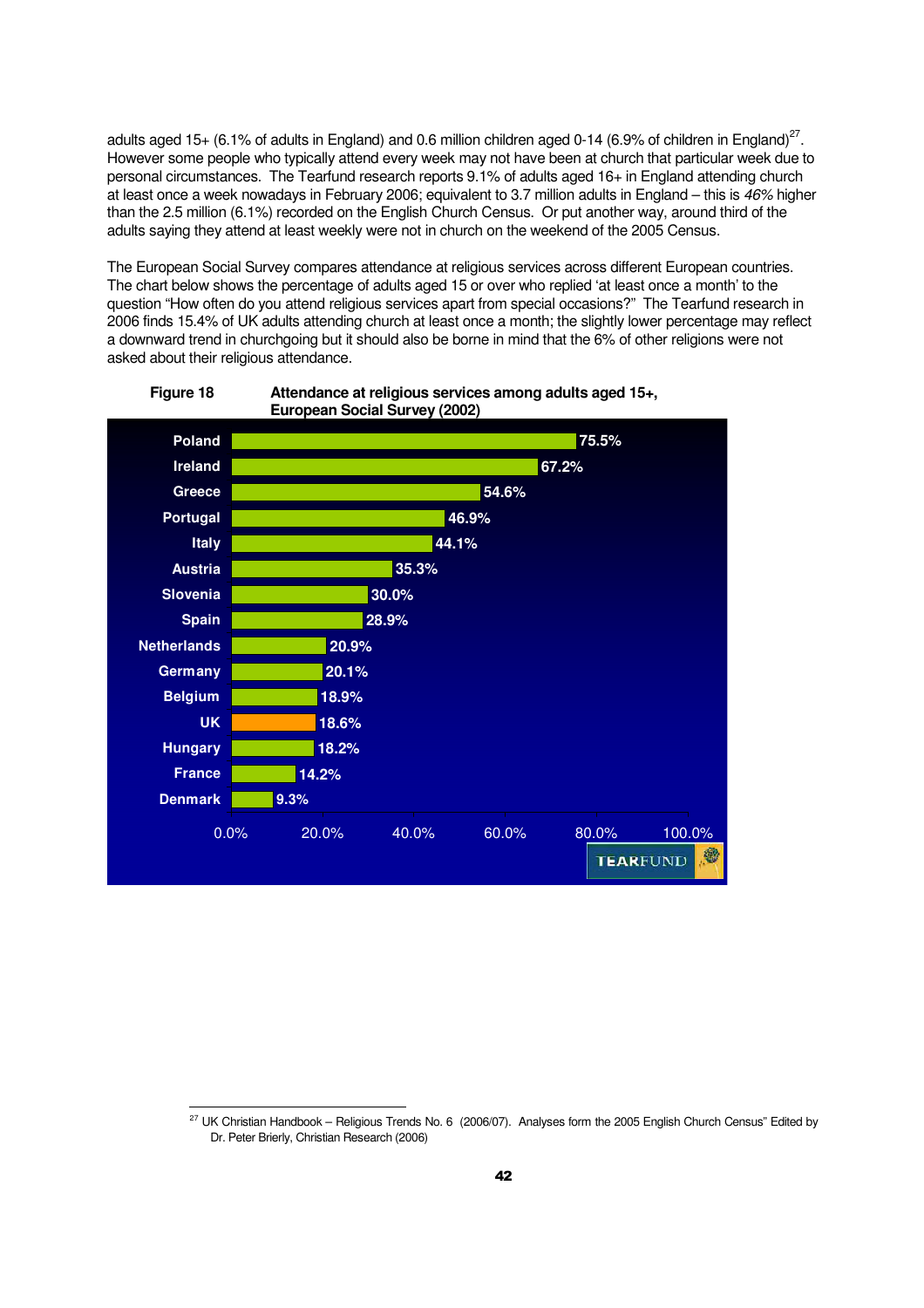adults aged 15+ (6.1% of adults in England) and 0.6 million children aged 0-14 (6.9% of children in England)<sup>27</sup>. However some people who typically attend every week may not have been at church that particular week due to personal circumstances. The Tearfund research reports 9.1% of adults aged 16+ in England attending church at least once a week nowadays in February 2006; equivalent to 3.7 million adults in England – this is 46% higher than the 2.5 million (6.1%) recorded on the English Church Census. Or put another way, around third of the adults saying they attend at least weekly were not in church on the weekend of the 2005 Census.

The European Social Survey compares attendance at religious services across different European countries. The chart below shows the percentage of adults aged 15 or over who replied 'at least once a month' to the question "How often do you attend religious services apart from special occasions?" The Tearfund research in 2006 finds 15.4% of UK adults attending church at least once a month; the slightly lower percentage may reflect a downward trend in churchgoing but it should also be borne in mind that the 6% of other religions were not asked about their religious attendance.



#### **Figure 18 Attendance at religious services among adults aged 15+, European Social Survey (2002)**

 $\overline{a}$  $^{27}$  UK Christian Handbook – Religious Trends No. 6 (2006/07). Analyses form the 2005 English Church Census" Edited by Dr. Peter Brierly, Christian Research (2006)